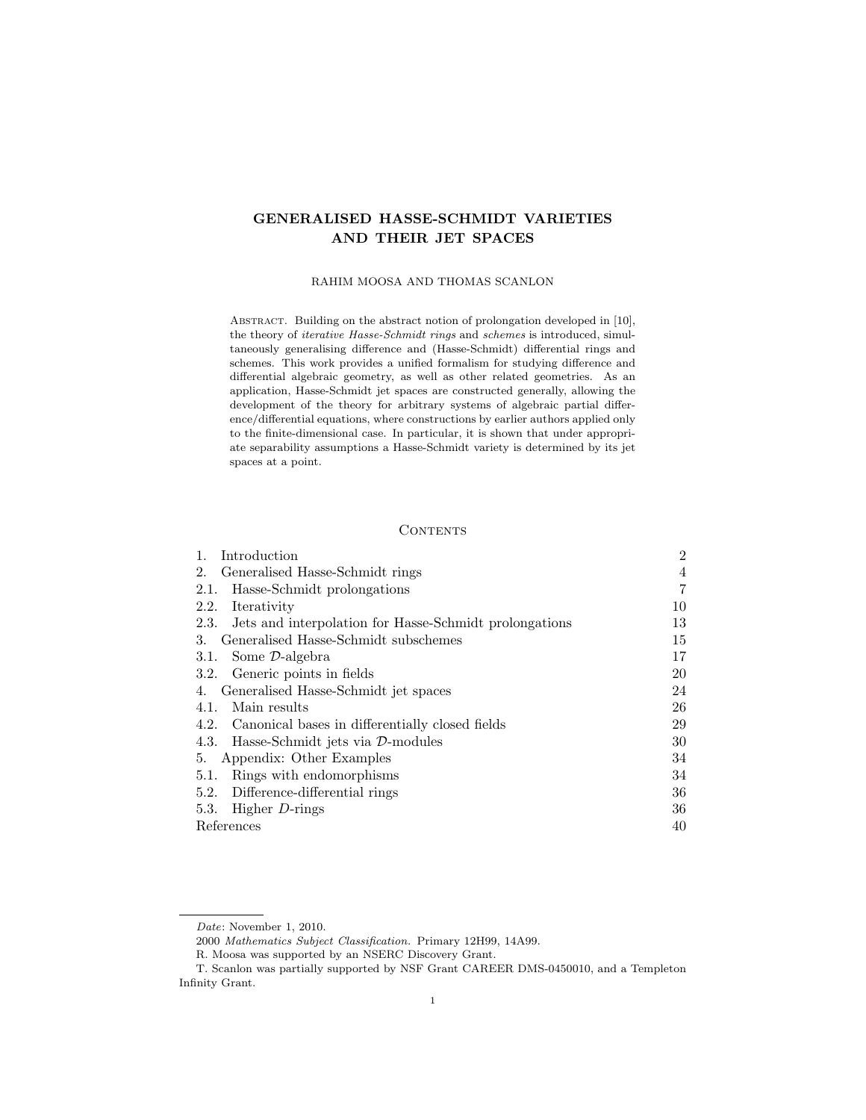# GENERALISED HASSE-SCHMIDT VARIETIES AND THEIR JET SPACES

## RAHIM MOOSA AND THOMAS SCANLON

ABSTRACT. Building on the abstract notion of prolongation developed in [10], the theory of iterative Hasse-Schmidt rings and schemes is introduced, simultaneously generalising difference and (Hasse-Schmidt) differential rings and schemes. This work provides a unified formalism for studying difference and differential algebraic geometry, as well as other related geometries. As an application, Hasse-Schmidt jet spaces are constructed generally, allowing the development of the theory for arbitrary systems of algebraic partial difference/differential equations, where constructions by earlier authors applied only to the finite-dimensional case. In particular, it is shown that under appropriate separability assumptions a Hasse-Schmidt variety is determined by its jet spaces at a point.

## **CONTENTS**

| Introduction                                                | $\overline{2}$ |
|-------------------------------------------------------------|----------------|
| Generalised Hasse-Schmidt rings<br>2.                       | $\overline{4}$ |
| Hasse-Schmidt prolongations<br>2.1.                         | 7              |
| Iterativity<br>2.2.                                         | 10             |
| 2.3. Jets and interpolation for Hasse-Schmidt prolongations | 13             |
| Generalised Hasse-Schmidt subschemes<br>3.                  | 15             |
| 3.1. Some D-algebra                                         | 17             |
| 3.2. Generic points in fields                               | 20             |
| Generalised Hasse-Schmidt jet spaces<br>4.                  | 24             |
| Main results<br>4.1.                                        | 26             |
| 4.2. Canonical bases in differentially closed fields        | 29             |
| Hasse-Schmidt jets via $\mathcal{D}\text{-modules}$<br>4.3. | 30             |
| Appendix: Other Examples<br>5.                              | 34             |
| Rings with endomorphisms<br>5.1.                            | 34             |
| Difference-differential rings<br>5.2.                       | 36             |
| Higher $D$ -rings<br>5.3.                                   | 36             |
| References                                                  | 40             |
|                                                             |                |

Date: November 1, 2010.

<sup>2000</sup> Mathematics Subject Classification. Primary 12H99, 14A99.

R. Moosa was supported by an NSERC Discovery Grant.

T. Scanlon was partially supported by NSF Grant CAREER DMS-0450010, and a Templeton Infinity Grant.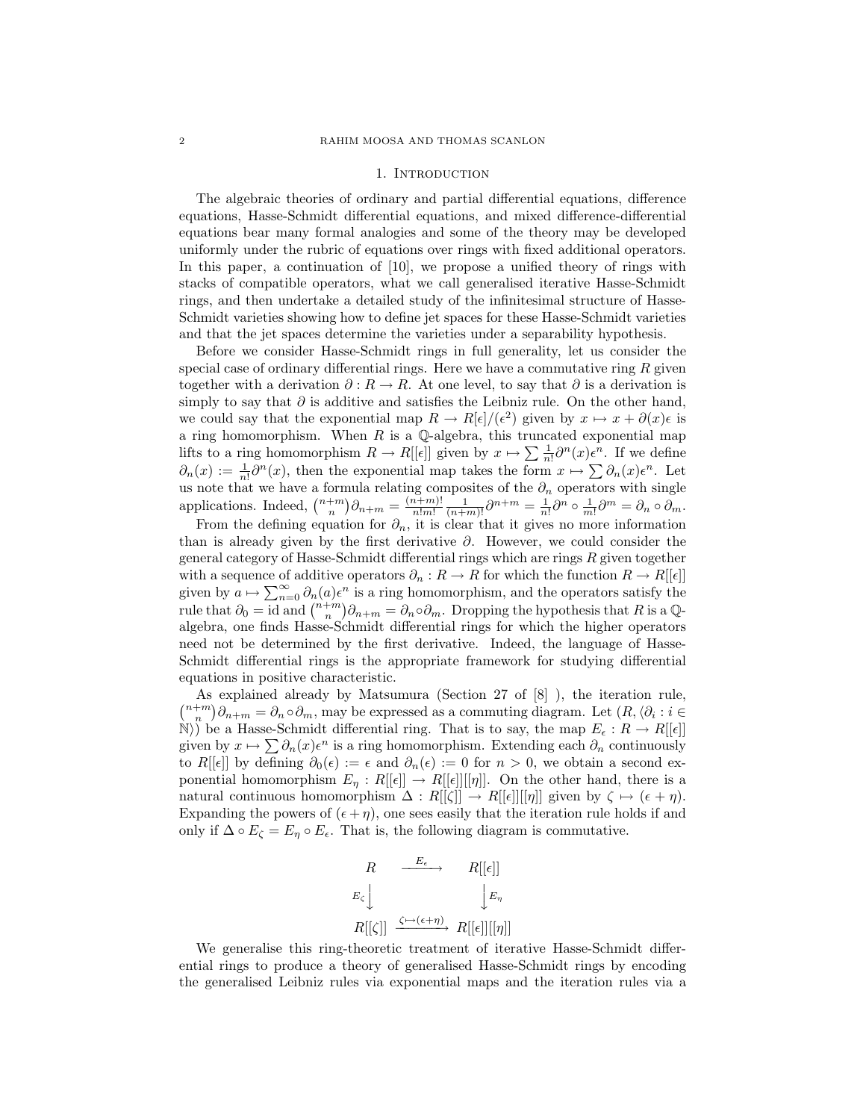#### 1. INTRODUCTION

The algebraic theories of ordinary and partial differential equations, difference equations, Hasse-Schmidt differential equations, and mixed difference-differential equations bear many formal analogies and some of the theory may be developed uniformly under the rubric of equations over rings with fixed additional operators. In this paper, a continuation of [10], we propose a unified theory of rings with stacks of compatible operators, what we call generalised iterative Hasse-Schmidt rings, and then undertake a detailed study of the infinitesimal structure of Hasse-Schmidt varieties showing how to define jet spaces for these Hasse-Schmidt varieties and that the jet spaces determine the varieties under a separability hypothesis.

Before we consider Hasse-Schmidt rings in full generality, let us consider the special case of ordinary differential rings. Here we have a commutative ring  $R$  given together with a derivation  $\partial : R \to R$ . At one level, to say that  $\partial$  is a derivation is simply to say that  $\partial$  is additive and satisfies the Leibniz rule. On the other hand, we could say that the exponential map  $R \to R[\epsilon]/(\epsilon^2)$  given by  $x \mapsto x + \partial(x)\epsilon$  is a ring homomorphism. When  $R$  is a  $\mathbb Q$ -algebra, this truncated exponential map lifts to a ring homomorphism  $R \to R[[\epsilon]]$  given by  $x \mapsto \sum \frac{1}{n!} \partial^n(x) \epsilon^n$ . If we define  $\partial_n(x) := \frac{1}{n!} \partial^n(x)$ , then the exponential map takes the form  $x \mapsto \sum \partial_n(x) \epsilon^n$ . Let us note that we have a formula relating composites of the  $\partial_n$  operators with single applications. Indeed,  $\binom{n+m}{n} \partial_{n+m} = \frac{(n+m)!}{n!m!}$  $\frac{n+m)!}{n!m!} \frac{1}{(n+m)!} \partial^{n+m} = \frac{1}{n!} \partial^n \circ \frac{1}{m!} \partial^m = \partial_n \circ \partial_m.$ 

From the defining equation for  $\partial_n$ , it is clear that it gives no more information than is already given by the first derivative  $\partial$ . However, we could consider the general category of Hasse-Schmidt differential rings which are rings R given together with a sequence of additive operators  $\partial_n: R \to R$  for which the function  $R \to R[[\epsilon]]$ given by  $a \mapsto \sum_{n=0}^{\infty} \partial_n(a) \epsilon^n$  is a ring homomorphism, and the operators satisfy the rule that  $\partial_0 = \text{id}$  and  $\binom{n+m}{n} \partial_{n+m} = \partial_n \circ \partial_m$ . Dropping the hypothesis that R is a Qalgebra, one finds Hasse-Schmidt differential rings for which the higher operators need not be determined by the first derivative. Indeed, the language of Hasse-Schmidt differential rings is the appropriate framework for studying differential equations in positive characteristic.

As explained already by Matsumura (Section 27 of [8] ), the iteration rule,  $\binom{n+m}{n}\partial_{n+m} = \partial_n \circ \partial_m$ , may be expressed as a commuting diagram. Let  $(R, \langle \partial_i : i \in$  $\mathbb{N}$ ) be a Hasse-Schmidt differential ring. That is to say, the map  $E_{\epsilon}: R \to R[[\epsilon]]$ given by  $x \mapsto \sum \partial_n(x) \epsilon^n$  is a ring homomorphism. Extending each  $\partial_n$  continuously to R[ $[\epsilon]$ ] by defining  $\partial_0(\epsilon) := \epsilon$  and  $\partial_n(\epsilon) := 0$  for  $n > 0$ , we obtain a second exponential homomorphism  $E_{\eta}: R[[\epsilon]] \to R[[\epsilon]][[\eta]]$ . On the other hand, there is a natural continuous homomorphism  $\Delta : R[[\zeta]] \to R[[\epsilon]][[\eta]]$  given by  $\zeta \mapsto (\epsilon + \eta)$ . Expanding the powers of  $(\epsilon + \eta)$ , one sees easily that the iteration rule holds if and only if  $\Delta \circ E_{\zeta} = E_{\eta} \circ E_{\epsilon}$ . That is, the following diagram is commutative.

$$
R \xrightarrow{E_{\epsilon}} R[[\epsilon]]
$$
  

$$
E_{\zeta} \downarrow \qquad \qquad |E_{\eta}
$$
  

$$
R[[\zeta]] \xrightarrow{\zeta \mapsto (\epsilon + \eta)} R[[\epsilon]][[\eta]]
$$

We generalise this ring-theoretic treatment of iterative Hasse-Schmidt differential rings to produce a theory of generalised Hasse-Schmidt rings by encoding the generalised Leibniz rules via exponential maps and the iteration rules via a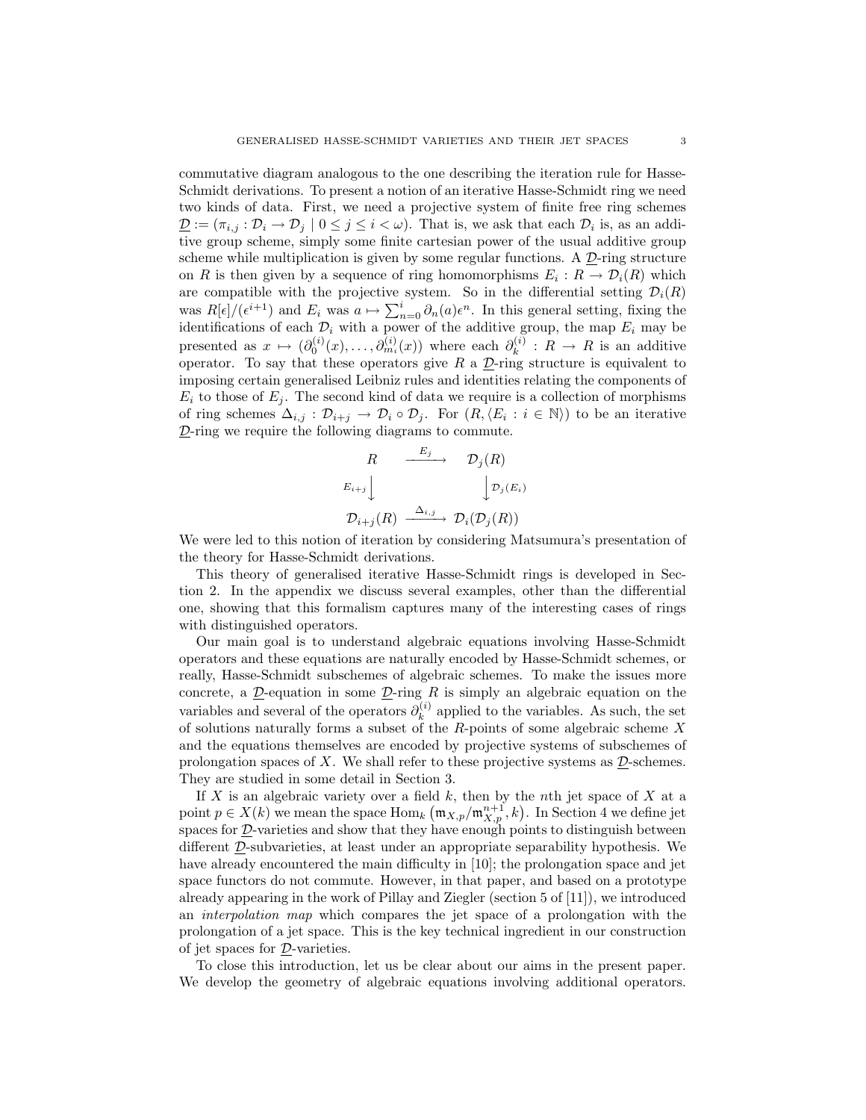commutative diagram analogous to the one describing the iteration rule for Hasse-Schmidt derivations. To present a notion of an iterative Hasse-Schmidt ring we need two kinds of data. First, we need a projective system of finite free ring schemes  $\underline{\mathcal{D}} := (\pi_{i,j} : \mathcal{D}_i \to \mathcal{D}_j \mid 0 \leq j \leq i < \omega)$ . That is, we ask that each  $\mathcal{D}_i$  is, as an additive group scheme, simply some finite cartesian power of the usual additive group scheme while multiplication is given by some regular functions. A  $\mathcal{D}$ -ring structure on R is then given by a sequence of ring homomorphisms  $E_i: R \to \mathcal{D}_i(R)$  which are compatible with the projective system. So in the differential setting  $\mathcal{D}_i(R)$ was  $R[\epsilon]/(\epsilon^{i+1})$  and  $E_i$  was  $a \mapsto \sum_{n=0}^i \partial_n(a) \epsilon^n$ . In this general setting, fixing the identifications of each  $\mathcal{D}_i$  with a power of the additive group, the map  $E_i$  may be presented as  $x \mapsto (\partial_0^{(i)}(x), \ldots, \partial_{m_i}^{(i)}(x))$  where each  $\partial_k^{(i)}$  $\kappa^{(i)}$  :  $R \to R$  is an additive operator. To say that these operators give  $R$  a  $D$ -ring structure is equivalent to imposing certain generalised Leibniz rules and identities relating the components of  $E_i$  to those of  $E_i$ . The second kind of data we require is a collection of morphisms of ring schemes  $\Delta_{i,j} : \mathcal{D}_{i+j} \to \mathcal{D}_i \circ \mathcal{D}_j$ . For  $(R, \langle E_i : i \in \mathbb{N} \rangle)$  to be an iterative  $D$ -ring we require the following diagrams to commute.

$$
R \xrightarrow{E_j} \mathcal{D}_j(R)
$$
  
\n
$$
E_{i+j} \downarrow \qquad \qquad \downarrow \mathcal{D}_j(E_i)
$$
  
\n
$$
\mathcal{D}_{i+j}(R) \xrightarrow{\Delta_{i,j}} \mathcal{D}_i(\mathcal{D}_j(R))
$$

We were led to this notion of iteration by considering Matsumura's presentation of the theory for Hasse-Schmidt derivations.

This theory of generalised iterative Hasse-Schmidt rings is developed in Section 2. In the appendix we discuss several examples, other than the differential one, showing that this formalism captures many of the interesting cases of rings with distinguished operators.

Our main goal is to understand algebraic equations involving Hasse-Schmidt operators and these equations are naturally encoded by Hasse-Schmidt schemes, or really, Hasse-Schmidt subschemes of algebraic schemes. To make the issues more concrete, a  $\underline{\mathcal{D}}$ -equation in some  $\underline{\mathcal{D}}$ -ring R is simply an algebraic equation on the variables and several of the operators  $\partial_k^{(i)}$  $\kappa^{(i)}$  applied to the variables. As such, the set of solutions naturally forms a subset of the  $R$ -points of some algebraic scheme  $X$ and the equations themselves are encoded by projective systems of subschemes of prolongation spaces of X. We shall refer to these projective systems as  $D$ -schemes. They are studied in some detail in Section 3.

If  $X$  is an algebraic variety over a field  $k$ , then by the nth jet space of  $X$  at a point  $p \in X(k)$  we mean the space  $\text{Hom}_k(\mathfrak{m}_{X,p}/\mathfrak{m}_{X,p}^{n+1}, k)$ . In Section 4 we define jet spaces for D-varieties and show that they have enough points to distinguish between different D-subvarieties, at least under an appropriate separability hypothesis. We have already encountered the main difficulty in [10]; the prolongation space and jet space functors do not commute. However, in that paper, and based on a prototype already appearing in the work of Pillay and Ziegler (section 5 of [11]), we introduced an interpolation map which compares the jet space of a prolongation with the prolongation of a jet space. This is the key technical ingredient in our construction of jet spaces for D-varieties.

To close this introduction, let us be clear about our aims in the present paper. We develop the geometry of algebraic equations involving additional operators.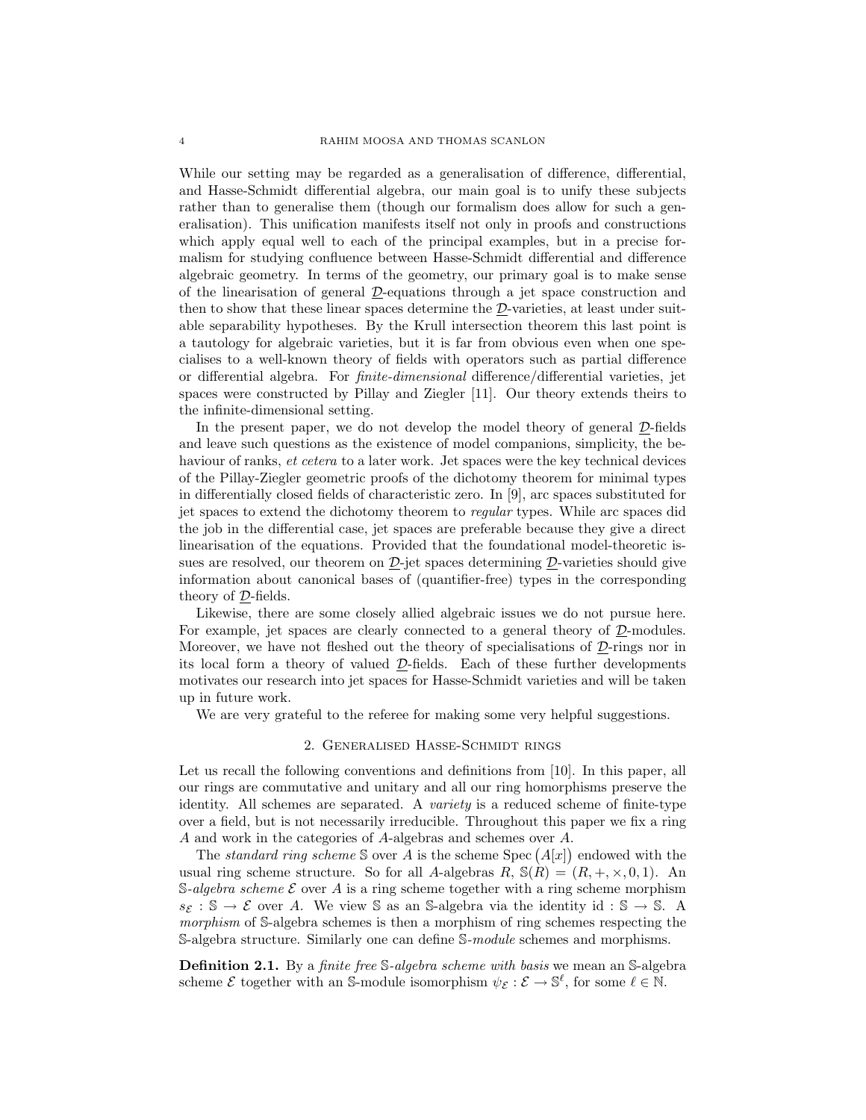While our setting may be regarded as a generalisation of difference, differential, and Hasse-Schmidt differential algebra, our main goal is to unify these subjects rather than to generalise them (though our formalism does allow for such a generalisation). This unification manifests itself not only in proofs and constructions which apply equal well to each of the principal examples, but in a precise formalism for studying confluence between Hasse-Schmidt differential and difference algebraic geometry. In terms of the geometry, our primary goal is to make sense of the linearisation of general D-equations through a jet space construction and then to show that these linear spaces determine the D-varieties, at least under suitable separability hypotheses. By the Krull intersection theorem this last point is a tautology for algebraic varieties, but it is far from obvious even when one specialises to a well-known theory of fields with operators such as partial difference or differential algebra. For finite-dimensional difference/differential varieties, jet spaces were constructed by Pillay and Ziegler [11]. Our theory extends theirs to the infinite-dimensional setting.

In the present paper, we do not develop the model theory of general  $D$ -fields and leave such questions as the existence of model companions, simplicity, the behaviour of ranks, *et cetera* to a later work. Jet spaces were the key technical devices of the Pillay-Ziegler geometric proofs of the dichotomy theorem for minimal types in differentially closed fields of characteristic zero. In [9], arc spaces substituted for jet spaces to extend the dichotomy theorem to regular types. While arc spaces did the job in the differential case, jet spaces are preferable because they give a direct linearisation of the equations. Provided that the foundational model-theoretic issues are resolved, our theorem on  $\mathcal{D}\text{-jet}$  spaces determining  $\mathcal{D}\text{-varieties}$  should give information about canonical bases of (quantifier-free) types in the corresponding theory of D-fields.

Likewise, there are some closely allied algebraic issues we do not pursue here. For example, jet spaces are clearly connected to a general theory of  $D$ -modules. Moreover, we have not fleshed out the theory of specialisations of  $\mathcal{D}$ -rings nor in its local form a theory of valued D-fields. Each of these further developments motivates our research into jet spaces for Hasse-Schmidt varieties and will be taken up in future work.

We are very grateful to the referee for making some very helpful suggestions.

#### 2. Generalised Hasse-Schmidt rings

Let us recall the following conventions and definitions from [10]. In this paper, all our rings are commutative and unitary and all our ring homorphisms preserve the identity. All schemes are separated. A variety is a reduced scheme of finite-type over a field, but is not necessarily irreducible. Throughout this paper we fix a ring A and work in the categories of A-algebras and schemes over A.

The standard ring scheme S over A is the scheme Spec  $(A[x])$  endowed with the usual ring scheme structure. So for all A-algebras  $R$ ,  $\mathbb{S}(\overline{R}) = (R, +, \times, 0, 1)$ . An S-algebra scheme  $\mathcal E$  over A is a ring scheme together with a ring scheme morphism  $s_{\mathcal{E}} : \mathbb{S} \to \mathcal{E}$  over A. We view S as an S-algebra via the identity id : S  $\to$  S. A morphism of S-algebra schemes is then a morphism of ring schemes respecting the S-algebra structure. Similarly one can define S-module schemes and morphisms.

**Definition 2.1.** By a *finite free* S-*algebra scheme with basis* we mean an S-algebra scheme  $\mathcal E$  together with an S-module isomorphism  $\psi_{\mathcal E}: \mathcal E \to \mathbb S^{\ell}$ , for some  $\ell \in \mathbb N$ .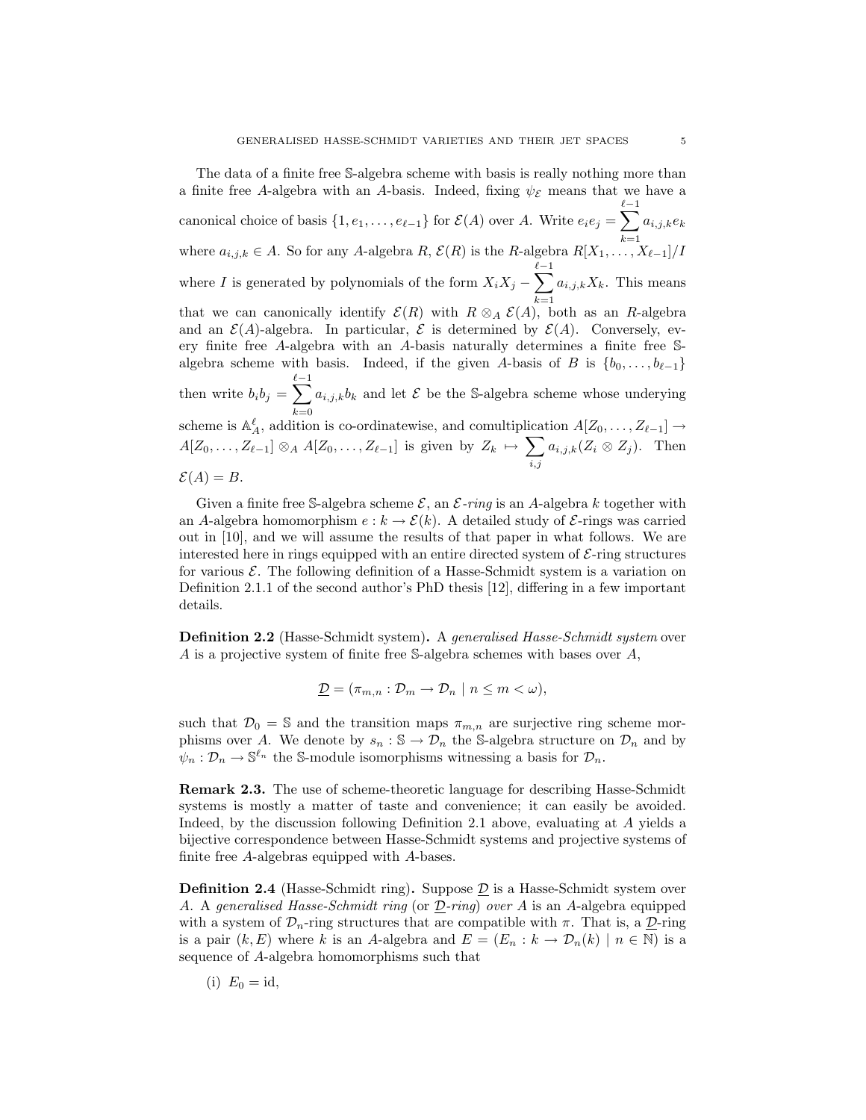The data of a finite free S-algebra scheme with basis is really nothing more than a finite free A-algebra with an A-basis. Indeed, fixing  $\psi_{\mathcal{E}}$  means that we have a canonical choice of basis  $\{1, e_1, \ldots, e_{\ell-1}\}$  for  $\mathcal{E}(A)$  over A. Write  $e_i e_j = \sum_{\ell=1}^{\ell-1}$  $k=1$  $a_{i,j,k}e_k$ where  $a_{i,j,k} \in A$ . So for any A-algebra  $R, \mathcal{E}(R)$  is the R-algebra  $R[X_1, \ldots, X_{\ell-1}]/I$ where *I* is generated by polynomials of the form  $X_i X_j - \sum_{i=1}^{\ell-1}$  $k=1$  $a_{i,j,k}X_k$ . This means that we can canonically identify  $\mathcal{E}(R)$  with  $R \otimes_A \mathcal{E}(A)$ , both as an R-algebra and an  $\mathcal{E}(A)$ -algebra. In particular,  $\mathcal E$  is determined by  $\mathcal E(A)$ . Conversely, every finite free A-algebra with an A-basis naturally determines a finite free Salgebra scheme with basis. Indeed, if the given A-basis of B is  $\{b_0, \ldots, b_{\ell-1}\}\$ then write  $b_i b_j = \sum_{i=1}^{\ell-1}$ scheme is  $\mathbb{A}_{A}^{\ell}$ , addition is co-ordinatewise, and comultiplication  $A[Z_0, \ldots, Z_{\ell-1}]$  →  $a_{i,j,k}b_k$  and let  $\mathcal E$  be the S-algebra scheme whose underying  $A[Z_0, \ldots, Z_{\ell-1}] \otimes_A A[Z_0, \ldots, Z_{\ell-1}]$  is given by  $Z_k \mapsto \sum$  $i,j$  $a_{i,j,k}(Z_i \otimes Z_j)$ . Then  $\mathcal{E}(A) = B.$ 

Given a finite free S-algebra scheme  $\mathcal{E}$ , an  $\mathcal{E}\text{-}ring$  is an A-algebra k together with an A-algebra homomorphism  $e : k \to \mathcal{E}(k)$ . A detailed study of  $\mathcal{E}\text{-rings}$  was carried out in [10], and we will assume the results of that paper in what follows. We are interested here in rings equipped with an entire directed system of  $\mathcal{E}\text{-ring structures}$ for various  $\mathcal{E}$ . The following definition of a Hasse-Schmidt system is a variation on Definition 2.1.1 of the second author's PhD thesis [12], differing in a few important details.

Definition 2.2 (Hasse-Schmidt system). A generalised Hasse-Schmidt system over A is a projective system of finite free S-algebra schemes with bases over A,

$$
\underline{\mathcal{D}} = (\pi_{m,n} : \mathcal{D}_m \to \mathcal{D}_n \mid n \leq m < \omega),
$$

such that  $\mathcal{D}_0 = \mathbb{S}$  and the transition maps  $\pi_{m,n}$  are surjective ring scheme morphisms over A. We denote by  $s_n : \mathbb{S} \to \mathcal{D}_n$  the S-algebra structure on  $\mathcal{D}_n$  and by  $\psi_n: \mathcal{D}_n \to \mathbb{S}^{\ell_n}$  the S-module isomorphisms witnessing a basis for  $\mathcal{D}_n$ .

Remark 2.3. The use of scheme-theoretic language for describing Hasse-Schmidt systems is mostly a matter of taste and convenience; it can easily be avoided. Indeed, by the discussion following Definition 2.1 above, evaluating at A yields a bijective correspondence between Hasse-Schmidt systems and projective systems of finite free A-algebras equipped with A-bases.

**Definition 2.4** (Hasse-Schmidt ring). Suppose  $\mathcal{D}$  is a Hasse-Schmidt system over A. A generalised Hasse-Schmidt ring (or D-ring) over A is an A-algebra equipped with a system of  $\mathcal{D}_n$ -ring structures that are compatible with  $\pi$ . That is, a  $\underline{\mathcal{D}}$ -ring is a pair  $(k, E)$  where k is an A-algebra and  $E = (E_n : k \to \mathcal{D}_n(k) \mid n \in \mathbb{N})$  is a sequence of A-algebra homomorphisms such that

$$
(i) E_0 = id,
$$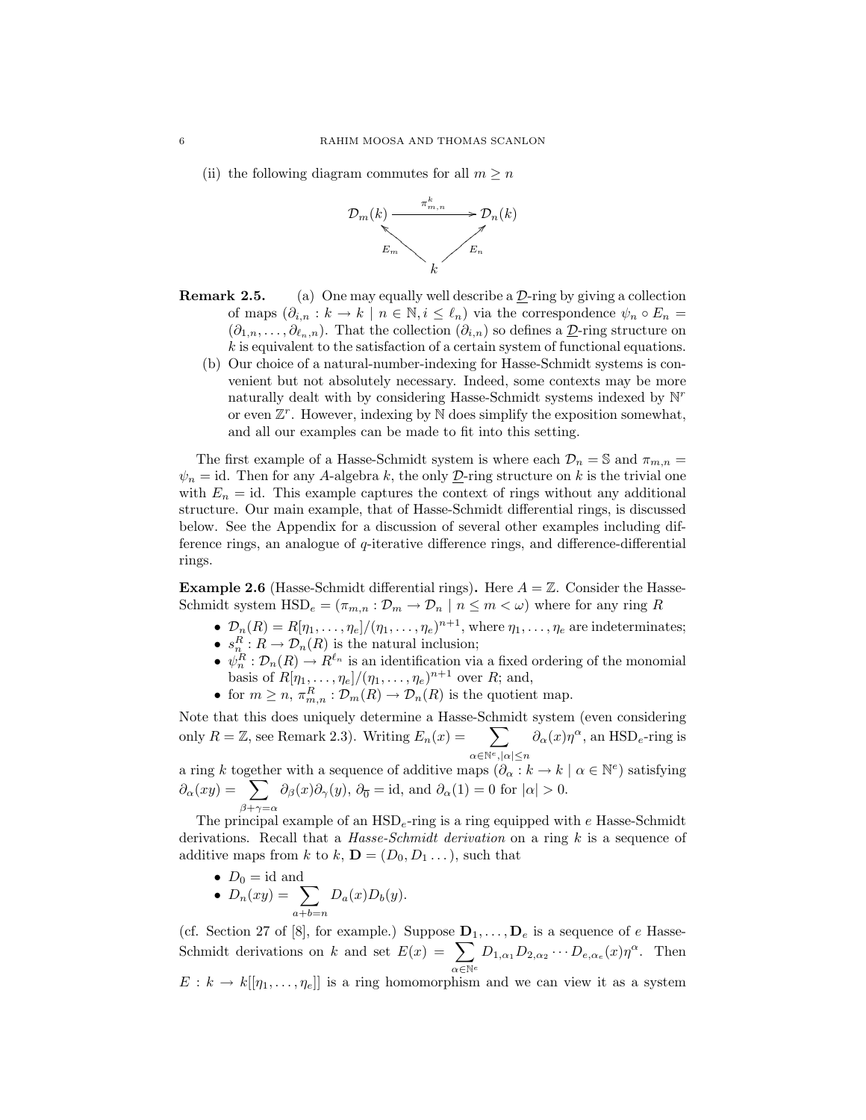(ii) the following diagram commutes for all  $m \geq n$ 



- **Remark 2.5.** (a) One may equally well describe a  $\mathcal{D}$ -ring by giving a collection of maps  $(\partial_{i,n}: k \to k \mid n \in \mathbb{N}, i \leq \ell_n)$  via the correspondence  $\psi_n \circ E_n =$  $(\partial_{1,n},\ldots,\partial_{\ell_n,n})$ . That the collection  $(\partial_{i,n})$  so defines a  $\underline{\mathcal{D}}$ -ring structure on  $k$  is equivalent to the satisfaction of a certain system of functional equations.
	- (b) Our choice of a natural-number-indexing for Hasse-Schmidt systems is convenient but not absolutely necessary. Indeed, some contexts may be more naturally dealt with by considering Hasse-Schmidt systems indexed by  $\mathbb{N}^r$ or even  $\mathbb{Z}^r$ . However, indexing by  $\mathbb N$  does simplify the exposition somewhat, and all our examples can be made to fit into this setting.

The first example of a Hasse-Schmidt system is where each  $\mathcal{D}_n = \mathbb{S}$  and  $\pi_{m,n} =$  $\psi_n = id$ . Then for any A-algebra k, the only  $\mathcal{D}$ -ring structure on k is the trivial one with  $E_n = id$ . This example captures the context of rings without any additional structure. Our main example, that of Hasse-Schmidt differential rings, is discussed below. See the Appendix for a discussion of several other examples including difference rings, an analogue of q-iterative difference rings, and difference-differential rings.

**Example 2.6** (Hasse-Schmidt differential rings). Here  $A = \mathbb{Z}$ . Consider the Hasse-Schmidt system  $\text{HSD}_e = (\pi_{m,n} : \mathcal{D}_m \to \mathcal{D}_n \mid n \leq m < \omega)$  where for any ring R

- $\mathcal{D}_n(R) = R[\eta_1, \ldots, \eta_e]/(\eta_1, \ldots, \eta_e)^{n+1}$ , where  $\eta_1, \ldots, \eta_e$  are indeterminates;
- $s_n^R: R \to \mathcal{D}_n(R)$  is the natural inclusion;
- $\psi_n^R : \mathcal{D}_n(R) \to R^{\ell_n}$  is an identification via a fixed ordering of the monomial basis of  $R[\eta_1,\ldots,\eta_e]/(\eta_1,\ldots,\eta_e)^{n+1}$  over  $R$ ; and,
- for  $m \geq n$ ,  $\pi_{m,n}^R : \mathcal{D}_m(R) \to \mathcal{D}_n(R)$  is the quotient map.

Note that this does uniquely determine a Hasse-Schmidt system (even considering only  $R = \mathbb{Z}$ , see Remark 2.3). Writing  $E_n(x) = \sum$  $\alpha \in \mathbb{N}^e, |\alpha| \leq n$  $\partial_{\alpha}(x)\eta^{\alpha}$ , an HSD<sub>e</sub>-ring is

a ring k together with a sequence of additive maps  $(\overline{\partial_{\alpha}} : k \to k \mid \alpha \in \mathbb{N}^e)$  satisfying  $\partial_{\alpha}(xy) = \sum$  $\beta + \gamma = \alpha$  $\partial_{\beta}(x)\partial_{\gamma}(y), \partial_{\overline{0}} = id$ , and  $\partial_{\alpha}(1) = 0$  for  $|\alpha| > 0$ .

The principal example of an  $HSD<sub>e</sub>$ -ring is a ring equipped with  $e$  Hasse-Schmidt derivations. Recall that a *Hasse-Schmidt derivation* on a ring  $k$  is a sequence of additive maps from k to k,  $\mathbf{D} = (D_0, D_1, \dots)$ , such that

•  $D_0 = \text{id}$  and •  $D_n(xy) = \sum$  $a+b=n$  $D_a(x)D_b(y).$ 

(cf. Section 27 of [8], for example.) Suppose  $\underline{\mathbf{D}}_1, \ldots, \mathbf{D}_e$  is a sequence of  $e$  Hasse-Schmidt derivations on k and set  $E(x) = \sum$  $\alpha \in \mathbb{N}^e$  $D_{1,\alpha_1}D_{2,\alpha_2}\cdots D_{e,\alpha_e}(x)\eta^{\alpha}$ . Then  $E: k \to k[[\eta_1, \ldots, \eta_e]]$  is a ring homomorphism and we can view it as a system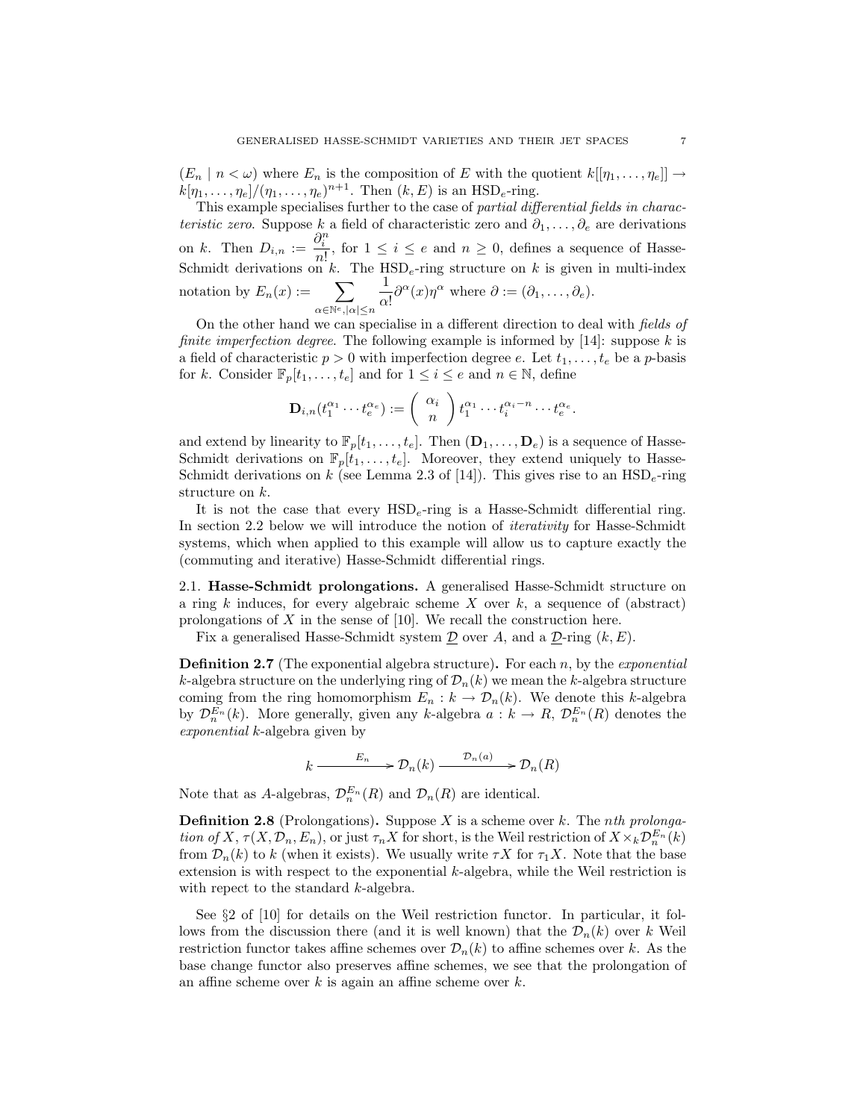$(E_n | n < \omega)$  where  $E_n$  is the composition of E with the quotient  $k[[\eta_1, \ldots, \eta_e]] \rightarrow$  $k[\eta_1,\ldots,\eta_e]/(\eta_1,\ldots,\eta_e)^{n+1}$ . Then  $(k,E)$  is an HSD<sub>e</sub>-ring.

This example specialises further to the case of partial differential fields in characteristic zero. Suppose k a field of characteristic zero and  $\partial_1, \ldots, \partial_e$  are derivations on k. Then  $D_{i,n} := \frac{\partial_i^n}{\partial x_i}$  $\frac{v_i}{n!}$ , for  $1 \leq i \leq e$  and  $n \geq 0$ , defines a sequence of Hasse-Schmidt derivations on k. The  $HSD_e$ -ring structure on k is given in multi-index notation by  $E_n(x) := \sum$  $\alpha \in \mathbb{N}^e, |\alpha| \leq n$ 1  $\frac{1}{\alpha!} \partial^{\alpha}(x) \eta^{\alpha}$  where  $\partial := (\partial_1, \dots, \partial_e)$ .

On the other hand we can specialise in a different direction to deal with fields of *finite imperfection degree.* The following example is informed by [14]: suppose k is a field of characteristic  $p > 0$  with imperfection degree e. Let  $t_1, \ldots, t_e$  be a p-basis for k. Consider  $\mathbb{F}_p[t_1,\ldots,t_e]$  and for  $1 \leq i \leq e$  and  $n \in \mathbb{N}$ , define

$$
\mathbf{D}_{i,n}(t_1^{\alpha_1}\cdots t_e^{\alpha_e}) := \begin{pmatrix} \alpha_i \\ n \end{pmatrix} t_1^{\alpha_1}\cdots t_i^{\alpha_i-n}\cdots t_e^{\alpha_e}.
$$

and extend by linearity to  $\mathbb{F}_p[t_1,\ldots,t_e]$ . Then  $(\mathbf{D}_1,\ldots,\mathbf{D}_e)$  is a sequence of Hasse-Schmidt derivations on  $\mathbb{F}_p[t_1,\ldots,t_e]$ . Moreover, they extend uniquely to Hasse-Schmidt derivations on k (see Lemma 2.3 of [14]). This gives rise to an  $HSD_e$ -ring structure on k.

It is not the case that every  $HSD_e$ -ring is a Hasse-Schmidt differential ring. In section 2.2 below we will introduce the notion of iterativity for Hasse-Schmidt systems, which when applied to this example will allow us to capture exactly the (commuting and iterative) Hasse-Schmidt differential rings.

2.1. Hasse-Schmidt prolongations. A generalised Hasse-Schmidt structure on a ring k induces, for every algebraic scheme X over  $k$ , a sequence of (abstract) prolongations of  $X$  in the sense of [10]. We recall the construction here.

Fix a generalised Hasse-Schmidt system  $\mathcal D$  over A, and a  $\mathcal D$ -ring  $(k, E)$ .

**Definition 2.7** (The exponential algebra structure). For each n, by the *exponential* k-algebra structure on the underlying ring of  $\mathcal{D}_n(k)$  we mean the k-algebra structure coming from the ring homomorphism  $E_n : k \to \mathcal{D}_n(k)$ . We denote this k-algebra by  $\mathcal{D}_{n}^{E_n}(k)$ . More generally, given any k-algebra  $a: k \to R$ ,  $\mathcal{D}_{n}^{E_n}(R)$  denotes the exponential k-algebra given by

$$
k \xrightarrow{E_n} \mathcal{D}_n(k) \xrightarrow{\mathcal{D}_n(a)} \mathcal{D}_n(R)
$$

Note that as A-algebras,  $\mathcal{D}_n^{E_n}(R)$  and  $\mathcal{D}_n(R)$  are identical.

**Definition 2.8** (Prolongations). Suppose X is a scheme over k. The nth prolongation of X,  $\tau(X, \mathcal{D}_n, E_n)$ , or just  $\tau_n X$  for short, is the Weil restriction of  $X \times_k \mathcal{D}_n^{E_n}(k)$ from  $\mathcal{D}_n(k)$  to k (when it exists). We usually write  $\tau X$  for  $\tau_1 X$ . Note that the base extension is with respect to the exponential k-algebra, while the Weil restriction is with repect to the standard *k*-algebra.

See §2 of [10] for details on the Weil restriction functor. In particular, it follows from the discussion there (and it is well known) that the  $\mathcal{D}_n(k)$  over k Weil restriction functor takes affine schemes over  $\mathcal{D}_n(k)$  to affine schemes over k. As the base change functor also preserves affine schemes, we see that the prolongation of an affine scheme over  $k$  is again an affine scheme over  $k$ .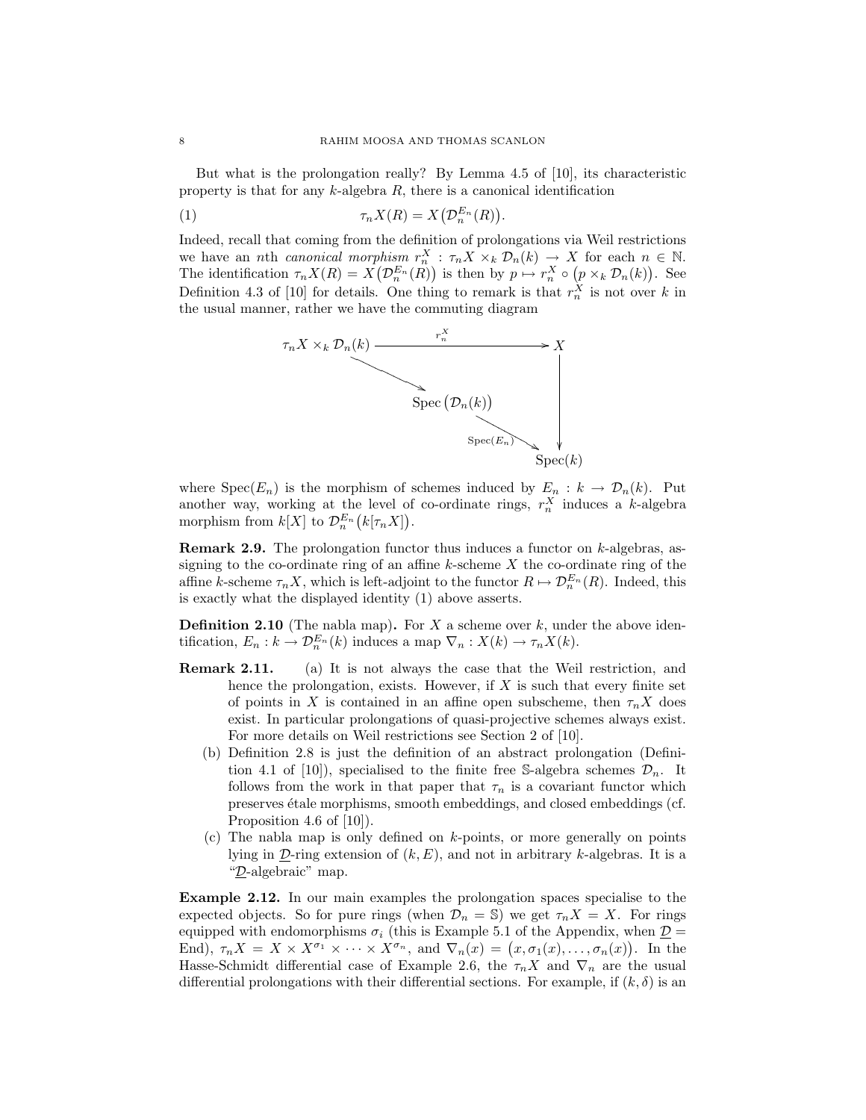But what is the prolongation really? By Lemma 4.5 of [10], its characteristic property is that for any  $k$ -algebra  $R$ , there is a canonical identification

(1) 
$$
\tau_n X(R) = X\big(\mathcal{D}_n^{E_n}(R)\big).
$$

Indeed, recall that coming from the definition of prolongations via Weil restrictions we have an nth canonical morphism  $r_n^X$ :  $\tau_n X \times_k \mathcal{D}_n(k) \to X$  for each  $n \in \mathbb{N}$ . The identification  $\tau_n X(R) = X(\mathcal{D}_n^{E_n}(R))$  is then by  $p \mapsto r_n^X \circ (p \times_k \mathcal{D}_n(k))$ . See Definition 4.3 of [10] for details. One thing to remark is that  $r_n^X$  is not over k in the usual manner, rather we have the commuting diagram



where  $Spec(E_n)$  is the morphism of schemes induced by  $E_n : k \to \mathcal{D}_n(k)$ . Put another way, working at the level of co-ordinate rings,  $r_n^X$  induces a k-algebra morphism from  $k[X]$  to  $\mathcal{D}_n^{E_n}(k[\tau_n X])$ .

**Remark 2.9.** The prolongation functor thus induces a functor on  $k$ -algebras, assigning to the co-ordinate ring of an affine  $k$ -scheme  $X$  the co-ordinate ring of the affine k-scheme  $\tau_n X$ , which is left-adjoint to the functor  $R \mapsto \mathcal{D}_n^{E_n}(R)$ . Indeed, this is exactly what the displayed identity (1) above asserts.

**Definition 2.10** (The nabla map). For  $X$  a scheme over  $k$ , under the above identification,  $E_n : k \to \mathcal{D}_n^{E_n}(k)$  induces a map  $\nabla_n : X(k) \to \tau_n X(k)$ .

- Remark 2.11. (a) It is not always the case that the Weil restriction, and hence the prolongation, exists. However, if  $X$  is such that every finite set of points in X is contained in an affine open subscheme, then  $\tau_n X$  does exist. In particular prolongations of quasi-projective schemes always exist. For more details on Weil restrictions see Section 2 of [10].
	- (b) Definition 2.8 is just the definition of an abstract prolongation (Definition 4.1 of [10]), specialised to the finite free S-algebra schemes  $\mathcal{D}_n$ . It follows from the work in that paper that  $\tau_n$  is a covariant functor which preserves étale morphisms, smooth embeddings, and closed embeddings (cf. Proposition 4.6 of [10]).
	- (c) The nabla map is only defined on  $k$ -points, or more generally on points lying in  $D$ -ring extension of  $(k, E)$ , and not in arbitrary k-algebras. It is a "D-algebraic" map.

Example 2.12. In our main examples the prolongation spaces specialise to the expected objects. So for pure rings (when  $\mathcal{D}_n = \mathbb{S}$ ) we get  $\tau_n X = X$ . For rings equipped with endomorphisms  $\sigma_i$  (this is Example 5.1 of the Appendix, when  $\underline{\mathcal{D}} =$ End),  $\tau_n X = X \times X^{\sigma_1} \times \cdots \times X^{\sigma_n}$ , and  $\nabla_n(x) = (x, \sigma_1(x), \ldots, \sigma_n(x))$ . In the Hasse-Schmidt differential case of Example 2.6, the  $\tau_n X$  and  $\nabla_n$  are the usual differential prolongations with their differential sections. For example, if  $(k, \delta)$  is an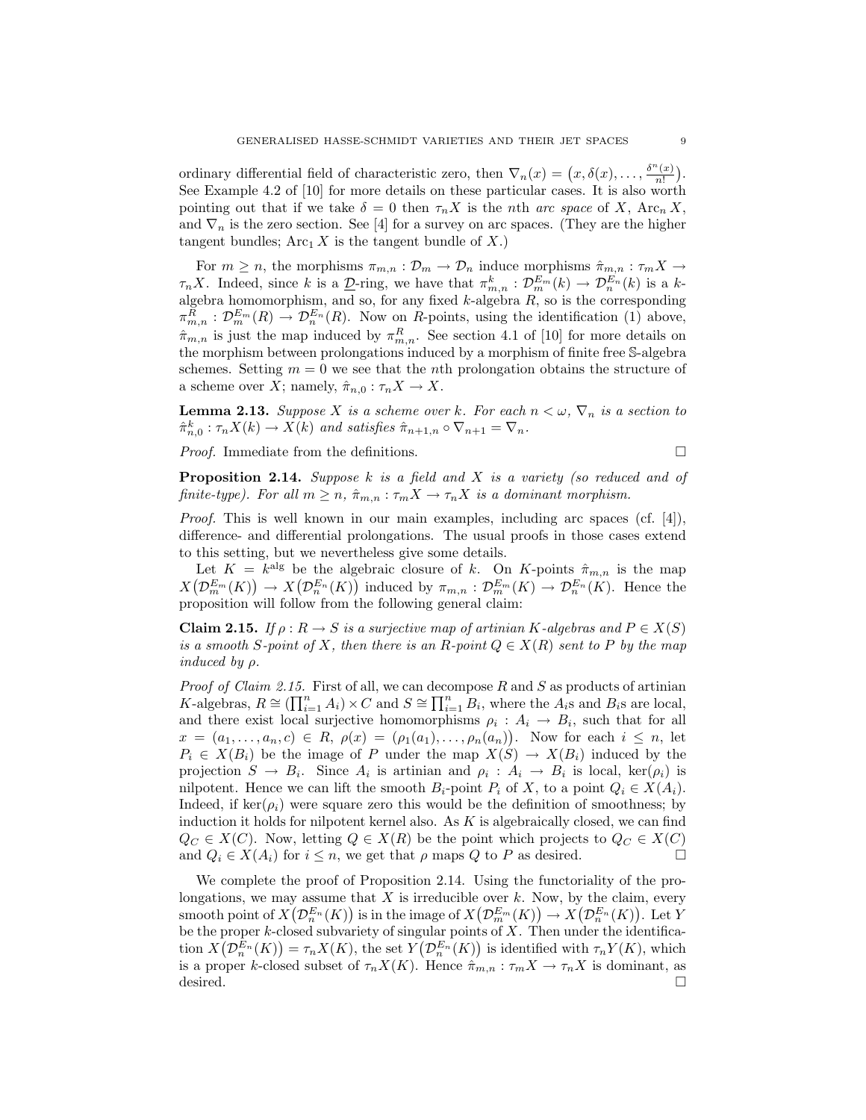ordinary differential field of characteristic zero, then  $\nabla_n(x) = (x, \delta(x), \ldots, \frac{\delta^n(x)}{n!})$  $\frac{f(x)}{n!}$ . See Example 4.2 of [10] for more details on these particular cases. It is also worth pointing out that if we take  $\delta = 0$  then  $\tau_n X$  is the nth arc space of X, Arc<sub>n</sub> X, and  $\nabla_n$  is the zero section. See [4] for a survey on arc spaces. (They are the higher tangent bundles;  $\text{Arc}_1 X$  is the tangent bundle of X.)

For  $m \geq n$ , the morphisms  $\pi_{m,n} : \mathcal{D}_m \to \mathcal{D}_n$  induce morphisms  $\hat{\pi}_{m,n} : \tau_m X \to$  $\tau_n X$ . Indeed, since k is a  $\underline{\mathcal{D}}$ -ring, we have that  $\pi_{m,n}^k : \mathcal{D}_m^{E_m}(k) \to \mathcal{D}_n^{E_n}(k)$  is a kalgebra homomorphism, and so, for any fixed  $k$ -algebra  $R$ , so is the corresponding  $\pi_{m,n}^R : \mathcal{D}_{m}^{E_m}(R) \to \mathcal{D}_{n}^{E_n}(R)$ . Now on R-points, using the identification (1) above,  $\hat{\pi}_{m,n}$  is just the map induced by  $\pi_{m,n}^R$ . See section 4.1 of [10] for more details on the morphism between prolongations induced by a morphism of finite free S-algebra schemes. Setting  $m = 0$  we see that the *n*th prolongation obtains the structure of a scheme over X; namely,  $\hat{\pi}_{n,0} : \tau_n X \to X$ .

**Lemma 2.13.** Suppose X is a scheme over k. For each  $n < \omega$ ,  $\nabla_n$  is a section to  $\hat{\pi}_{n,0}^k : \tau_n X(k) \to X(k)$  and satisfies  $\hat{\pi}_{n+1,n} \circ \nabla_{n+1} = \nabla_n$ .

Proof. Immediate from the definitions.

$$
\qquad \qquad \Box
$$

**Proposition 2.14.** Suppose  $k$  is a field and  $X$  is a variety (so reduced and of finite-type). For all  $m \geq n$ ,  $\hat{\pi}_{m,n} : \tau_m X \to \tau_n X$  is a dominant morphism.

Proof. This is well known in our main examples, including arc spaces (cf. [4]), difference- and differential prolongations. The usual proofs in those cases extend to this setting, but we nevertheless give some details.

Let  $K = k^{\text{alg}}$  be the algebraic closure of k. On K-points  $\hat{\pi}_{m,n}$  is the map  $X(\mathcal{D}_{m}^{E_m}(K)) \to X(\mathcal{D}_{n}^{E_n}(K))$  induced by  $\pi_{m,n} : \mathcal{D}_{m}^{E_m}(K) \to \mathcal{D}_{n}^{E_n}(K)$ . Hence the proposition will follow from the following general claim:

**Claim 2.15.** If  $\rho : R \to S$  is a surjective map of artinian K-algebras and  $P \in X(S)$ is a smooth S-point of X, then there is an R-point  $Q \in X(R)$  sent to P by the map induced by  $\rho$ .

*Proof of Claim 2.15.* First of all, we can decompose  $R$  and  $S$  as products of artinian K-algebras,  $R \cong \left(\prod_{i=1}^n A_i\right) \times C$  and  $S \cong \prod_{i=1}^n B_i$ , where the  $A_i$ s and  $B_i$ s are local, and there exist local surjective homomorphisms  $\rho_i$ :  $A_i \rightarrow B_i$ , such that for all  $x = (a_1, ..., a_n, c) \in R$ ,  $\rho(x) = (\rho_1(a_1), ..., \rho_n(a_n))$ . Now for each  $i \leq n$ , let  $P_i \in X(B_i)$  be the image of P under the map  $X(S) \to X(B_i)$  induced by the projection  $S \to B_i$ . Since  $A_i$  is artinian and  $\rho_i : A_i \to B_i$  is local,  $\ker(\rho_i)$  is nilpotent. Hence we can lift the smooth  $B_i$ -point  $P_i$  of X, to a point  $Q_i \in X(A_i)$ . Indeed, if ker( $\rho_i$ ) were square zero this would be the definition of smoothness; by induction it holds for nilpotent kernel also. As  $K$  is algebraically closed, we can find  $Q_C \in X(C)$ . Now, letting  $Q \in X(R)$  be the point which projects to  $Q_C \in X(C)$ and  $Q_i \in X(A_i)$  for  $i \leq n$ , we get that  $\rho$  maps  $Q$  to  $P$  as desired.

We complete the proof of Proposition 2.14. Using the functoriality of the prolongations, we may assume that  $X$  is irreducible over  $k$ . Now, by the claim, every smooth point of  $X(\mathcal{D}_n^{E_n}(K))$  is in the image of  $X(\mathcal{D}_m^{E_m}(K)) \to X(\mathcal{D}_n^{E_n}(K))$ . Let Y be the proper  $k$ -closed subvariety of singular points of  $X$ . Then under the identification  $X(\mathcal{D}_{n}^{E_n}(K)) = \tau_n X(K)$ , the set  $Y(\mathcal{D}_{n}^{E_n}(K))$  is identified with  $\tau_n Y(K)$ , which is a proper k-closed subset of  $\tau_n X(K)$ . Hence  $\hat{\pi}_{m,n} : \tau_m X \to \tau_n X$  is dominant, as desired.  $\Box$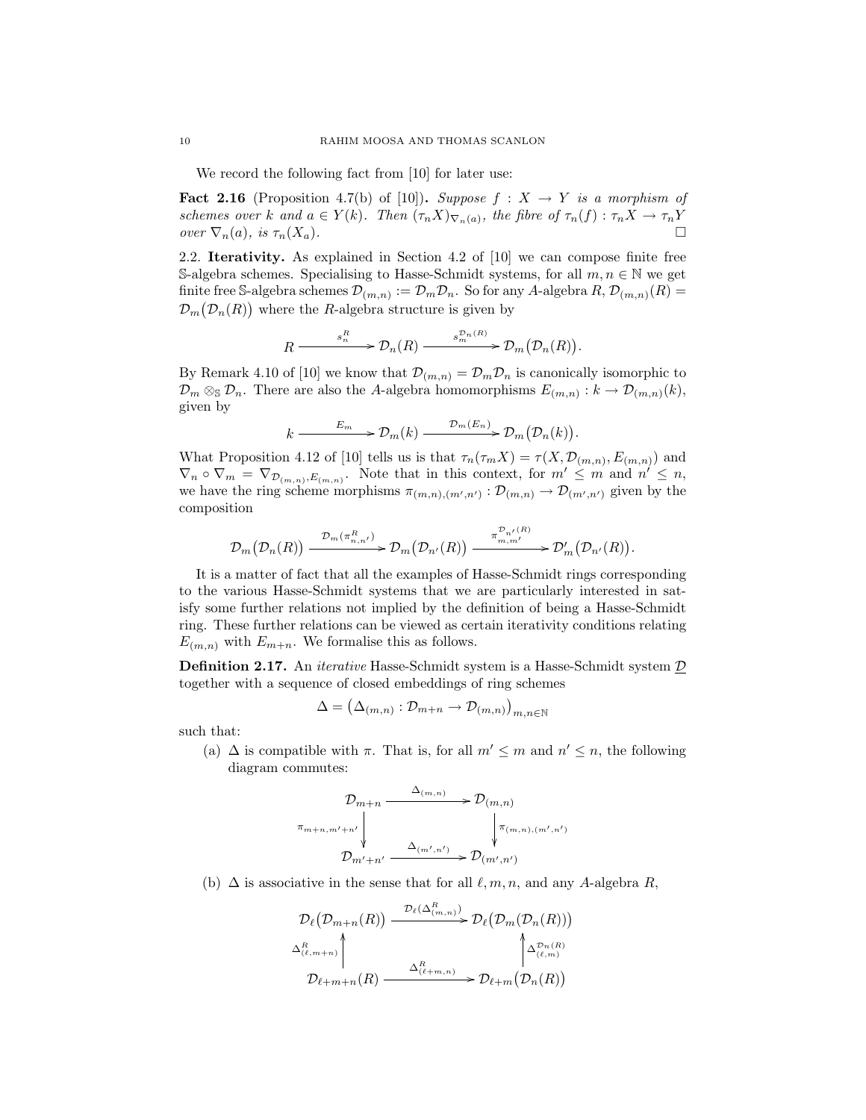We record the following fact from [10] for later use:

**Fact 2.16** (Proposition 4.7(b) of [10]). Suppose  $f : X \rightarrow Y$  is a morphism of schemes over k and  $a \in Y(k)$ . Then  $(\tau_n X)_{\nabla_n(a)}$ , the fibre of  $\tau_n(f) : \tau_n X \to \tau_n Y$ over  $\nabla_n(a)$ , is  $\tau_n(X_a)$ .

2.2. Iterativity. As explained in Section 4.2 of [10] we can compose finite free S-algebra schemes. Specialising to Hasse-Schmidt systems, for all  $m, n \in \mathbb{N}$  we get finite free S-algebra schemes  $\mathcal{D}_{(m,n)} := \mathcal{D}_m \mathcal{D}_n$ . So for any A-algebra  $R, \mathcal{D}_{(m,n)}(R) =$  $\mathcal{D}_m(\mathcal{D}_n(R))$  where the R-algebra structure is given by

$$
R \xrightarrow{\qquad s_n^R} \mathcal{D}_n(R) \xrightarrow{\qquad s_m^{\mathcal{D}_n(R)}} \mathcal{D}_m(\mathcal{D}_n(R)).
$$

By Remark 4.10 of [10] we know that  $\mathcal{D}_{(m,n)} = \mathcal{D}_m \mathcal{D}_n$  is canonically isomorphic to  $\mathcal{D}_m \otimes_{\mathbb{S}} \mathcal{D}_n$ . There are also the A-algebra homomorphisms  $E_{(m,n)} : k \to \mathcal{D}_{(m,n)}(k)$ , given by

$$
k \xrightarrow{E_m} \mathcal{D}_m(k) \xrightarrow{\mathcal{D}_m(E_n)} \mathcal{D}_m(\mathcal{D}_n(k)).
$$

What Proposition 4.12 of [10] tells us is that  $\tau_n(\tau_m X) = \tau(X, \mathcal{D}_{(m,n)}, E_{(m,n)})$  and  $\nabla_n \circ \nabla_m = \nabla_{\mathcal{D}_{(m,n)},E_{(m,n)}}$ . Note that in this context, for  $m' \leq m$  and  $n' \leq n$ , we have the ring scheme morphisms  $\pi_{(m,n),(m',n')} : \mathcal{D}_{(m,n)} \to \mathcal{D}_{(m',n')}$  given by the composition

$$
\mathcal{D}_m(\mathcal{D}_n(R)) \xrightarrow{\mathcal{D}_m(\pi_{n,n'}^R)} \mathcal{D}_m(\mathcal{D}_{n'}(R)) \xrightarrow{\pi_{m,m'}^{\mathcal{D}_{n'}(R)}} \mathcal{D}'_m(\mathcal{D}_{n'}(R)).
$$

It is a matter of fact that all the examples of Hasse-Schmidt rings corresponding to the various Hasse-Schmidt systems that we are particularly interested in satisfy some further relations not implied by the definition of being a Hasse-Schmidt ring. These further relations can be viewed as certain iterativity conditions relating  $E_{(m,n)}$  with  $E_{m+n}$ . We formalise this as follows.

**Definition 2.17.** An *iterative* Hasse-Schmidt system is a Hasse-Schmidt system  $D$ together with a sequence of closed embeddings of ring schemes

$$
\Delta = (\Delta_{(m,n)} : \mathcal{D}_{m+n} \to \mathcal{D}_{(m,n)})_{m,n \in \mathbb{N}}
$$

such that:

(a)  $\Delta$  is compatible with  $\pi$ . That is, for all  $m' \leq m$  and  $n' \leq n$ , the following diagram commutes:

$$
\mathcal{D}_{m+n} \xrightarrow{\Delta_{(m,n)}} \mathcal{D}_{(m,n)}
$$
\n
$$
\pi_{m+n,m'+n'} \downarrow \qquad \qquad \downarrow \qquad \qquad \downarrow \pi_{(m,n),(m',n')}
$$
\n
$$
\mathcal{D}_{m'+n'} \xrightarrow{\Delta_{(m',n')}} \mathcal{D}_{(m',n')}
$$

(b)  $\Delta$  is associative in the sense that for all  $\ell, m, n$ , and any A-algebra R,

$$
\mathcal{D}_{\ell}(\mathcal{D}_{m+n}(R)) \xrightarrow{\mathcal{D}_{\ell}(\Delta_{(m,n)}^R)} \mathcal{D}_{\ell}(\mathcal{D}_{m}(\mathcal{D}_{n}(R)))
$$
\n
$$
\Delta_{(\ell,m+n)}^R \downarrow \uparrow \uparrow
$$
\n
$$
\mathcal{D}_{\ell+m+n}(R) \xrightarrow{\Delta_{(\ell+m,n)}^R} \mathcal{D}_{\ell+m}(\mathcal{D}_{n}(R))
$$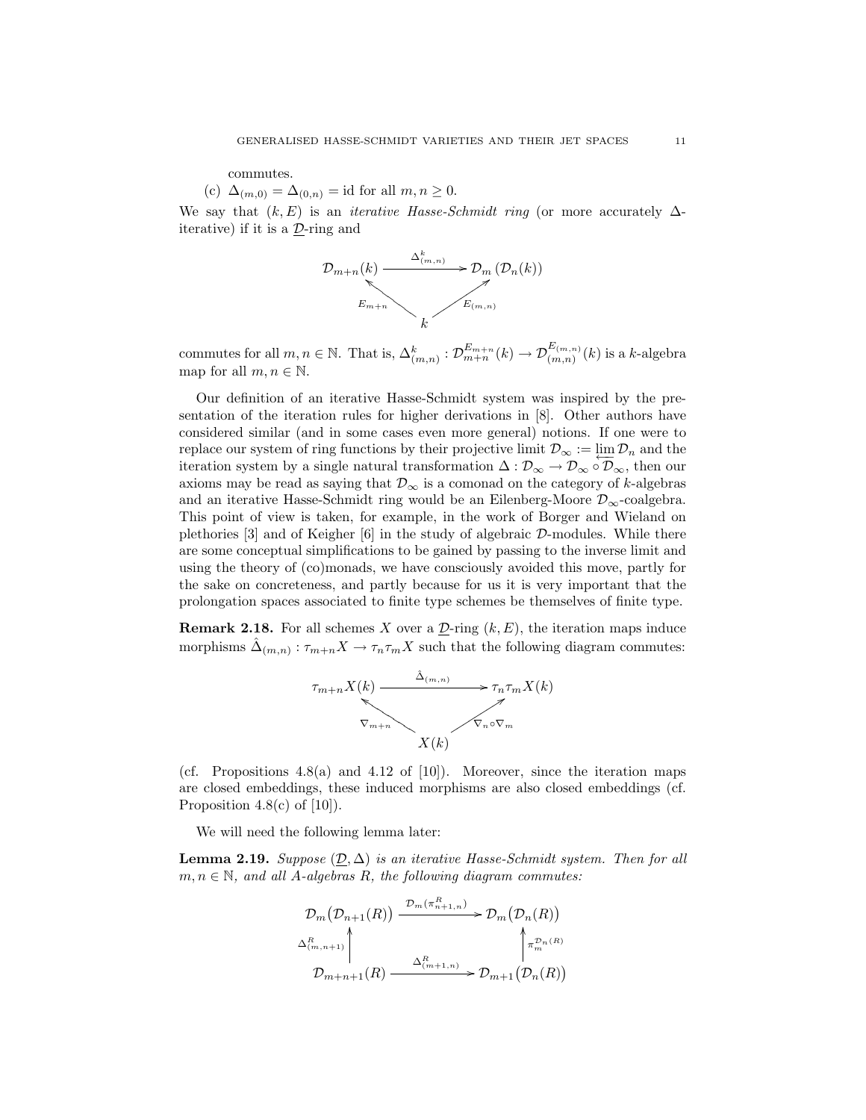commutes.

(c)  $\Delta_{(m,0)} = \Delta_{(0,n)} = \text{id}$  for all  $m, n \geq 0$ .

We say that  $(k, E)$  is an *iterative Hasse-Schmidt ring* (or more accurately  $\Delta$ iterative) if it is a  $D$ -ring and



commutes for all  $m, n \in \mathbb{N}$ . That is,  $\Delta_{(m,n)}^k : \mathcal{D}_{m+n}^{E_{m+n}}(k) \to \mathcal{D}_{(m,n)}^{E_{(m,n)}}(k)$  is a k-algebra map for all  $m, n \in \mathbb{N}$ .

Our definition of an iterative Hasse-Schmidt system was inspired by the presentation of the iteration rules for higher derivations in [8]. Other authors have considered similar (and in some cases even more general) notions. If one were to replace our system of ring functions by their projective limit  $\mathcal{D}_{\infty} := \lim_{n \to \infty} \mathcal{D}_n$  and the iteration system by a single natural transformation  $\Delta : \mathcal{D}_{\infty} \to \mathcal{D}_{\infty} \circ \mathcal{D}_{\infty}$ , then our axioms may be read as saying that  $\mathcal{D}_{\infty}$  is a comonad on the category of k-algebras and an iterative Hasse-Schmidt ring would be an Eilenberg-Moore  $\mathcal{D}_{\infty}$ -coalgebra. This point of view is taken, for example, in the work of Borger and Wieland on plethories [3] and of Keigher [6] in the study of algebraic D-modules. While there are some conceptual simplifications to be gained by passing to the inverse limit and using the theory of (co)monads, we have consciously avoided this move, partly for the sake on concreteness, and partly because for us it is very important that the prolongation spaces associated to finite type schemes be themselves of finite type.

**Remark 2.18.** For all schemes X over a  $\underline{\mathcal{D}}$ -ring  $(k, E)$ , the iteration maps induce morphisms  $\hat{\Delta}_{(m,n)} : \tau_{m+n} X \to \tau_n \tau_m X$  such that the following diagram commutes:



(cf. Propositions  $4.8(a)$  and  $4.12$  of [10]). Moreover, since the iteration maps are closed embeddings, these induced morphisms are also closed embeddings (cf. Proposition 4.8(c) of  $[10]$ ).

We will need the following lemma later:

**Lemma 2.19.** Suppose  $(\mathcal{D}, \Delta)$  is an iterative Hasse-Schmidt system. Then for all  $m, n \in \mathbb{N}$ , and all A-algebras R, the following diagram commutes:

$$
\mathcal{D}_{m}(\mathcal{D}_{n+1}(R)) \xrightarrow{\mathcal{D}_{m}(\pi_{n+1,n}^{R})} \mathcal{D}_{m}(\mathcal{D}_{n}(R))
$$
  

$$
\Delta_{(m,n+1)}^{R} \uparrow \uparrow_{m+n+1}^{R} (\mathcal{D}_{m+1}(R)) \xrightarrow{\Delta_{(m+1,n)}^{R}} \mathcal{D}_{m+1}(\mathcal{D}_{n}(R))
$$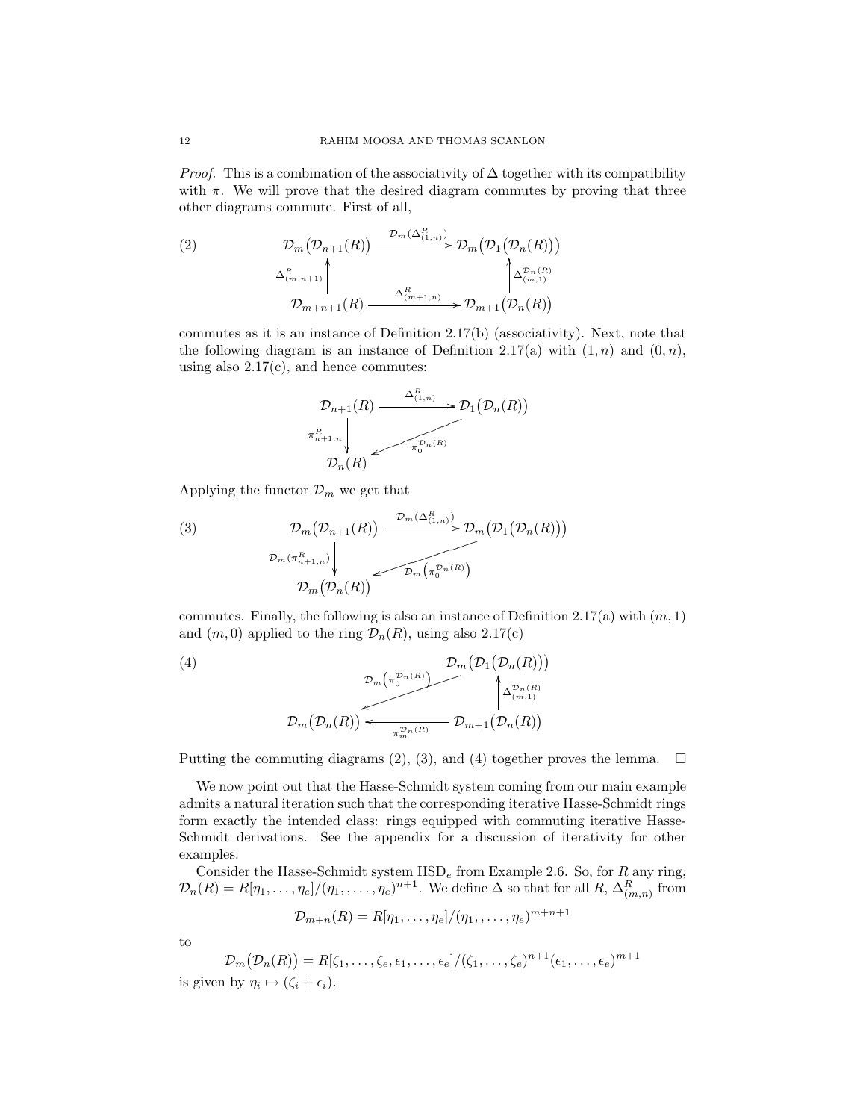*Proof.* This is a combination of the associativity of  $\Delta$  together with its compatibility with  $\pi$ . We will prove that the desired diagram commutes by proving that three other diagrams commute. First of all,

(2) 
$$
\mathcal{D}_{m}(\mathcal{D}_{n+1}(R)) \xrightarrow{\mathcal{D}_{m}(\Delta_{(1,n)}^R)} \mathcal{D}_{m}(\mathcal{D}_{1}(\mathcal{D}_{n}(R)))
$$

$$
\Delta_{(m,n+1)}^R \downarrow \wedge_{(m+1)}^R \downarrow \wedge_{(m,n)}^R \mathcal{D}_{m+n+1}(R) \xrightarrow{\Delta_{(m+1,n)}^R} \mathcal{D}_{m+1}(\mathcal{D}_{n}(R))
$$

commutes as it is an instance of Definition 2.17(b) (associativity). Next, note that the following diagram is an instance of Definition 2.17(a) with  $(1, n)$  and  $(0, n)$ , using also  $2.17(c)$ , and hence commutes:



Applying the functor  $\mathcal{D}_m$  we get that

(3) 
$$
\mathcal{D}_m(\mathcal{D}_{n+1}(R)) \xrightarrow{\mathcal{D}_m(\Delta_{(1,n)}^R)} \mathcal{D}_m(\mathcal{D}_1(\mathcal{D}_n(R)))
$$

$$
\mathcal{D}_m(\pi_{n+1,n}^R) \downarrow \longrightarrow \mathcal{D}_m(\pi_0^{\mathcal{D}_n(R)})
$$

$$
\mathcal{D}_m(\mathcal{D}_n(R)) \longrightarrow \mathcal{D}_m(\pi_0^{\mathcal{D}_n(R)})
$$

commutes. Finally, the following is also an instance of Definition 2.17(a) with  $(m, 1)$ and  $(m, 0)$  applied to the ring  $\mathcal{D}_n(R)$ , using also 2.17(c)

(4)  
\n
$$
\mathcal{D}_{m}\left(\pi_{0}^{\mathcal{D}_{n}(R)}\right) \xrightarrow{\mathcal{D}_{m}\left(\mathcal{D}_{1}\left(\mathcal{D}_{n}(R)\right)\right)} \mathcal{D}_{m}\left(\mathcal{D}_{1}\left(\mathcal{D}_{n}(R)\right)\right)
$$
\n
$$
\mathcal{D}_{m}\left(\mathcal{D}_{n}(R)\right) \xleftarrow{\mathcal{D}_{m}\left(\pi_{0}^{\mathcal{D}_{n}(R)}\right)} \mathcal{D}_{m+1}\left(\mathcal{D}_{n}(R)\right)
$$

Putting the commuting diagrams (2), (3), and (4) together proves the lemma.  $\Box$ 

We now point out that the Hasse-Schmidt system coming from our main example admits a natural iteration such that the corresponding iterative Hasse-Schmidt rings form exactly the intended class: rings equipped with commuting iterative Hasse-Schmidt derivations. See the appendix for a discussion of iterativity for other examples.

Consider the Hasse-Schmidt system  $HSD<sub>e</sub>$  from Example 2.6. So, for R any ring,  $\mathcal{D}_n(R) = R[\eta_1,\ldots,\eta_e]/(\eta_1,\ldots,\eta_e)^{n+1}$ . We define  $\Delta$  so that for all  $R, \Delta^R_{(m,n)}$  from

$$
\mathcal{D}_{m+n}(R) = R[\eta_1,\ldots,\eta_e]/(\eta_1,\ldots,\eta_e)^{m+n+1}
$$

to

$$
\mathcal{D}_m(\mathcal{D}_n(R)) = R[\zeta_1, \dots, \zeta_e, \epsilon_1, \dots, \epsilon_e] / (\zeta_1, \dots, \zeta_e)^{n+1} (\epsilon_1, \dots, \epsilon_e)^{m+1}
$$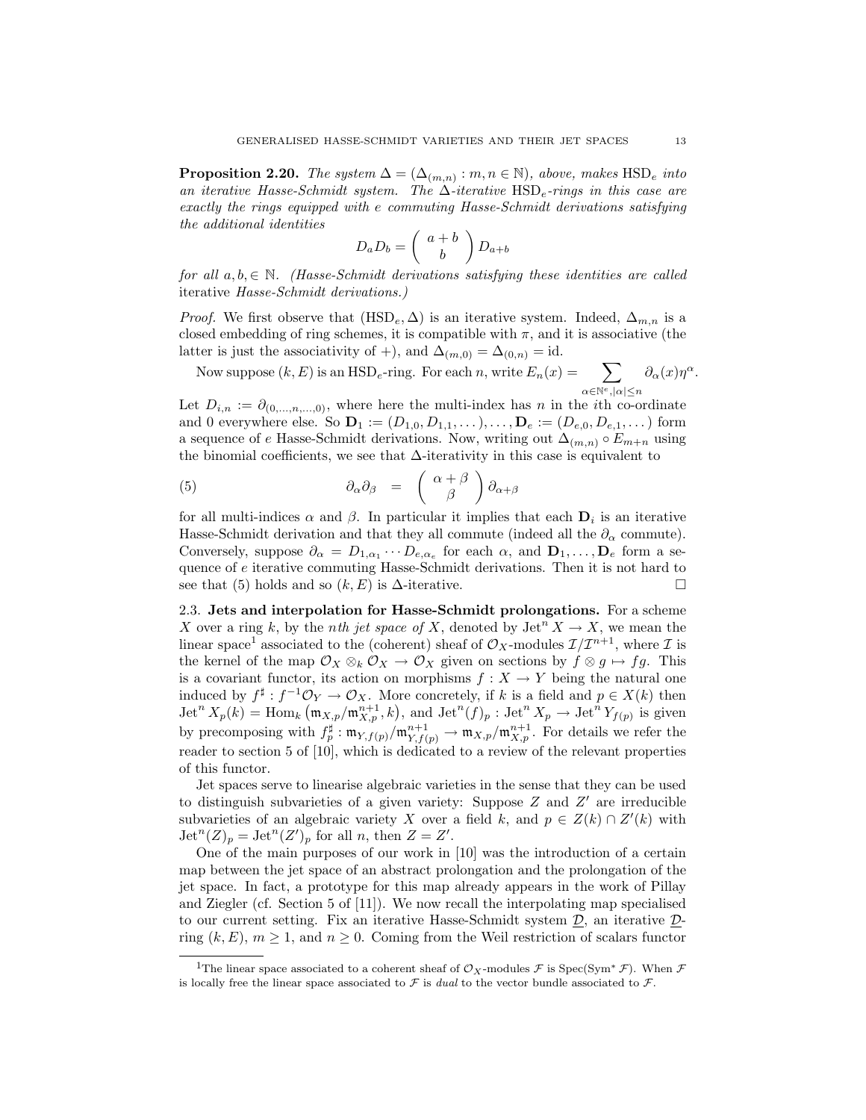**Proposition 2.20.** The system  $\Delta = (\Delta_{(m,n)} : m, n \in \mathbb{N})$ , above, makes  $\text{HSD}_e$  into an iterative Hasse-Schmidt system. The  $\Delta$ -iterative HSD<sub>e</sub>-rings in this case are exactly the rings equipped with e commuting Hasse-Schmidt derivations satisfying the additional identities

$$
D_a D_b = \left(\begin{array}{c} a+b \\ b \end{array}\right) D_{a+b}
$$

for all  $a, b \in \mathbb{N}$ . (Hasse-Schmidt derivations satisfying these identities are called iterative Hasse-Schmidt derivations.)

*Proof.* We first observe that  $(HSD_e, \Delta)$  is an iterative system. Indeed,  $\Delta_{m,n}$  is a closed embedding of ring schemes, it is compatible with  $\pi$ , and it is associative (the latter is just the associativity of +), and  $\Delta_{(m,0)} = \Delta_{(0,n)} = id$ .

Now suppose  $(k, E)$  is an HSD<sub>e</sub>-ring. For each n, write  $E_n(x) =$  $\alpha \in \mathbb{N}^e, |\alpha| \leq n$  $\partial_{\alpha}(x)\eta^{\alpha}$ .

Let  $D_{i,n} := \partial_{(0,\ldots,n,\ldots,0)}$ , where here the multi-index has n in the *i*th co-ordinate and 0 everywhere else. So  $\mathbf{D}_1 := (D_{1,0}, D_{1,1}, \ldots), \ldots, \mathbf{D}_e := (D_{e,0}, D_{e,1}, \ldots)$  form a sequence of e Hasse-Schmidt derivations. Now, writing out  $\Delta_{(m,n)} \circ E_{m+n}$  using the binomial coefficients, we see that  $\Delta$ -iterativity in this case is equivalent to

(5) 
$$
\partial_{\alpha}\partial_{\beta} = \begin{pmatrix} \alpha + \beta \\ \beta \end{pmatrix} \partial_{\alpha + \beta}
$$

for all multi-indices  $\alpha$  and  $\beta$ . In particular it implies that each  $\mathbf{D}_i$  is an iterative Hasse-Schmidt derivation and that they all commute (indeed all the  $\partial_{\alpha}$  commute). Conversely, suppose  $\partial_{\alpha} = D_{1,\alpha_1} \cdots D_{e,\alpha_e}$  for each  $\alpha$ , and  $\mathbf{D}_1, \ldots, \mathbf{D}_e$  form a sequence of e iterative commuting Hasse-Schmidt derivations. Then it is not hard to see that (5) holds and so  $(k, E)$  is  $\Delta$ -iterative.

2.3. Jets and interpolation for Hasse-Schmidt prolongations. For a scheme X over a ring k, by the *nth jet space of* X, denoted by  $\mathrm{Jet}^n X \to X$ , we mean the linear space<sup>1</sup> associated to the (coherent) sheaf of  $\mathcal{O}_X$ -modules  $\mathcal{I}/\mathcal{I}^{n+1}$ , where  $\mathcal I$  is the kernel of the map  $\mathcal{O}_X \otimes_k \mathcal{O}_X \to \mathcal{O}_X$  given on sections by  $f \otimes g \mapsto fg$ . This is a covariant functor, its action on morphisms  $f : X \to Y$  being the natural one induced by  $f^{\sharp}: f^{-1}\mathcal{O}_Y \to \mathcal{O}_X$ . More concretely, if k is a field and  $p \in X(k)$  then  $\mathrm{Jet}^n X_p(k) = \mathrm{Hom}_k \left( \mathfrak{m}_{X,p} / \mathfrak{m}_{X,p}^{n+1}, k \right), \text{ and } \mathrm{Jet}^n(f)_p : \mathrm{Jet}^n X_p \to \mathrm{Jet}^n Y_{f(p)}$  is given by precomposing with  $f_p^{\sharp}: \mathfrak{m}_{Y,f(p)}/\mathfrak{m}_{Y,f(p)}^{n+1} \to \mathfrak{m}_{X,p}/\mathfrak{m}_{X,p}^{n+1}$ . For details we refer the reader to section 5 of [10], which is dedicated to a review of the relevant properties of this functor.

Jet spaces serve to linearise algebraic varieties in the sense that they can be used to distinguish subvarieties of a given variety: Suppose  $Z$  and  $Z'$  are irreducible subvarieties of an algebraic variety X over a field k, and  $p \in Z(k) \cap Z'(k)$  with  $\mathrm{Jet}^n(Z)_p = \mathrm{Jet}^n(Z')_p$  for all n, then  $Z = Z'.$ 

One of the main purposes of our work in [10] was the introduction of a certain map between the jet space of an abstract prolongation and the prolongation of the jet space. In fact, a prototype for this map already appears in the work of Pillay and Ziegler (cf. Section 5 of [11]). We now recall the interpolating map specialised to our current setting. Fix an iterative Hasse-Schmidt system D, an iterative Dring  $(k, E)$ ,  $m \geq 1$ , and  $n \geq 0$ . Coming from the Weil restriction of scalars functor

<sup>&</sup>lt;sup>1</sup>The linear space associated to a coherent sheaf of  $\mathcal{O}_X$ -modules  $\mathcal F$  is Spec(Sym<sup>∗</sup>  $\mathcal F$ ). When  $\mathcal F$ is locally free the linear space associated to  $\mathcal F$  is *dual* to the vector bundle associated to  $\mathcal F$ .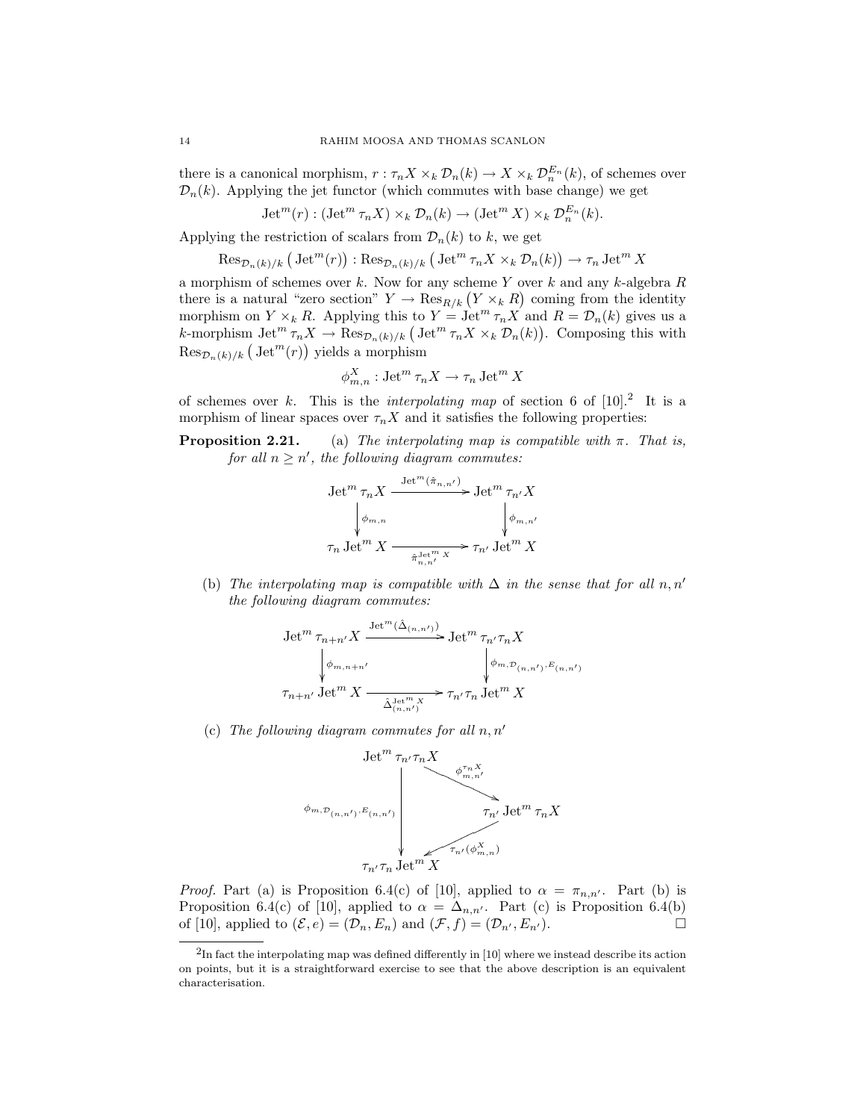there is a canonical morphism,  $r : \tau_n X \times_k \mathcal{D}_n(k) \to X \times_k \mathcal{D}_n^{E_n}(k)$ , of schemes over  $\mathcal{D}_n(k)$ . Applying the jet functor (which commutes with base change) we get

$$
Jet^{m}(r) : (Jet^{m} \tau_{n} X) \times_{k} \mathcal{D}_{n}(k) \to (Jet^{m} X) \times_{k} \mathcal{D}_{n}^{E_{n}}(k).
$$

Applying the restriction of scalars from  $\mathcal{D}_n(k)$  to k, we get

$$
\operatorname{Res}_{\mathcal{D}_n(k)/k} (\operatorname{Jet}^m(r)) : \operatorname{Res}_{\mathcal{D}_n(k)/k} (\operatorname{Jet}^m \tau_n X \times_k \mathcal{D}_n(k)) \to \tau_n \operatorname{Jet}^m X
$$

a morphism of schemes over k. Now for any scheme Y over k and any k-algebra  $R$ there is a natural "zero section"  $Y \to \text{Res}_{R/k} (Y \times_k R)$  coming from the identity morphism on  $Y \times_k R$ . Applying this to  $Y = \text{Jet}^m \tau_n X$  and  $R = \mathcal{D}_n(k)$  gives us a k-morphism  $\mathrm{Jet}^m \tau_n X \to \mathrm{Res}_{\mathcal{D}_n(k)/k} \left( \mathrm{Jet}^m \tau_n X \times_k \mathcal{D}_n(k) \right)$ . Composing this with  $\operatorname{Res}_{\mathcal{D}_n(k)/k} \left( \operatorname{Jet}^m(r) \right)$  yields a morphism

$$
\phi_{m,n}^X : \operatorname{Jet}^m \tau_n X \to \tau_n \operatorname{Jet}^m X
$$

of schemes over k. This is the *interpolating map* of section 6 of  $[10]<sup>2</sup>$  It is a morphism of linear spaces over  $\tau_n X$  and it satisfies the following properties:

**Proposition 2.21.** (a) The interpolating map is compatible with  $\pi$ . That is, for all  $n \geq n'$ , the following diagram commutes:

$$
\begin{aligned}\n\operatorname{Jet}^m\tau_nX &\xrightarrow{\operatorname{Jet}^m(\hat{\pi}_{n,n'})} \operatorname{Jet}^m\tau_{n'}X \\
\downarrow^{\phi_{m,n}} &\downarrow^{\phi_{m,n'}} \\
\tau_n\operatorname{Jet}^mX &\xrightarrow{\pi_{n,n'}X} \tau_{n'}\operatorname{Jet}^mX\n\end{aligned}
$$

(b) The interpolating map is compatible with  $\Delta$  in the sense that for all n, n' the following diagram commutes:

$$
\begin{aligned}\n\text{Jet}^m\,\tau_{n+n'}X &\xrightarrow{\text{Jet}^m(\hat\Delta_{(n,n')})} \text{Jet}^m\,\tau_{n'}\tau_nX \\
&\qquad \downarrow \phi_{m,n+n'}\quad\qquad \downarrow \phi_{m,\mathcal{D}_{(n,n')},E_{(n,n')}} \\
\tau_{n+n'}\,\text{Jet}^m\,X &\xrightarrow{\hat\Delta_{(n,n')}^{\text{Jet}^m\,X}} \tau_{n'}\tau_n\,\text{Jet}^m\,X\n\end{aligned}
$$

(c) The following diagram commutes for all  $n, n'$ 



*Proof.* Part (a) is Proposition 6.4(c) of [10], applied to  $\alpha = \pi_{n,n'}$ . Part (b) is Proposition 6.4(c) of [10], applied to  $\alpha = \Delta_{n,n'}$ . Part (c) is Proposition 6.4(b) of [10], applied to  $(\mathcal{E}, e) = (\mathcal{D}_n, E_n)$  and  $(\mathcal{F}, f) = (\mathcal{D}_{n'}, E_{n'})$ .

 ${}^{2}$ In fact the interpolating map was defined differently in [10] where we instead describe its action on points, but it is a straightforward exercise to see that the above description is an equivalent characterisation.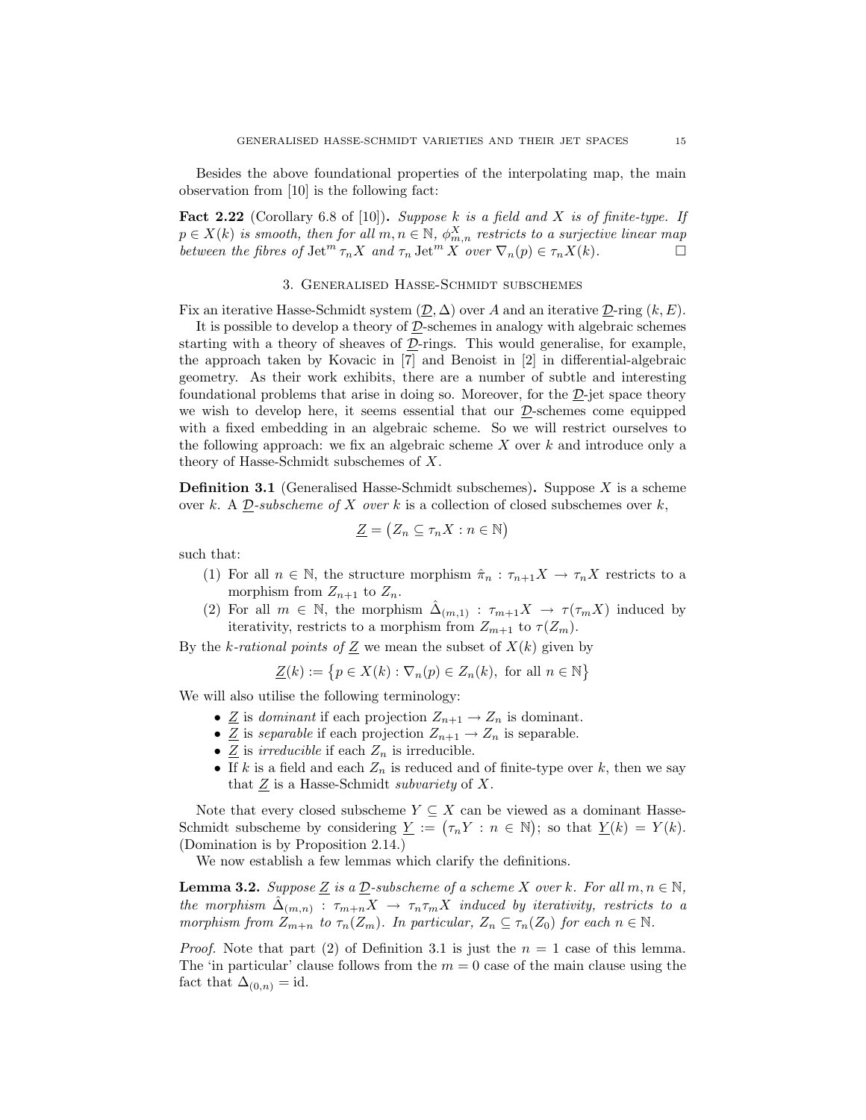Besides the above foundational properties of the interpolating map, the main observation from [10] is the following fact:

**Fact 2.22** (Corollary 6.8 of [10]). Suppose k is a field and X is of finite-type. If  $p \in X(k)$  is smooth, then for all  $m, n \in \mathbb{N}$ ,  $\phi_{m,n}^X$  restricts to a surjective linear map between the fibres of  $\mathrm{Jet}^m \tau_n X$  and  $\tau_n \mathrm{Jet}^m X$  over  $\nabla_n(p) \in \tau_n X(k)$ .

#### 3. Generalised Hasse-Schmidt subschemes

Fix an iterative Hasse-Schmidt system  $(\mathcal{D}, \Delta)$  over A and an iterative  $\mathcal{D}\text{-ring}(k, E)$ .

It is possible to develop a theory of  $D$ -schemes in analogy with algebraic schemes starting with a theory of sheaves of D-rings. This would generalise, for example, the approach taken by Kovacic in [7] and Benoist in [2] in differential-algebraic geometry. As their work exhibits, there are a number of subtle and interesting foundational problems that arise in doing so. Moreover, for the  $D$ -jet space theory we wish to develop here, it seems essential that our  $D$ -schemes come equipped with a fixed embedding in an algebraic scheme. So we will restrict ourselves to the following approach: we fix an algebraic scheme  $X$  over  $k$  and introduce only a theory of Hasse-Schmidt subschemes of X.

**Definition 3.1** (Generalised Hasse-Schmidt subschemes). Suppose  $X$  is a scheme over k. A  $D$ -subscheme of X over k is a collection of closed subschemes over k,

$$
\underline{Z} = (Z_n \subseteq \tau_n X : n \in \mathbb{N})
$$

such that:

- (1) For all  $n \in \mathbb{N}$ , the structure morphism  $\hat{\pi}_n : \tau_{n+1}X \to \tau_nX$  restricts to a morphism from  $Z_{n+1}$  to  $Z_n$ .
- (2) For all  $m \in \mathbb{N}$ , the morphism  $\hat{\Delta}_{(m,1)} : \tau_{m+1}X \to \tau(\tau_m X)$  induced by iterativity, restricts to a morphism from  $Z_{m+1}$  to  $\tau(Z_m)$ .

By the k-rational points of  $\underline{Z}$  we mean the subset of  $X(k)$  given by

$$
\underline{Z}(k) := \{ p \in X(k) : \nabla_n(p) \in Z_n(k), \text{ for all } n \in \mathbb{N} \}
$$

We will also utilise the following terminology:

- $\underline{Z}$  is dominant if each projection  $Z_{n+1} \to Z_n$  is dominant.
- $\underline{Z}$  is separable if each projection  $Z_{n+1} \to Z_n$  is separable.
- $\underline{Z}$  is *irreducible* if each  $Z_n$  is irreducible.
- If k is a field and each  $Z_n$  is reduced and of finite-type over k, then we say that  $Z$  is a Hasse-Schmidt *subvariety* of  $X$ .

Note that every closed subscheme  $Y \subseteq X$  can be viewed as a dominant Hasse-Schmidt subscheme by considering  $\underline{Y} := (\tau_n Y : n \in \mathbb{N})$ ; so that  $\underline{Y}(k) = Y(k)$ . (Domination is by Proposition 2.14.)

We now establish a few lemmas which clarify the definitions.

**Lemma 3.2.** Suppose Z is a D-subscheme of a scheme X over k. For all  $m, n \in \mathbb{N}$ , the morphism  $\hat{\Delta}_{(m,n)}$ :  $\tau_{m+n} X \to \tau_n \tau_m X$  induced by iterativity, restricts to a morphism from  $Z_{m+n}$  to  $\tau_n(Z_m)$ . In particular,  $Z_n \subseteq \tau_n(Z_0)$  for each  $n \in \mathbb{N}$ .

*Proof.* Note that part (2) of Definition 3.1 is just the  $n = 1$  case of this lemma. The 'in particular' clause follows from the  $m = 0$  case of the main clause using the fact that  $\Delta_{(0,n)} = id$ .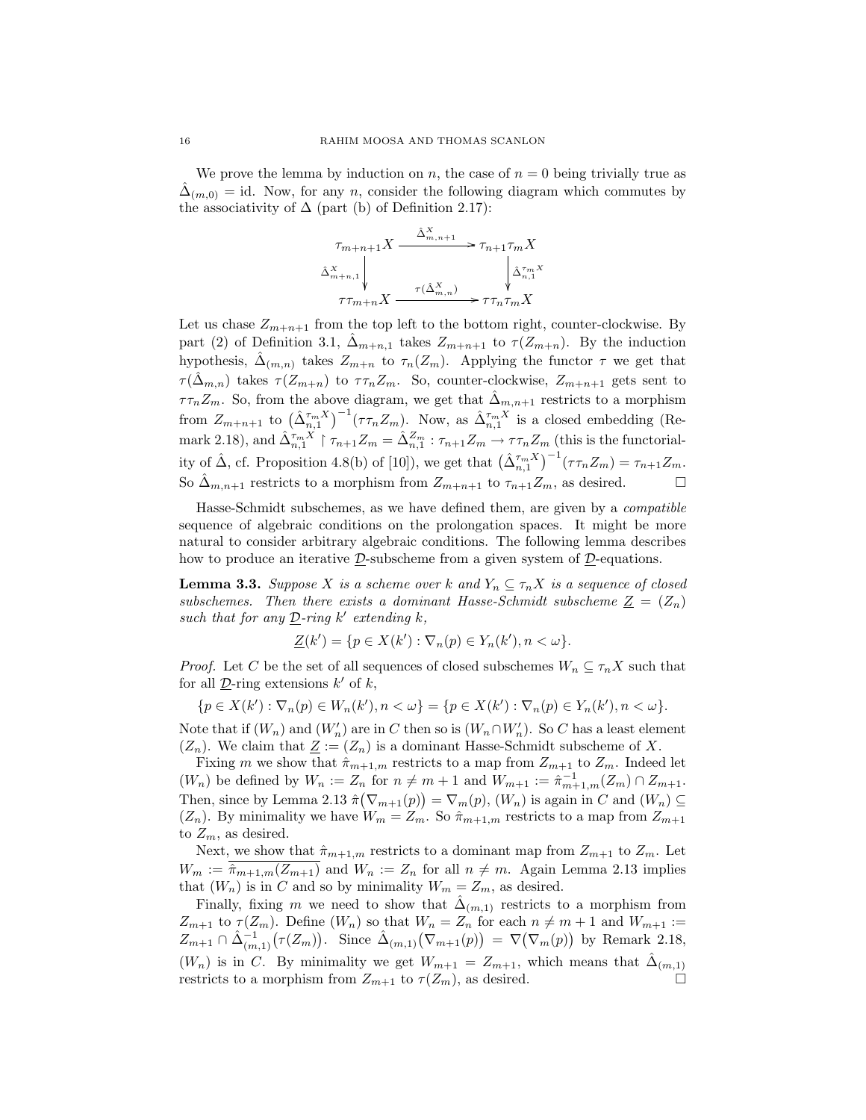We prove the lemma by induction on n, the case of  $n = 0$  being trivially true as  $\hat{\Delta}_{(m,0)} = id$ . Now, for any n, consider the following diagram which commutes by the associativity of  $\Delta$  (part (b) of Definition 2.17):

$$
\begin{array}{c}\n\tau_{m+n+1}X \xrightarrow{\hat{\Delta}_{m,n+1}^X} \tau_{n+1}\tau_m X \\
\hat{\Delta}_{m+n,1}^X \downarrow \tau_{m+n}X \xrightarrow{\tau(\hat{\Delta}_{m,n}^X)} \tau_{m+n}^X X\n\end{array}
$$

Let us chase  $Z_{m+n+1}$  from the top left to the bottom right, counter-clockwise. By part (2) of Definition 3.1,  $\Delta_{m+n,1}$  takes  $Z_{m+n+1}$  to  $\tau(Z_{m+n})$ . By the induction hypothesis,  $\hat{\Delta}_{(m,n)}$  takes  $Z_{m+n}$  to  $\tau_n(Z_m)$ . Applying the functor  $\tau$  we get that  $\tau(\hat{\Delta}_{m,n})$  takes  $\tau(Z_{m+n})$  to  $\tau\tau_n Z_m$ . So, counter-clockwise,  $Z_{m+n+1}$  gets sent to  $\tau \tau_n Z_m$ . So, from the above diagram, we get that  $\hat{\Delta}_{m,n+1}$  restricts to a morphism from  $Z_{m+n+1}$  to  $(\hat{\Delta}_{n,1}^{\tau_m X})^{-1}(\tau \tau_n Z_m)$ . Now, as  $\hat{\Delta}_{n,1}^{\tau_m X}$  is a closed embedding (Remark 2.18), and  $\hat{\Delta}_{n,1}^{\tau_m X}$  |  $\tau_{n+1} Z_m = \hat{\Delta}_{n,1}^{Z_m} : \tau_{n+1} Z_m \to \tau \tau_n Z_m$  (this is the functoriality of  $\hat{\Delta}$ , cf. Proposition 4.8(b) of [10]), we get that  $(\hat{\Delta}_{n,1}^{\tau_m X})^{-1}(\tau \tau_n Z_m) = \tau_{n+1} Z_m$ . So  $\hat{\Delta}_{m,n+1}$  restricts to a morphism from  $Z_{m+n+1}$  to  $\tau_{n+1}Z_m$ , as desired.

Hasse-Schmidt subschemes, as we have defined them, are given by a compatible sequence of algebraic conditions on the prolongation spaces. It might be more natural to consider arbitrary algebraic conditions. The following lemma describes how to produce an iterative  $\underline{\mathcal{D}}$ -subscheme from a given system of  $\underline{\mathcal{D}}$ -equations.

**Lemma 3.3.** Suppose X is a scheme over k and  $Y_n \subseteq \tau_n X$  is a sequence of closed subschemes. Then there exists a dominant Hasse-Schmidt subscheme  $Z = (Z_n)$ such that for any  $\underline{\mathcal{D}}$ -ring k' extending k,

$$
\underline{Z}(k') = \{ p \in X(k') : \nabla_n(p) \in Y_n(k'), n < \omega \}.
$$

*Proof.* Let C be the set of all sequences of closed subschemes  $W_n \subseteq \tau_n X$  such that for all  $\underline{\mathcal{D}}$ -ring extensions  $k'$  of  $k$ ,

 $\{p \in X(k') : \nabla_n(p) \in W_n(k'), n < \omega\} = \{p \in X(k') : \nabla_n(p) \in Y_n(k'), n < \omega\}.$ 

Note that if  $(W_n)$  and  $(W'_n)$  are in C then so is  $(W_n \cap W'_n)$ . So C has a least element  $(Z_n)$ . We claim that  $\underline{Z} := (Z_n)$  is a dominant Hasse-Schmidt subscheme of X.

Fixing m we show that  $\hat{\pi}_{m+1,m}$  restricts to a map from  $Z_{m+1}$  to  $Z_m$ . Indeed let  $(W_n)$  be defined by  $W_n := Z_n$  for  $n \neq m+1$  and  $W_{m+1} := \hat{\pi}_{m+1,m}^{-1}(Z_m) \cap Z_{m+1}$ . Then, since by Lemma 2.13  $\hat{\pi}(\nabla_{m+1}(p)) = \nabla_m(p)$ ,  $(W_n)$  is again in C and  $(W_n) \subseteq$  $(Z_n)$ . By minimality we have  $W_m = Z_m$ . So  $\hat{\pi}_{m+1,m}$  restricts to a map from  $Z_{m+1}$ to  $Z_m$ , as desired.

Next, we show that  $\hat{\pi}_{m+1,m}$  restricts to a dominant map from  $Z_{m+1}$  to  $Z_m$ . Let  $W_m := \hat{\pi}_{m+1,m}(Z_{m+1})$  and  $W_n := Z_n$  for all  $n \neq m$ . Again Lemma 2.13 implies that  $(W_n)$  is in C and so by minimality  $W_m = Z_m$ , as desired.

Finally, fixing m we need to show that  $\hat{\Delta}_{(m,1)}$  restricts to a morphism from  $Z_{m+1}$  to  $\tau(Z_m)$ . Define  $(W_n)$  so that  $W_n = Z_n$  for each  $n \neq m+1$  and  $W_{m+1} :=$  $Z_{m+1} \cap \hat{\Delta}_{(m,1)}^{-1}(\tau(Z_m)).$  Since  $\hat{\Delta}_{(m,1)}(\nabla_{m+1}(p)) = \nabla(\nabla_m(p))$  by Remark 2.18,  $(W_n)$  is in C. By minimality we get  $W_{m+1} = Z_{m+1}$ , which means that  $\hat{\Delta}_{(m,1)}$ restricts to a morphism from  $Z_{m+1}$  to  $\tau(Z_m)$ , as desired.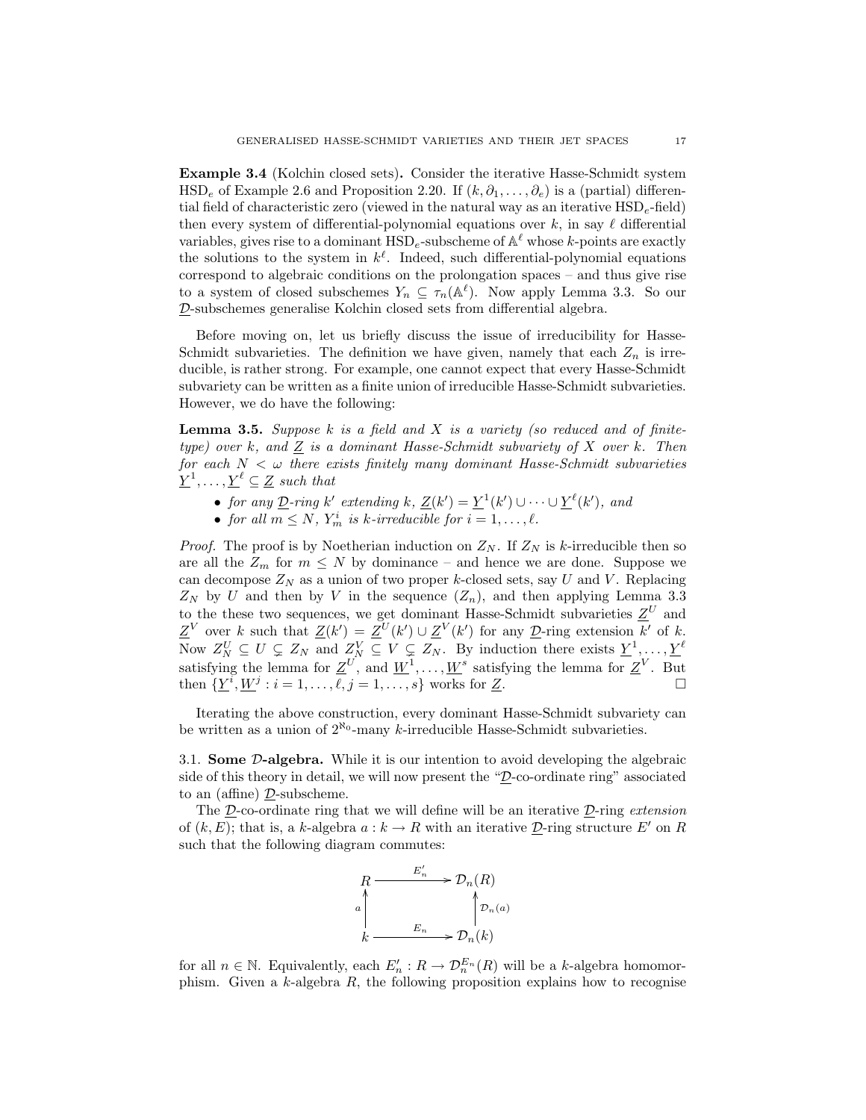Example 3.4 (Kolchin closed sets). Consider the iterative Hasse-Schmidt system HSD<sub>e</sub> of Example 2.6 and Proposition 2.20. If  $(k, \partial_1, \ldots, \partial_e)$  is a (partial) differential field of characteristic zero (viewed in the natural way as an iterative  $HSD<sub>e</sub>$ -field) then every system of differential-polynomial equations over k, in say  $\ell$  differential variables, gives rise to a dominant  $\text{HSD}_e$ -subscheme of  $\mathbb{A}^{\ell}$  whose k-points are exactly the solutions to the system in  $k^{\ell}$ . Indeed, such differential-polynomial equations correspond to algebraic conditions on the prolongation spaces – and thus give rise to a system of closed subschemes  $Y_n \subseteq \tau_n(\mathbb{A}^{\ell})$ . Now apply Lemma 3.3. So our D-subschemes generalise Kolchin closed sets from differential algebra.

Before moving on, let us briefly discuss the issue of irreducibility for Hasse-Schmidt subvarieties. The definition we have given, namely that each  $Z_n$  is irreducible, is rather strong. For example, one cannot expect that every Hasse-Schmidt subvariety can be written as a finite union of irreducible Hasse-Schmidt subvarieties. However, we do have the following:

**Lemma 3.5.** Suppose k is a field and X is a variety (so reduced and of finitetype) over k, and Z is a dominant Hasse-Schmidt subvariety of X over k. Then for each  $N < \omega$  there exists finitely many dominant Hasse-Schmidt subvarieties  $\underline{Y}^1, \ldots, \underline{Y}^{\ell} \subseteq \underline{Z}$  such that

- for any  $\underline{\mathcal{D}}$ -ring k' extending k,  $\underline{\mathcal{Z}}(k') = \underline{Y}^1(k') \cup \cdots \cup \underline{Y}^{\ell}(k')$ , and
- for all  $m \leq N$ ,  $Y_m^i$  is k-irreducible for  $i = 1, \ldots, \ell$ .

*Proof.* The proof is by Noetherian induction on  $Z_N$ . If  $Z_N$  is k-irreducible then so are all the  $Z_m$  for  $m \leq N$  by dominance – and hence we are done. Suppose we can decompose  $Z_N$  as a union of two proper k-closed sets, say U and V. Replacing  $Z_N$  by U and then by V in the sequence  $(Z_n)$ , and then applying Lemma 3.3 to the these two sequences, we get dominant Hasse-Schmidt subvarieties  $\underline{Z}^U$  and  $\underline{Z}^V$  over k such that  $\underline{Z}(k') = \underline{Z}^U(k') \cup \underline{Z}^V(k')$  for any  $\underline{D}$ -ring extension k' of k. Now  $Z_N^U \subseteq U \subsetneq Z_N$  and  $Z_N^V \subseteq V \subsetneq Z_N$ . By induction there exists  $\underline{Y}^1, \ldots, \underline{Y}^{\ell}$ satisfying the lemma for  $\underline{Z}^U$ , and  $\underline{W}^1, \ldots, \underline{W}^s$  satisfying the lemma for  $\underline{Z}^V$ . But then  $\{\underline{Y}^i, \underline{W}^j : i = 1, \ldots, \ell, j = 1, \ldots, s\}$  works for  $\underline{Z}$ .

Iterating the above construction, every dominant Hasse-Schmidt subvariety can be written as a union of  $2^{\aleph_0}$ -many k-irreducible Hasse-Schmidt subvarieties.

3.1. Some D-algebra. While it is our intention to avoid developing the algebraic side of this theory in detail, we will now present the "D-co-ordinate ring" associated to an (affine) D-subscheme.

The  $\mathcal{D}$ -co-ordinate ring that we will define will be an iterative  $\mathcal{D}$ -ring extension of  $(k, E)$ ; that is, a k-algebra  $a : k \to R$  with an iterative D-ring structure E' on R such that the following diagram commutes:



for all  $n \in \mathbb{N}$ . Equivalently, each  $E'_n : R \to \mathcal{D}_n^{E_n}(R)$  will be a k-algebra homomorphism. Given a  $k$ -algebra  $R$ , the following proposition explains how to recognise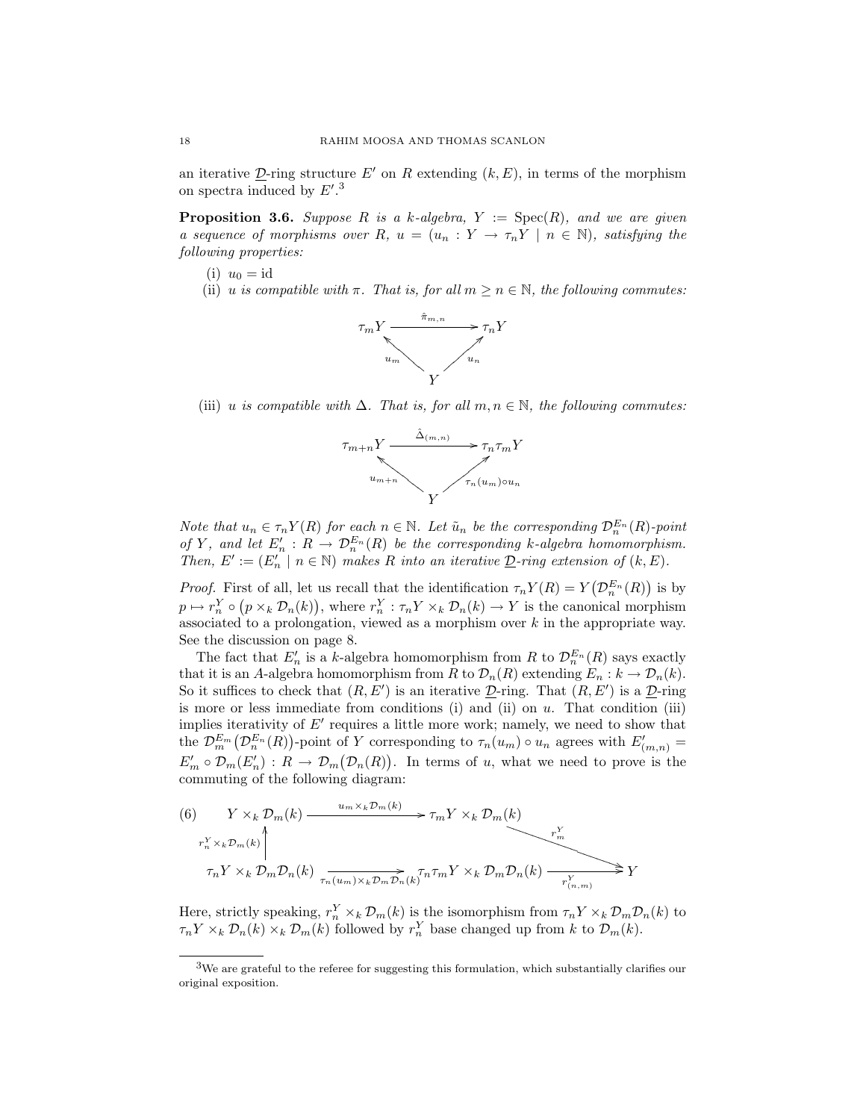an iterative D-ring structure E' on R extending  $(k, E)$ , in terms of the morphism on spectra induced by  $E'.<sup>3</sup>$ 

**Proposition 3.6.** Suppose R is a k-algebra,  $Y := \text{Spec}(R)$ , and we are given a sequence of morphisms over R,  $u = (u_n : Y \to \tau_n Y \mid n \in \mathbb{N})$ , satisfying the following properties:

- (i)  $u_0 = \mathrm{id}$
- (ii) u is compatible with  $\pi$ . That is, for all  $m \geq n \in \mathbb{N}$ , the following commutes:



(iii) u is compatible with  $\Delta$ . That is, for all  $m, n \in \mathbb{N}$ , the following commutes:



Note that  $u_n \in \tau_n Y(R)$  for each  $n \in \mathbb{N}$ . Let  $\tilde{u}_n$  be the corresponding  $\mathcal{D}_n^{E_n}(R)$ -point of Y, and let  $E'_n : R \to \mathcal{D}_n^{E_n}(R)$  be the corresponding k-algebra homomorphism. Then,  $E' := (E_n' \mid n \in \mathbb{N})$  makes R into an iterative  $\underline{\mathcal{D}}$ -ring extension of  $(k, E)$ .

*Proof.* First of all, let us recall that the identification  $\tau_n Y(R) = Y(D_n^{E_n}(R))$  is by  $p \mapsto r_n^Y \circ (p \times_k \mathcal{D}_n(k)),$  where  $r_n^Y : \tau_n Y \times_k \mathcal{D}_n(k) \to Y$  is the canonical morphism associated to a prolongation, viewed as a morphism over  $k$  in the appropriate way. See the discussion on page 8.

The fact that  $E'_n$  is a k-algebra homomorphism from R to  $\mathcal{D}_n^{E_n}(R)$  says exactly that it is an A-algebra homomorphism from R to  $\mathcal{D}_n(R)$  extending  $E_n : k \to \mathcal{D}_n(k)$ . So it suffices to check that  $(R, E')$  is an iterative  $\mathcal{D}$ -ring. That  $(R, E')$  is a  $\mathcal{D}$ -ring is more or less immediate from conditions  $(i)$  and  $(ii)$  on  $u$ . That condition  $(iii)$ implies iterativity of  $E'$  requires a little more work; namely, we need to show that the  $\mathcal{D}_{m}^{E_m}(\mathcal{D}_{n}^{E_n}(R))$ -point of Y corresponding to  $\tau_n(u_m) \circ u_n$  agrees with  $E'_{(m,n)} =$  $E'_m \circ \mathcal{D}_m(E'_n) : R \to \mathcal{D}_m(\mathcal{D}_n(R)).$  In terms of u, what we need to prove is the commuting of the following diagram:

(6) 
$$
Y \times_k \mathcal{D}_m(k) \xrightarrow{u_m \times_k \mathcal{D}_m(k)} \tau_m Y \times_k \mathcal{D}_m(k)
$$
\n
$$
\tau_n Y \times_k \mathcal{D}_m \mathcal{D}_n(k) \xrightarrow{\tau_n^Y \times_k \mathcal{D}_m \mathcal{D}_n(k)} \tau_n^Y \times_k \mathcal{D}_m \mathcal{D}_n(k) \xrightarrow{\tau_m^Y \times_k \mathcal{D}_m \mathcal{D}_n(k)} Y \xrightarrow{\tau_n^Y \times_k \mathcal{D}_m \mathcal{D}_n(k)} Y
$$

Here, strictly speaking,  $r_n^Y \times_k \mathcal{D}_m(k)$  is the isomorphism from  $\tau_n Y \times_k \mathcal{D}_m \mathcal{D}_n(k)$  to  $\tau_n Y \times_k \mathcal{D}_n(k) \times_k \mathcal{D}_m(k)$  followed by  $r_n^Y$  base changed up from k to  $\mathcal{D}_m(k)$ .

 $3W$ e are grateful to the referee for suggesting this formulation, which substantially clarifies our original exposition.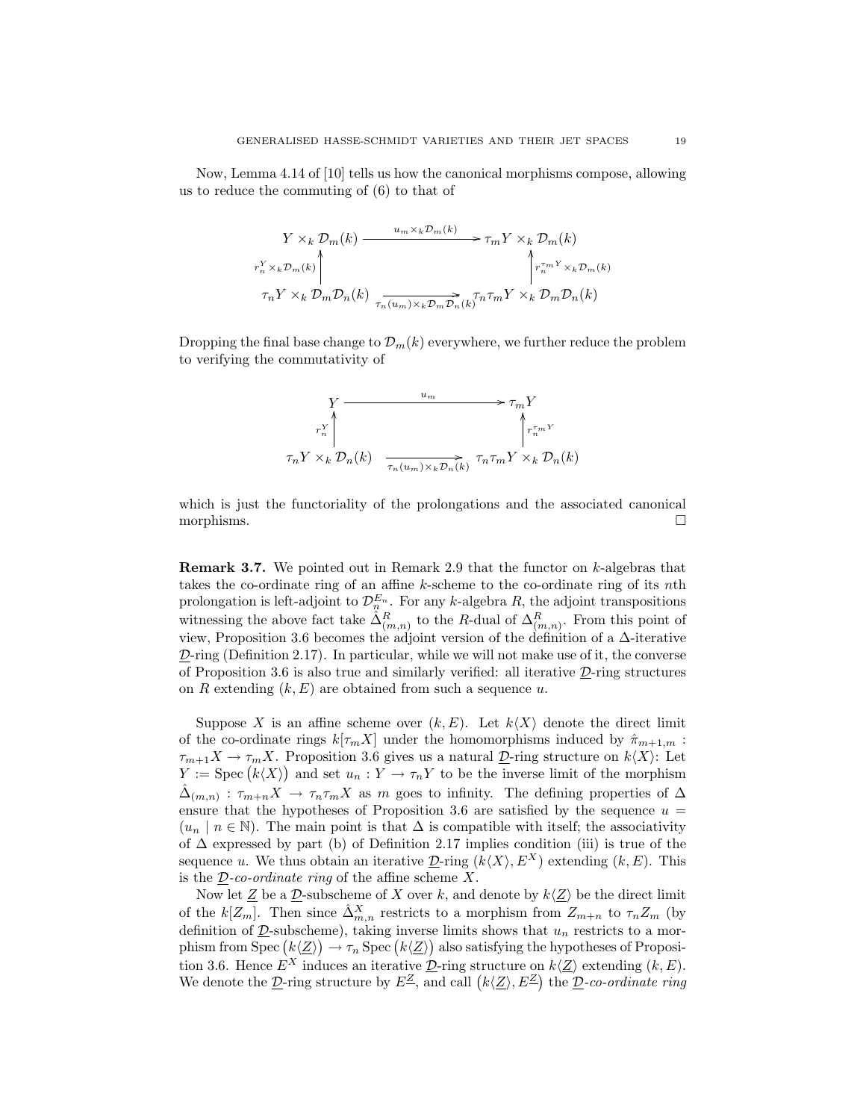Now, Lemma 4.14 of [10] tells us how the canonical morphisms compose, allowing us to reduce the commuting of (6) to that of

$$
Y \times_k \mathcal{D}_m(k) \xrightarrow{u_m \times_k \mathcal{D}_m(k)} \tau_m Y \times_k \mathcal{D}_m(k)
$$
  

$$
\tau_n^Y \times_k \mathcal{D}_m(k) \qquad \qquad \downarrow \tau_n^{\tau_m Y} \times_k \mathcal{D}_m(k)
$$
  

$$
\tau_n Y \times_k \mathcal{D}_m \mathcal{D}_n(k) \xrightarrow[\tau_n(u_m) \times_k \mathcal{D}_m \mathcal{D}_n(k) \tau_n^{\tau_m Y} \times_k \mathcal{D}_m \mathcal{D}_n(k)]
$$

Dropping the final base change to  $\mathcal{D}_m(k)$  everywhere, we further reduce the problem to verifying the commutativity of

$$
\begin{array}{ccc}\nY & \xrightarrow{u_m} & \rightarrow \tau_m Y \\
\downarrow^{r_n^Y} & & \uparrow^{r_m^Y} \\
\tau_n Y \times_k \mathcal{D}_n(k) & \xrightarrow[\tau_n(u_m) \times_k \mathcal{D}_n(k) & \tau_n \tau_m Y \times_k \mathcal{D}_n(k)\n\end{array}
$$

which is just the functoriality of the prolongations and the associated canonical morphisms.  $\Box$ 

**Remark 3.7.** We pointed out in Remark 2.9 that the functor on  $k$ -algebras that takes the co-ordinate ring of an affine k-scheme to the co-ordinate ring of its nth prolongation is left-adjoint to  $\mathcal{D}_{n}^{E_{n}}$ . For any k-algebra R, the adjoint transpositions witnessing the above fact take  $\hat{\Delta}_{(m,n)}^R$  to the R-dual of  $\Delta_{(m,n)}^R$ . From this point of view, Proposition 3.6 becomes the adjoint version of the definition of a ∆-iterative  $\mathcal{D}\text{-ring}$  (Definition 2.17). In particular, while we will not make use of it, the converse of Proposition 3.6 is also true and similarly verified: all iterative  $\mathcal{D}\text{-ring structures}$ on R extending  $(k, E)$  are obtained from such a sequence u.

Suppose X is an affine scheme over  $(k, E)$ . Let  $k\langle X\rangle$  denote the direct limit of the co-ordinate rings  $k[\tau_m X]$  under the homomorphisms induced by  $\hat{\pi}_{m+1,m}$ :  $\tau_{m+1}X \to \tau_mX$ . Proposition 3.6 gives us a natural  $\underline{\mathcal{D}}$ -ring structure on  $k\langle X\rangle$ : Let  $Y := \mathrm{Spec} (k \langle X \rangle)$  and set  $u_n : Y \to \tau_n Y$  to be the inverse limit of the morphism  $\hat{\Delta}_{(m,n)}$ :  $\tau_{m+n}X \to \tau_n\tau_mX$  as m goes to infinity. The defining properties of  $\Delta$ ensure that the hypotheses of Proposition 3.6 are satisfied by the sequence  $u =$  $(u_n | n \in \mathbb{N})$ . The main point is that  $\Delta$  is compatible with itself; the associativity of ∆ expressed by part (b) of Definition 2.17 implies condition (iii) is true of the sequence u. We thus obtain an iterative  $\mathcal{D}$ -ring  $(k\langle X\rangle, E^X)$  extending  $(k, E)$ . This is the  $D$ -co-ordinate ring of the affine scheme X.

Now let  $\underline{Z}$  be a  $\underline{D}$ -subscheme of X over k, and denote by  $k\langle \underline{Z} \rangle$  be the direct limit of the  $k[Z_m]$ . Then since  $\hat{\Delta}_{m,n}^X$  restricts to a morphism from  $Z_{m+n}$  to  $\tau_n Z_m$  (by definition of  $\underline{\mathcal{D}}$ -subscheme), taking inverse limits shows that  $u_n$  restricts to a morphism from Spec  $(k\langle \underline{Z}\rangle) \to \tau_n$  Spec  $(k\langle \underline{Z}\rangle)$  also satisfying the hypotheses of Proposition 3.6. Hence  $E^X$  induces an iterative  $\underline{\mathcal{D}}$ -ring structure on  $k\langle \underline{Z} \rangle$  extending  $(k, E)$ . We denote the  $\underline{\mathcal{D}}$ -ring structure by  $E^{\underline{\mathcal{Z}}},$  and call  $(k\langle \underline{Z}\rangle, E^{\underline{\mathcal{Z}}})$  the  $\underline{\mathcal{D}}$ -co-ordinate ring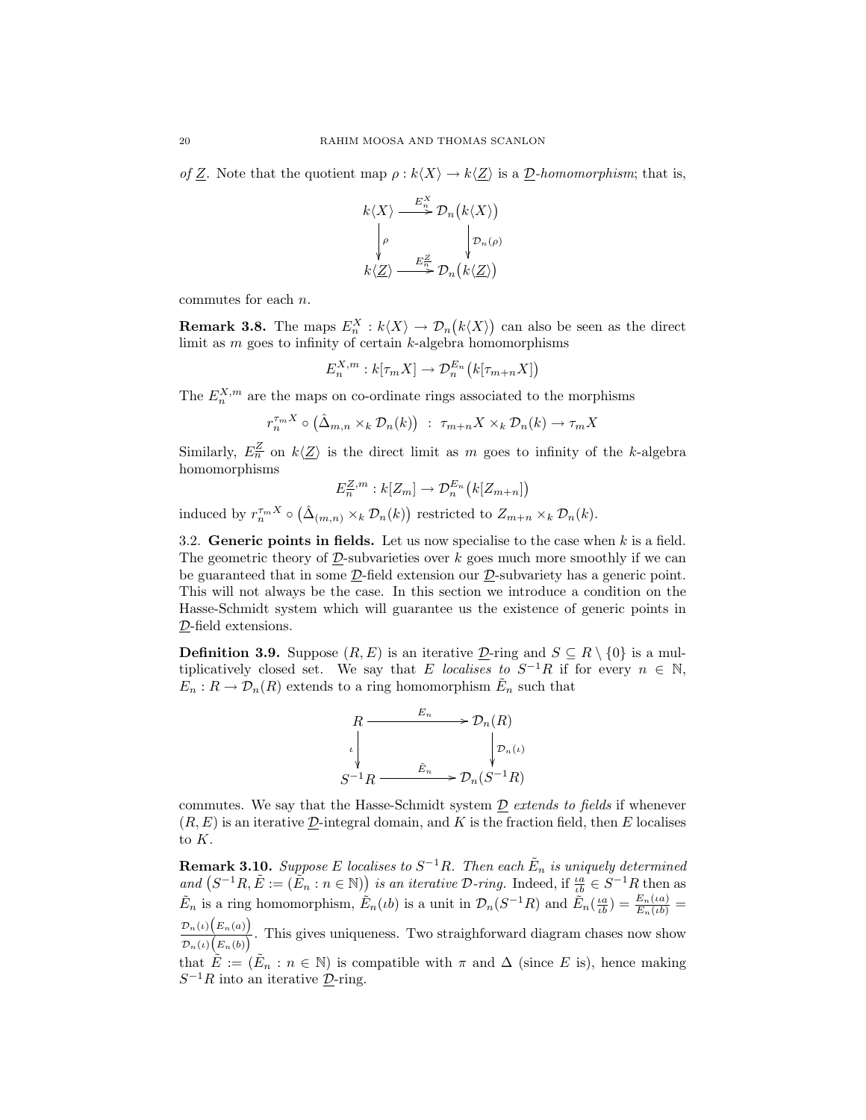of Z. Note that the quotient map  $\rho : k\langle X\rangle \to k\langle Z\rangle$  is a  $\underline{\mathcal{D}}$ -homomorphism; that is,

$$
k\langle X\rangle \xrightarrow{E_n^X} \mathcal{D}_n(k\langle X\rangle)
$$

$$
\downarrow \rho \qquad \qquad \downarrow \mathcal{D}_n(\rho)
$$

$$
k\langle \underline{Z}\rangle \xrightarrow{E_n^Z} \mathcal{D}_n(k\langle \underline{Z}\rangle)
$$

commutes for each n.

**Remark 3.8.** The maps  $E_n^X : k\langle X\rangle \to \mathcal{D}_n(k\langle X\rangle)$  can also be seen as the direct limit as  $m$  goes to infinity of certain  $k$ -algebra homomorphisms

$$
E_n^{X,m}: k[\tau_m X] \to \mathcal{D}_n^{E_n}\big(k[\tau_{m+n} X]\big)
$$

The  $E_n^{X,m}$  are the maps on co-ordinate rings associated to the morphisms

$$
r_n^{\tau_m X} \circ (\hat{\Delta}_{m,n} \times_k \mathcal{D}_n(k)) : \tau_{m+n} X \times_k \mathcal{D}_n(k) \to \tau_m X
$$

Similarly,  $E_n^{\underline{Z}}$  on  $k\langle \underline{Z} \rangle$  is the direct limit as m goes to infinity of the k-algebra homomorphisms

$$
E_n^{\underline{Z},m}:k[Z_m]\to \mathcal{D}_n^{E_n}\big(k[Z_{m+n}]\big)
$$

induced by  $r_n^{\tau_m X} \circ (\hat{\Delta}_{(m,n)} \times_k \mathcal{D}_n(k))$  restricted to  $Z_{m+n} \times_k \mathcal{D}_n(k)$ .

3.2. Generic points in fields. Let us now specialise to the case when  $k$  is a field. The geometric theory of  $D$ -subvarieties over k goes much more smoothly if we can be guaranteed that in some D-field extension our D-subvariety has a generic point. This will not always be the case. In this section we introduce a condition on the Hasse-Schmidt system which will guarantee us the existence of generic points in D-field extensions.

**Definition 3.9.** Suppose  $(R, E)$  is an iterative  $D$ -ring and  $S \subseteq R \setminus \{0\}$  is a multiplicatively closed set. We say that E localises to  $S^{-1}R$  if for every  $n \in \mathbb{N}$ ,  $E_n: R \to \mathcal{D}_n(R)$  extends to a ring homomorphism  $\tilde{E}_n$  such that



commutes. We say that the Hasse-Schmidt system  $\mathcal D$  extends to fields if whenever  $(R, E)$  is an iterative  $D$ -integral domain, and K is the fraction field, then E localises to K.

**Remark 3.10.** Suppose E localises to  $S^{-1}R$ . Then each  $\tilde{E}_n$  is uniquely determined and  $(S^{-1}R, \tilde{E} := (\tilde{E}_n : n \in \mathbb{N}))$  is an iterative D-ring. Indeed, if  $\frac{\iota a}{\iota b} \in S^{-1}R$  then as  $\tilde{E}_n$  is a ring homomorphism,  $\tilde{E}_n(\iota b)$  is a unit in  $\mathcal{D}_n(S^{-1}R)$  and  $\tilde{E}_n(\frac{\iota a}{\iota b}) = \frac{E_n(\iota a)}{E_n(\iota b)} =$  $\mathcal{D}_n(\iota)\big(E_n(a)\big)$  $\frac{\partial P_n(v)}{\partial P_n(v)} \left( E_n(b) \right)$ . This gives uniqueness. Two straighforward diagram chases now show

that  $\tilde{E} := (\tilde{E}_n : n \in \mathbb{N})$  is compatible with  $\pi$  and  $\Delta$  (since E is), hence making  $S^{-1}R$  into an iterative  $\underline{\mathcal{D}}$ -ring.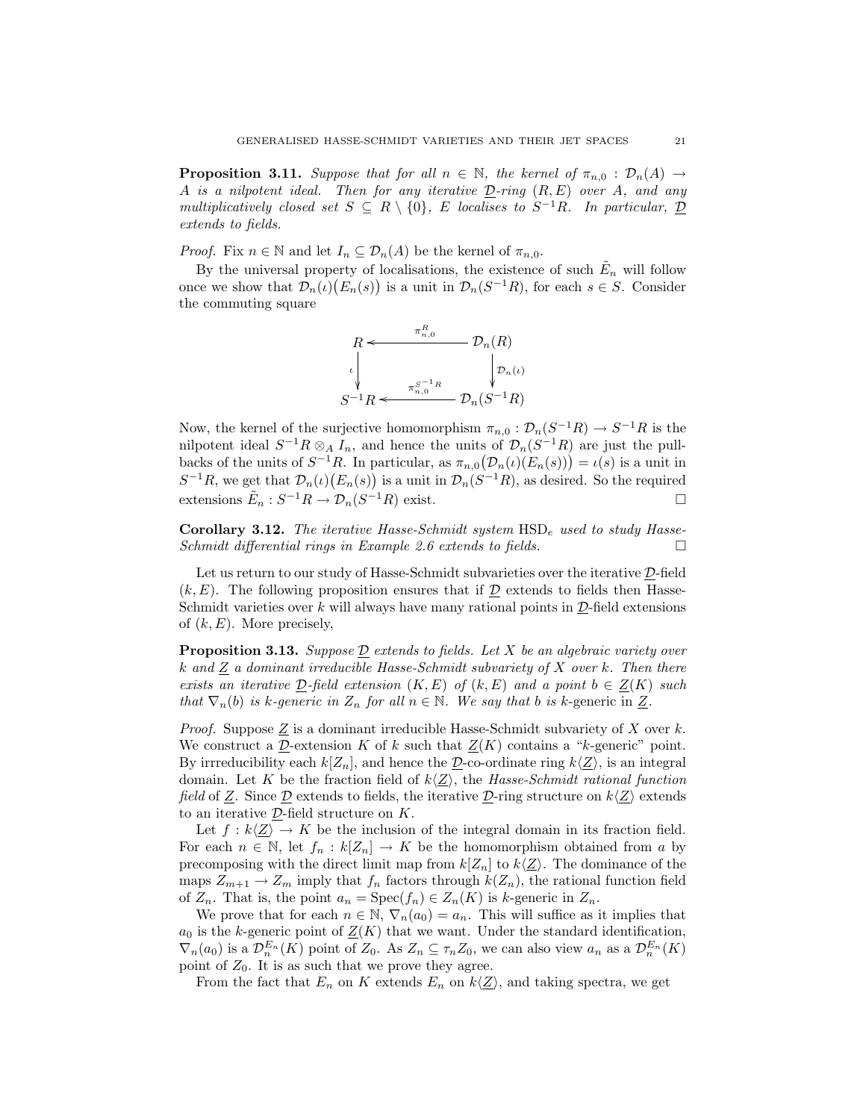**Proposition 3.11.** Suppose that for all  $n \in \mathbb{N}$ , the kernel of  $\pi_{n,0} : \mathcal{D}_n(A) \to$ A is a nilpotent ideal. Then for any iterative  $D$ -ring  $(R, E)$  over A, and any multiplicatively closed set  $S \subseteq R \setminus \{0\}$ , E localises to  $S^{-1}R$ . In particular,  $\underline{\mathcal{D}}$ extends to fields.

*Proof.* Fix  $n \in \mathbb{N}$  and let  $I_n \subseteq \mathcal{D}_n(A)$  be the kernel of  $\pi_{n,0}$ .

By the universal property of localisations, the existence of such  $\tilde{E}_n$  will follow once we show that  $\mathcal{D}_n(\iota)(E_n(s))$  is a unit in  $\mathcal{D}_n(S^{-1}R)$ , for each  $s \in S$ . Consider the commuting square



Now, the kernel of the surjective homomorphism  $\pi_{n,0} : \mathcal{D}_n(S^{-1}R) \to S^{-1}R$  is the nilpotent ideal  $S^{-1}R \otimes_A I_n$ , and hence the units of  $\mathcal{D}_n(S^{-1}R)$  are just the pullbacks of the units of  $S^{-1}R$ . In particular, as  $\pi_{n,0}(\mathcal{D}_n(\iota)(E_n(s))) = \iota(s)$  is a unit in  $S^{-1}R$ , we get that  $\mathcal{D}_n(\iota)(E_n(s))$  is a unit in  $\mathcal{D}_n(S^{-1}R)$ , as desired. So the required extensions  $\tilde{E}_n : S^{-1}R \to \mathcal{D}_n(S^{-1}R)$  exist.

Corollary 3.12. The iterative Hasse-Schmidt system  $HSD<sub>e</sub>$  used to study Hasse-Schmidt differential rings in Example 2.6 extends to fields.  $\Box$ 

Let us return to our study of Hasse-Schmidt subvarieties over the iterative  $D$ -field  $(k, E)$ . The following proposition ensures that if  $\mathcal{D}$  extends to fields then Hasse-Schmidt varieties over k will always have many rational points in  $\mathcal{D}\text{-field extensions}$ of  $(k, E)$ . More precisely,

**Proposition 3.13.** Suppose  $\underline{\mathcal{D}}$  extends to fields. Let X be an algebraic variety over k and  $Z$  a dominant irreducible Hasse-Schmidt subvariety of  $X$  over k. Then there exists an iterative  $D$ -field extension  $(K, E)$  of  $(k, E)$  and a point  $b \in Z(K)$  such that  $\nabla_n(b)$  is k-generic in  $Z_n$  for all  $n \in \mathbb{N}$ . We say that b is k-generic in  $\underline{Z}$ .

*Proof.* Suppose  $Z$  is a dominant irreducible Hasse-Schmidt subvariety of X over k. We construct a D-extension K of k such that  $Z(K)$  contains a "k-generic" point. By irrreducibility each  $k[Z_n]$ , and hence the  $\underline{\mathcal{D}}$ -co-ordinate ring  $k(\underline{Z})$ , is an integral domain. Let K be the fraction field of  $k\langle Z \rangle$ , the Hasse-Schmidt rational function field of Z. Since  $\mathcal{D}$  extends to fields, the iterative  $\mathcal{D}$ -ring structure on  $k\langle Z\rangle$  extends to an iterative D-field structure on K.

Let  $f : k\langle \underline{Z} \rangle \to K$  be the inclusion of the integral domain in its fraction field. For each  $n \in \mathbb{N}$ , let  $f_n : k[Z_n] \to K$  be the homomorphism obtained from a by precomposing with the direct limit map from  $k|Z_n|$  to  $k\langle Z\rangle$ . The dominance of the maps  $Z_{m+1} \to Z_m$  imply that  $f_n$  factors through  $k(Z_n)$ , the rational function field of  $Z_n$ . That is, the point  $a_n = \text{Spec}(f_n) \in Z_n(K)$  is k-generic in  $Z_n$ .

We prove that for each  $n \in \mathbb{N}$ ,  $\nabla_n(a_0) = a_n$ . This will suffice as it implies that  $a_0$  is the k-generic point of  $Z(K)$  that we want. Under the standard identification,  $\nabla_n(a_0)$  is a  $\mathcal{D}_n^{E_n}(K)$  point of  $Z_0$ . As  $Z_n \subseteq \tau_n Z_0$ , we can also view  $a_n$  as a  $\mathcal{D}_n^{E_n}(K)$ point of  $Z_0$ . It is as such that we prove they agree.

From the fact that  $E_n$  on K extends  $E_n$  on  $k\langle Z \rangle$ , and taking spectra, we get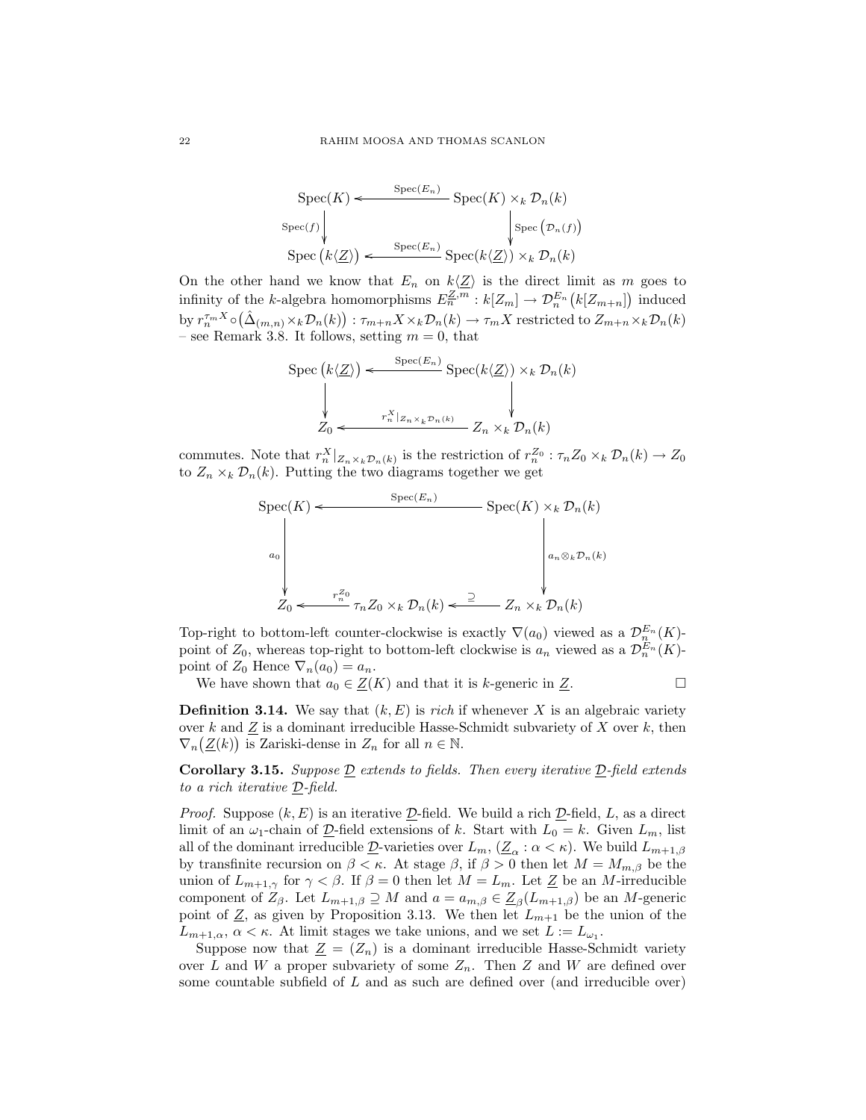$$
\operatorname{Spec}(K) \leftarrow \operatorname{Spec}(E_n) \operatorname{Spec}(K) \times_k \mathcal{D}_n(k)
$$
  
\n
$$
\operatorname{Spec}(f) \downarrow \qquad \qquad \downarrow \operatorname{Spec}(E_n)
$$
  
\n
$$
\operatorname{Spec}(k \langle \underline{Z} \rangle) \leftarrow \operatorname{Spec}(E_n) \operatorname{Spec}(k \langle \underline{Z} \rangle) \times_k \mathcal{D}_n(k)
$$

On the other hand we know that  $E_n$  on  $k\langle Z\rangle$  is the direct limit as m goes to infinity of the k-algebra homomorphisms  $E_n^{\mathbb{Z},m}: k[\mathbb{Z}_m] \to \mathcal{D}_n^{E_n}(k[\mathbb{Z}_{m+n}])$  induced by  $r_n^{\tau_m X} \circ (\hat{\Delta}_{(m,n)} \times_k \mathcal{D}_n(k)) : \tau_{m+n} X \times_k \mathcal{D}_n(k) \to \tau_m X$  restricted to  $Z_{m+n} \times_k \mathcal{D}_n(k)$ – see Remark 3.8. It follows, setting  $m = 0$ , that

$$
\operatorname{Spec}(k\langle \underline{Z}\rangle) \leftarrow \operatorname{Spec}(E_n) \operatorname{Spec}(k\langle \underline{Z}\rangle) \times_k \mathcal{D}_n(k)
$$
\n
$$
\downarrow \qquad \qquad \downarrow
$$
\n
$$
Z_0 \leftarrow \begin{array}{c} \n r_x^X|_{Z_n \times_k \mathcal{D}_n(k)} & \downarrow \\ \n T_n & \downarrow \\ \n T_n & \downarrow \\ \n T_n & \downarrow \\ \n T_n & \downarrow \\ \n T_n & \downarrow \\ \n T_n & \downarrow \\ \n T_n & \downarrow \\ \n T_n & \downarrow \\ \n T_n & \downarrow \\ \n T_n & \downarrow \\ \n T_n & \downarrow \\ \n T_n & \downarrow \\ \n T_n & \downarrow \\ \n T_n & \downarrow \\ \n T_n & \downarrow \\ \n T_n & \downarrow \\ \n T_n & \downarrow \\ \n T_n & \downarrow \\ \n T_n & \downarrow \\ \n T_n & \downarrow \\ \n T_n & \downarrow \\ \n T_n & \downarrow \\ \n T_n & \downarrow \\ \n T_n & \downarrow \\ \n T_n & \downarrow \\ \n T_n & \downarrow \\ \n T_n & \downarrow \\ \n T_n & \downarrow \\ \n T_n & \downarrow \\ \n T_n & \downarrow \\ \n T_n & \downarrow \\ \n T_n & \downarrow \\ \n T_n & \downarrow \\ \n T_n & \downarrow \\ \n T_n & \downarrow \\ \n T_n & \downarrow \\ \n T_n & \downarrow \\ \n T_n & \downarrow \\ \n T_n & \downarrow \\ \n T_n & \downarrow \\ \n T_n & \downarrow \\ \n T_n & \downarrow \\ \n T_n & \downarrow \\ \n T_n & \downarrow \\ \n T_n & \downarrow \\ \n T_n & \downarrow \\ \n T_n & \downarrow \\ \n T_n & \downarrow \\ \n T_n & \downarrow \\ \n T_n & \downarrow \\ \n T_n & \downarrow \\ \n T_n & \downarrow \\ \n T_n & \downarrow \\ \n T_n & \downarrow \\ \n T_n & \downarrow \\ \n T_n & \downarrow \\ \n T_n & \downarrow \\ \n T_n &
$$

commutes. Note that  $r_n^X|_{Z_n\times_k \mathcal{D}_n(k)}$  is the restriction of  $r_n^{Z_0}$ :  $\tau_n Z_0 \times_k \mathcal{D}_n(k) \to Z_0$ to  $Z_n \times_k \mathcal{D}_n(k)$ . Putting the two diagrams together we get

$$
\operatorname{Spec}(K) \leftarrow \operatorname{Spec}(E_n) \qquad \operatorname{Spec}(K) \times_k \mathcal{D}_n(k)
$$
\n
$$
a_0 \qquad \qquad a_n \otimes_k \mathcal{D}_n(k)
$$
\n
$$
Z_0 \leftarrow \begin{array}{c} r_n^Z_0 \\ \vdots \\ r_n^Z_0 \times_k \mathcal{D}_n(k) \end{array} \right) \xrightarrow{r_n^Z_0} T_n Z_0 \times_k \mathcal{D}_n(k) \leftarrow \begin{array}{c} \mathbb{P}(K) \\ \vdots \\ \mathbb{P}(K) \end{array}
$$

Top-right to bottom-left counter-clockwise is exactly  $\nabla(a_0)$  viewed as a  $\mathcal{D}_n^{E_n}(K)$ point of  $Z_0$ , whereas top-right to bottom-left clockwise is  $a_n$  viewed as a  $\mathcal{D}_n^{E_n}(K)$ point of  $Z_0$  Hence  $\nabla_n(a_0) = a_n$ .

We have shown that  $a_0 \in \underline{Z}(K)$  and that it is k-generic in  $\underline{Z}$ .

**Definition 3.14.** We say that  $(k, E)$  is *rich* if whenever X is an algebraic variety over k and Z is a dominant irreducible Hasse-Schmidt subvariety of X over k, then  $\nabla_n(\underline{Z}(k))$  is Zariski-dense in  $Z_n$  for all  $n \in \mathbb{N}$ .

**Corollary 3.15.** Suppose  $D$  extends to fields. Then every iterative  $D$ -field extends to a rich iterative D-field.

*Proof.* Suppose  $(k, E)$  is an iterative  $D$ -field. We build a rich  $D$ -field, L, as a direct limit of an  $\omega_1$ -chain of  $\underline{\mathcal{D}}$ -field extensions of k. Start with  $L_0 = k$ . Given  $L_m$ , list all of the dominant irreducible  $\underline{\mathcal{D}}$ -varieties over  $L_m$ ,  $(\underline{Z}_{\alpha}: \alpha < \kappa)$ . We build  $L_{m+1,\beta}$ by transfinite recursion on  $\beta < \kappa$ . At stage  $\beta$ , if  $\beta > 0$  then let  $M = M_{m,\beta}$  be the union of  $L_{m+1,\gamma}$  for  $\gamma < \beta$ . If  $\beta = 0$  then let  $M = L_m$ . Let  $\underline{Z}$  be an M-irreducible component of  $Z_{\beta}$ . Let  $L_{m+1,\beta} \supseteq M$  and  $a = a_{m,\beta} \in \underline{Z}_{\beta}(L_{m+1,\beta})$  be an M-generic point of  $\underline{Z}$ , as given by Proposition 3.13. We then let  $L_{m+1}$  be the union of the  $L_{m+1,\alpha}$ ,  $\alpha < \kappa$ . At limit stages we take unions, and we set  $L := L_{\omega_1}$ .

Suppose now that  $\underline{Z} = (Z_n)$  is a dominant irreducible Hasse-Schmidt variety over L and W a proper subvariety of some  $Z_n$ . Then Z and W are defined over some countable subfield of  $L$  and as such are defined over (and irreducible over)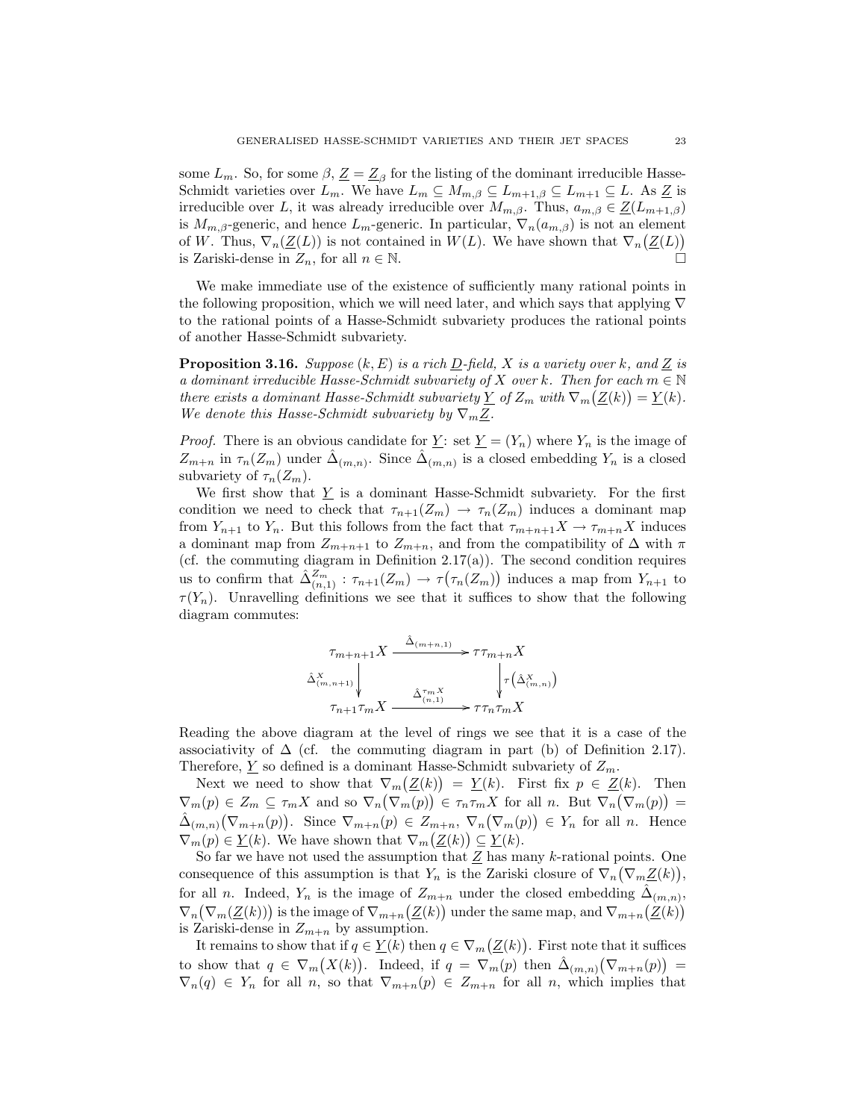some  $L_m$ . So, for some  $\beta$ ,  $\underline{Z} = \underline{Z}_{\beta}$  for the listing of the dominant irreducible Hasse-Schmidt varieties over  $L_m$ . We have  $L_m \subseteq M_{m,\beta} \subseteq L_{m+1,\beta} \subseteq L_{m+1} \subseteq L$ . As  $\underline{Z}$  is irreducible over L, it was already irreducible over  $M_{m,\beta}$ . Thus,  $a_{m,\beta} \in \underline{Z}(L_{m+1,\beta})$ is  $M_{m,\beta}$ -generic, and hence  $L_m$ -generic. In particular,  $\nabla_n(a_{m,\beta})$  is not an element of W. Thus,  $\nabla_n(\underline{Z}(L))$  is not contained in  $W(L)$ . We have shown that  $\nabla_n(\underline{Z}(L))$ is Zariski-dense in  $Z_n$ , for all  $n \in \mathbb{N}$ .

We make immediate use of the existence of sufficiently many rational points in the following proposition, which we will need later, and which says that applying  $\nabla$ to the rational points of a Hasse-Schmidt subvariety produces the rational points of another Hasse-Schmidt subvariety.

**Proposition 3.16.** Suppose  $(k, E)$  is a rich  $D$ -field, X is a variety over k, and Z is a dominant irreducible Hasse-Schmidt subvariety of X over k. Then for each  $m \in \mathbb{N}$ there exists a dominant Hasse-Schmidt subvariety  $\underline{Y}$  of  $Z_m$  with  $\nabla_m(\underline{Z}(k)) = \underline{Y}(k)$ . We denote this Hasse-Schmidt subvariety by  $\nabla_m \underline{Z}$ .

*Proof.* There is an obvious candidate for  $\underline{Y}$ : set  $\underline{Y} = (Y_n)$  where  $Y_n$  is the image of  $Z_{m+n}$  in  $\tau_n(Z_m)$  under  $\hat{\Delta}_{(m,n)}$ . Since  $\hat{\Delta}_{(m,n)}$  is a closed embedding  $Y_n$  is a closed subvariety of  $\tau_n(Z_m)$ .

We first show that  $\underline{Y}$  is a dominant Hasse-Schmidt subvariety. For the first condition we need to check that  $\tau_{n+1}(Z_m) \to \tau_n(Z_m)$  induces a dominant map from  $Y_{n+1}$  to  $Y_n$ . But this follows from the fact that  $\tau_{m+n+1}X \to \tau_{m+n}X$  induces a dominant map from  $Z_{m+n+1}$  to  $Z_{m+n}$ , and from the compatibility of  $\Delta$  with  $\pi$ (cf. the commuting diagram in Definition 2.17(a)). The second condition requires us to confirm that  $\hat{\Delta}_{(n,1)}^{Z_m}$ :  $\tau_{n+1}(Z_m) \to \tau(\tau_n(Z_m))$  induces a map from  $Y_{n+1}$  to  $\tau(Y_n)$ . Unravelling definitions we see that it suffices to show that the following diagram commutes:

$$
\begin{array}{c}\n\tau_{m+n+1}X \xrightarrow{\hat{\Delta}_{(m+n,1)}} \tau \tau_{m+n}X \\
\hat{\Delta}_{(m,n+1)}^X \downarrow \tau_{m+1} \tau_m X \xrightarrow{\hat{\Delta}_{(n,1)}^{\tau_{m}}} \tau(\hat{\Delta}_{(m,n)}^X)\n\end{array}
$$

Reading the above diagram at the level of rings we see that it is a case of the associativity of  $\Delta$  (cf. the commuting diagram in part (b) of Definition 2.17). Therefore,  $Y$  so defined is a dominant Hasse-Schmidt subvariety of  $Z_m$ .

Next we need to show that  $\nabla_m(\underline{Z}(k)) = \underline{Y}(k)$ . First fix  $p \in \underline{Z}(k)$ . Then  $\nabla_m(p) \in Z_m \subseteq \tau_m X$  and so  $\nabla_n(\nabla_m(p)) \in \tau_n \tau_m X$  for all n. But  $\nabla_n(\nabla_m(p)) =$  $\hat{\Delta}_{(m,n)}(\nabla_{m+n}(p))$ . Since  $\nabla_{m+n}(p) \in Z_{m+n}$ ,  $\nabla_n(\nabla_m(p)) \in Y_n$  for all n. Hence  $\nabla_m(p) \in \underline{Y}(k)$ . We have shown that  $\nabla_m(\underline{Z}(k)) \subseteq \underline{Y}(k)$ .

So far we have not used the assumption that  $Z$  has many k-rational points. One consequence of this assumption is that  $Y_n$  is the Zariski closure of  $\nabla_n(\nabla_m \underline{Z}(k)),$ for all *n*. Indeed,  $Y_n$  is the image of  $Z_{m+n}$  under the closed embedding  $\hat{\Delta}_{(m,n)}$ ,  $\nabla_n(\nabla_m(\underline{Z}(k)))$  is the image of  $\nabla_{m+n}(\underline{Z}(k))$  under the same map, and  $\nabla_{m+n}(\underline{Z}(k))$ is Zariski-dense in  $Z_{m+n}$  by assumption.

It remains to show that if  $q \in \underline{Y}(k)$  then  $q \in \nabla_m(\underline{Z}(k))$ . First note that it suffices to show that  $q \in \nabla_m(X(k))$ . Indeed, if  $q = \nabla_m(p)$  then  $\hat{\Delta}_{(m,n)}(\nabla_{m+n}(p)) =$  $\nabla_n(q) \in Y_n$  for all n, so that  $\nabla_{m+n}(p) \in Z_{m+n}$  for all n, which implies that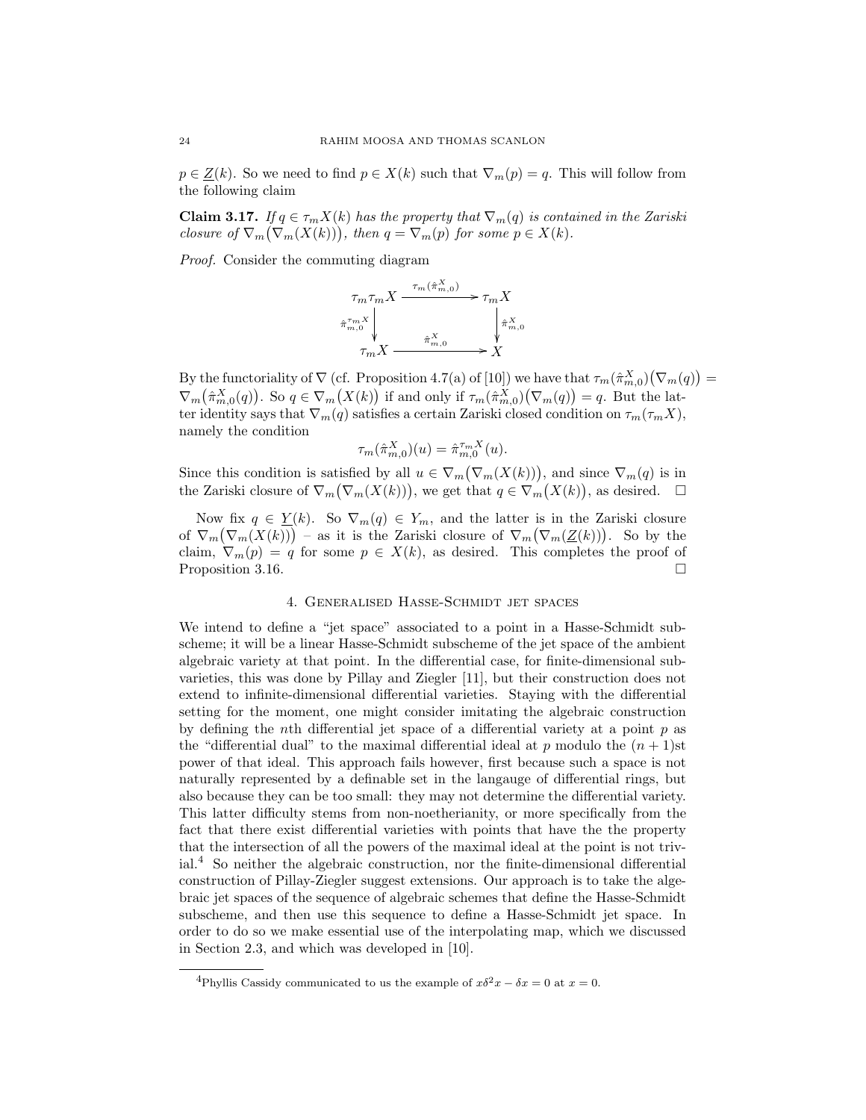$p \in \underline{Z}(k)$ . So we need to find  $p \in X(k)$  such that  $\nabla_m(p) = q$ . This will follow from the following claim

**Claim 3.17.** If  $q \in \tau_m X(k)$  has the property that  $\nabla_m(q)$  is contained in the Zariski closure of  $\nabla_m(\nabla_m(X(k)))$ , then  $q = \nabla_m(p)$  for some  $p \in X(k)$ .

Proof. Consider the commuting diagram



By the functoriality of  $\nabla$  (cf. Proposition 4.7(a) of [10]) we have that  $\tau_m(\hat{\pi}_{m,0}^X)(\nabla_m(q))$  =  $\nabla_m(\hat{\pi}_{m,0}^X(q))$ . So  $q \in \nabla_m(X(k))$  if and only if  $\tau_m(\hat{\pi}_{m,0}^X)(\nabla_m(q)) = q$ . But the latter identity says that  $\nabla_m(q)$  satisfies a certain Zariski closed condition on  $\tau_m(\tau_m X)$ , namely the condition

$$
\tau_m(\hat{\pi}_{m,0}^X)(u) = \hat{\pi}_{m,0}^{\tau_m X}(u).
$$

Since this condition is satisfied by all  $u \in \nabla_m(\nabla_m(X(k)))$ , and since  $\nabla_m(q)$  is in the Zariski closure of  $\nabla_m(\nabla_m(X(k)))$ , we get that  $q \in \nabla_m(X(k))$ , as desired.  $\Box$ 

Now fix  $q \in \underline{Y}(k)$ . So  $\nabla_m(q) \in Y_m$ , and the latter is in the Zariski closure of  $\nabla_m(\nabla_m(X(k)))$  – as it is the Zariski closure of  $\nabla_m(\nabla_m(\underline{Z}(k)))$ . So by the claim,  $\nabla_m(p) = q$  for some  $p \in X(k)$ , as desired. This completes the proof of Proposition 3.16.

# 4. Generalised Hasse-Schmidt jet spaces

We intend to define a "jet space" associated to a point in a Hasse-Schmidt subscheme; it will be a linear Hasse-Schmidt subscheme of the jet space of the ambient algebraic variety at that point. In the differential case, for finite-dimensional subvarieties, this was done by Pillay and Ziegler [11], but their construction does not extend to infinite-dimensional differential varieties. Staying with the differential setting for the moment, one might consider imitating the algebraic construction by defining the *n*th differential jet space of a differential variety at a point  $p$  as the "differential dual" to the maximal differential ideal at p modulo the  $(n + 1)$ st power of that ideal. This approach fails however, first because such a space is not naturally represented by a definable set in the langauge of differential rings, but also because they can be too small: they may not determine the differential variety. This latter difficulty stems from non-noetherianity, or more specifically from the fact that there exist differential varieties with points that have the the property that the intersection of all the powers of the maximal ideal at the point is not trivial.<sup>4</sup> So neither the algebraic construction, nor the finite-dimensional differential construction of Pillay-Ziegler suggest extensions. Our approach is to take the algebraic jet spaces of the sequence of algebraic schemes that define the Hasse-Schmidt subscheme, and then use this sequence to define a Hasse-Schmidt jet space. In order to do so we make essential use of the interpolating map, which we discussed in Section 2.3, and which was developed in [10].

<sup>&</sup>lt;sup>4</sup>Phyllis Cassidy communicated to us the example of  $x\delta^2 x - \delta x = 0$  at  $x = 0$ .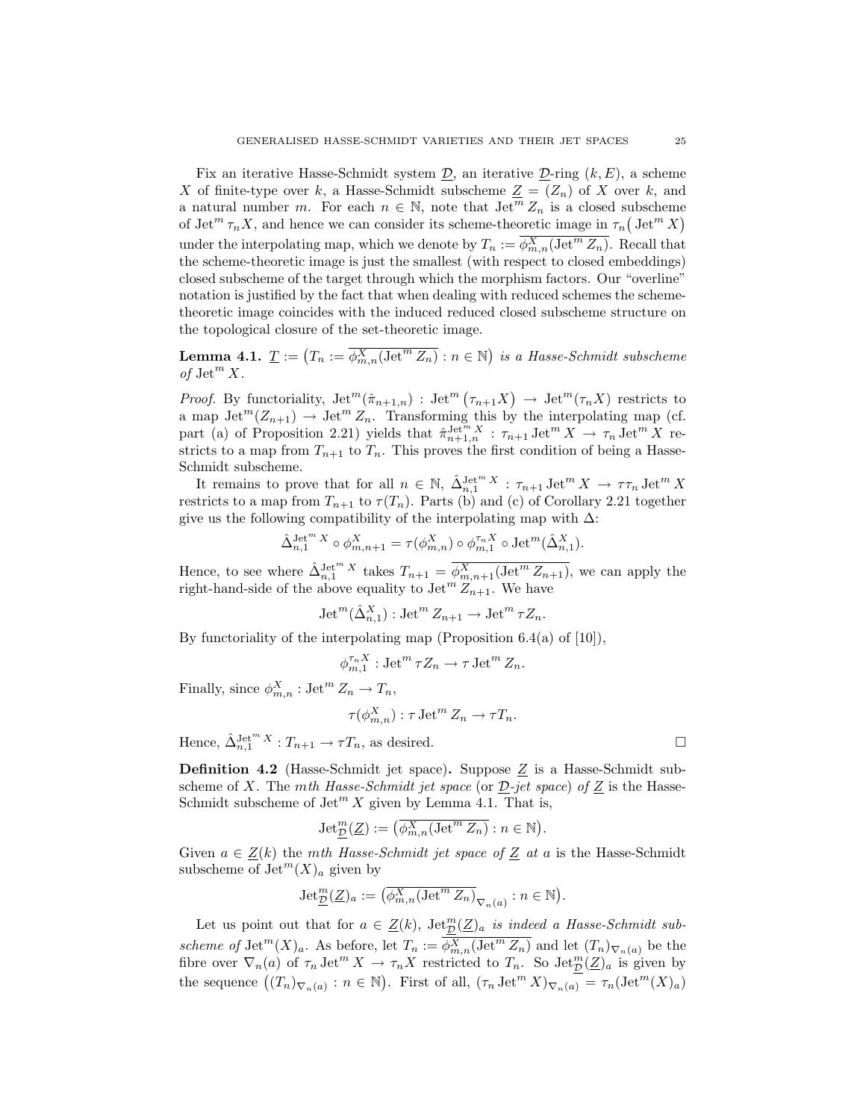Fix an iterative Hasse-Schmidt system  $\underline{\mathcal{D}}$ , an iterative  $\underline{\mathcal{D}}$ -ring  $(k, E)$ , a scheme X of finite-type over k, a Hasse-Schmidt subscheme  $Z = (Z_n)$  of X over k, and a natural number m. For each  $n \in \mathbb{N}$ , note that  $\text{Jet}^m Z_n$  is a closed subscheme of Jet<sup>m</sup>  $\tau_n X$ , and hence we can consider its scheme-theoretic image in  $\tau_n$  (Jet<sup>m</sup> X) under the interpolating map, which we denote by  $T_n := \overline{\phi_{m,n}^X(\mathrm{Jet}^m Z_n)}$ . Recall that the scheme-theoretic image is just the smallest (with respect to closed embeddings) closed subscheme of the target through which the morphism factors. Our "overline" notation is justified by the fact that when dealing with reduced schemes the schemetheoretic image coincides with the induced reduced closed subscheme structure on the topological closure of the set-theoretic image.

**Lemma 4.1.**  $\underline{T} := (T_n := \overline{\phi_{m,n}^X(\text{Jet}^m Z_n)} : n \in \mathbb{N})$  is a Hasse-Schmidt subscheme of  $\mathrm{Jet}^m X$ .

*Proof.* By functoriality,  $\mathrm{Jet}^m(\hat{\pi}_{n+1,n})$ :  $\mathrm{Jet}^m(\tau_{n+1}X) \to \mathrm{Jet}^m(\tau_nX)$  restricts to a map  $\mathrm{Jet}^m(Z_{n+1}) \to \mathrm{Jet}^m Z_n$ . Transforming this by the interpolating map (cf. part (a) of Proposition 2.21) yields that  $\hat{\pi}_{n+1,n}^{\text{Jet}^m X}$  :  $\tau_{n+1}$  Jet<sup>m</sup> X  $\rightarrow \tau_n$  Jet<sup>m</sup> X restricts to a map from  $T_{n+1}$  to  $T_n$ . This proves the first condition of being a Hasse-Schmidt subscheme.

It remains to prove that for all  $n \in \mathbb{N}$ ,  $\hat{\Delta}_{n,1}^{\mathrm{Jet}^m X}$  :  $\tau_{n+1} \mathrm{Jet}^m X \to \tau \tau_n \mathrm{Jet}^m X$ restricts to a map from  $T_{n+1}$  to  $\tau(T_n)$ . Parts (b) and (c) of Corollary 2.21 together give us the following compatibility of the interpolating map with  $\Delta$ :

$$
\hat{\Delta}_{n,1}^{\mathrm{Jet}^mX}\circ \phi_{m,n+1}^X=\tau(\phi_{m,n}^X)\circ \phi_{m,1}^{\tau_nX}\circ \mathrm{Jet}^m(\hat{\Delta}_{n,1}^X).
$$

Hence, to see where  $\hat{\Delta}_{n,1}^{\text{Jet}^m X}$  takes  $T_{n+1} = \overline{\phi_{m,n+1}^X(\text{Jet}^m Z_{n+1})}$ , we can apply the right-hand-side of the above equality to  $\text{Jet}^m Z_{n+1}$ . We have

$$
\operatorname{Jet}^m(\hat{\Delta}_{n,1}^X): \operatorname{Jet}^m Z_{n+1} \to \operatorname{Jet}^m \tau Z_n.
$$

By functoriality of the interpolating map (Proposition 6.4(a) of  $[10]$ ),

$$
\phi_{m,1}^{\tau_n X} : \operatorname{Jet}^m \tau Z_n \to \tau \operatorname{Jet}^m Z_n.
$$

Finally, since  $\phi_{m,n}^X : \text{Jet}^m Z_n \to T_n$ ,

$$
\tau(\phi_{m,n}^X): \tau \det^m Z_n \to \tau T_n.
$$

Hence,  $\hat{\Delta}_{n,1}^{\text{Jet}^m X}: T_{n+1} \to \tau T_n$ , as desired.

**Definition 4.2** (Hasse-Schmidt jet space). Suppose  $Z$  is a Hasse-Schmidt subscheme of X. The mth Hasse-Schmidt jet space (or  $D$ -jet space) of Z is the Hasse-Schmidt subscheme of  $\mathrm{Jet}^m X$  given by Lemma 4.1. That is,

$$
\operatorname{Jet}_{\underline{\mathcal{D}}}^m(\underline{Z}) := \left( \overline{\phi_{m,n}^X(\operatorname{Jet}^m Z_n)} : n \in \mathbb{N} \right).
$$

Given  $a \in \underline{Z}(k)$  the mth Hasse-Schmidt jet space of  $\underline{Z}$  at a is the Hasse-Schmidt subscheme of  $\mathrm{Jet}^m(X)_a$  given by

$$
\operatorname{Jet}_{\underline{\mathcal{D}}}^m(\underline{Z})_a := \left( \overline{\phi_{m,n}^X} (\operatorname{Jet}^m \overline{Z_n})_{\nabla_n(a)} : n \in \mathbb{N} \right).
$$

Let us point out that for  $a \in \underline{Z}(k)$ ,  $\text{Jet}_{\mathcal{D}}^{m}(\underline{Z})_a$  is indeed a Hasse-Schmidt subscheme of Jet<sup>m</sup> $(X)_a$ . As before, let  $T_n := \overline{\phi_{m,n}^X(\text{Jet}^m Z_n)}$  and let  $(T_n)_{\nabla_n(a)}$  be the fibre over  $\nabla_n(a)$  of  $\tau_n \operatorname{Jet}^m X \to \tau_n X$  restricted to  $T_n$ . So  $\operatorname{Jet}^m_{\mathcal{D}}(\underline{Z})_a$  is given by the sequence  $((T_n)_{\nabla_n(a)} : n \in \mathbb{N})$ . First of all,  $(\tau_n \operatorname{Jet}^m X)_{\nabla_n(a)} = \tau_n(\operatorname{Jet}^m(X)_a)$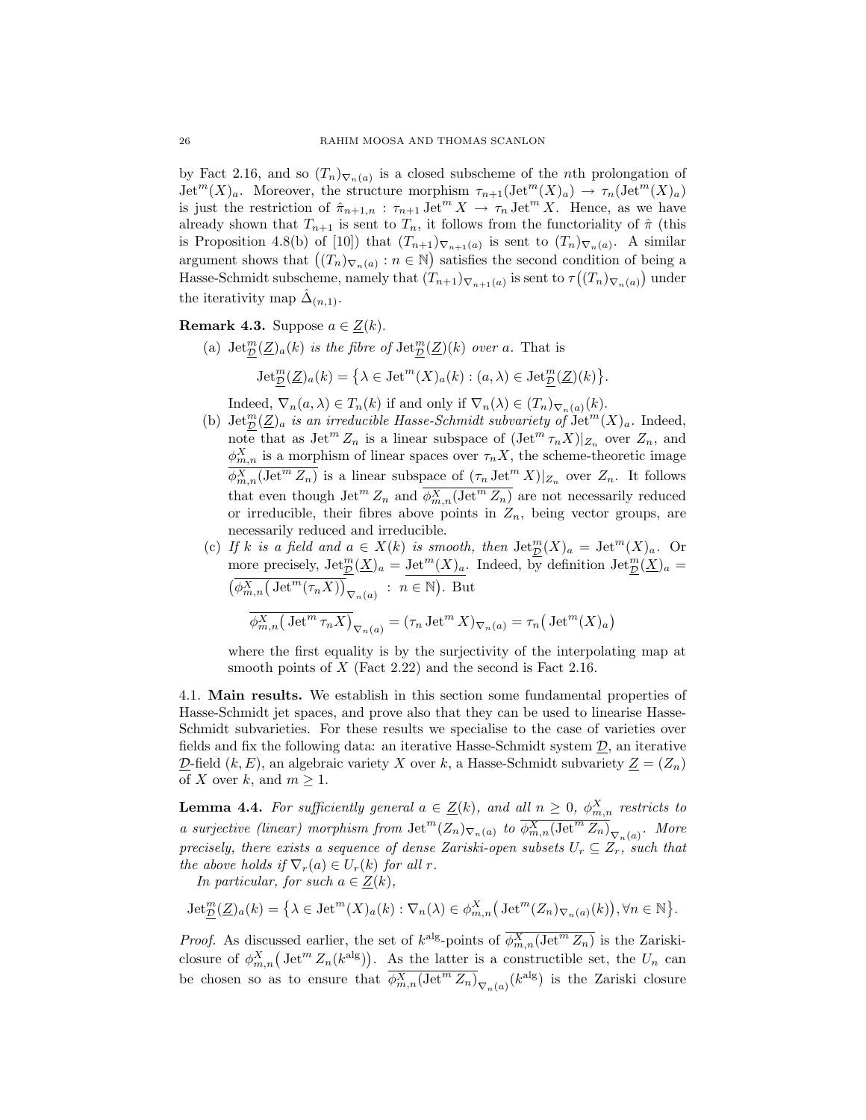by Fact 2.16, and so  $(T_n)_{\nabla_n(a)}$  is a closed subscheme of the *n*th prolongation of  $\mathrm{Jet}^m(X)_a$ . Moreover, the structure morphism  $\tau_{n+1}(\mathrm{Jet}^m(X)_a) \to \tau_n(\mathrm{Jet}^m(X)_a)$ is just the restriction of  $\hat{\pi}_{n+1,n} : \tau_{n+1} \text{Jet}^m X \to \tau_n \text{Jet}^m X$ . Hence, as we have already shown that  $T_{n+1}$  is sent to  $T_n$ , it follows from the functoriality of  $\hat{\pi}$  (this is Proposition 4.8(b) of [10]) that  $(T_{n+1})_{\nabla_{n+1}(a)}$  is sent to  $(T_n)_{\nabla_n(a)}$ . A similar argument shows that  $((T_n)_{\nabla_n(a)} : n \in \mathbb{N})$  satisfies the second condition of being a Hasse-Schmidt subscheme, namely that  $(T_{n+1})_{\nabla_{n+1}(a)}$  is sent to  $\tau((T_n)_{\nabla_n(a)})$  under the iterativity map  $\hat{\Delta}_{(n,1)}$ .

Remark 4.3. Suppose  $a \in \underline{Z}(k)$ .

(a)  $\mathrm{Jet}_{\mathcal{D}}^m(\mathcal{Z})_a(k)$  is the fibre of  $\mathrm{Jet}_{\mathcal{D}}^m(\mathcal{Z})(k)$  over a. That is  $\operatorname{Jet}_{\mathcal{D}}^m(\mathcal{Z})_a(k) = \left\{ \lambda \in \operatorname{Jet}^m(X)_a(k) : (a, \lambda) \in \operatorname{Jet}_{\mathcal{D}}^m(\mathcal{Z})(k) \right\}.$ 

Indeed,  $\nabla_n(a,\lambda) \in T_n(k)$  if and only if  $\nabla_n(\lambda) \in (T_n)_{\nabla_n(a)}(k)$ .

- (b)  $\mathrm{Jet}_{\mathcal{D}}^{m}(\mathcal{Z})_a$  is an irreducible Hasse-Schmidt subvariety of  $\mathrm{Jet}^m(X)_a$ . Indeed, note that as  $\operatorname{Jet}^m Z_n$  is a linear subspace of  $(\operatorname{Jet}^m \tau_n X)|_{Z_n}$  over  $Z_n$ , and  $\phi_{m,n}^X$  is a morphism of linear spaces over  $\tau_n X$ , the scheme-theoretic image  $\overline{\phi_{m,n}^X(\mathrm{Jet}^m Z_n)}$  is a linear subspace of  $(\tau_n \mathrm{Jet}^m X)|_{Z_n}$  over  $Z_n$ . It follows that even though  $\text{Jet}^m Z_n$  and  $\overline{\phi_{m,n}^X(\text{Jet}^m Z_n)}$  are not necessarily reduced or irreducible, their fibres above points in  $Z_n$ , being vector groups, are necessarily reduced and irreducible.
- (c) If k is a field and  $a \in X(k)$  is smooth, then  $\text{Jet}_{\mathcal{D}}^{m}(X)_a = \text{Jet}^{m}(X)_a$ . Or more precisely,  $\mathrm{Jet}_{\mathcal{D}}^m(\underline{X})_a = \mathrm{Jet}^m(X)_a$ . Indeed, by definition  $\mathrm{Jet}_{\mathcal{D}}^m(\underline{X})_a =$  $(\overline{\phi_{m,n}^X(\mathrm{Jet}^m(\tau_nX))}_{\nabla_n(a)} : n \in \mathbb{N}).$  But  $\overline{\phi}_{m,n}^X \big( \operatorname{Jet}^m\tau_n X\big)_{\nabla_n(a)} = (\tau_n \operatorname{Jet}^m X)_{\nabla_n(a)} = \tau_n \big( \operatorname{Jet}^m(X)_a \big)$

where the first equality is by the surjectivity of the interpolating map at smooth points of  $X$  (Fact 2.22) and the second is Fact 2.16.

4.1. Main results. We establish in this section some fundamental properties of Hasse-Schmidt jet spaces, and prove also that they can be used to linearise Hasse-Schmidt subvarieties. For these results we specialise to the case of varieties over fields and fix the following data: an iterative Hasse-Schmidt system  $D$ , an iterative  $\mathcal{D}$ -field  $(k, E)$ , an algebraic variety X over k, a Hasse-Schmidt subvariety  $\underline{Z} = (Z_n)$ of X over k, and  $m \geq 1$ .

**Lemma 4.4.** For sufficiently general  $a \in \underline{Z}(k)$ , and all  $n \geq 0$ ,  $\phi_{m,n}^X$  restricts to a surjective (linear) morphism from  $\text{Jet}^m(Z_n)_{\nabla_n(a)}$  to  $\overline{\phi_{m,n}^X(\text{Jet}^m Z_n)}_{\nabla_n(a)}$ . More precisely, there exists a sequence of dense Zariski-open subsets  $U_r \subseteq Z_r$ , such that the above holds if  $\nabla_r(a) \in U_r(k)$  for all r.

In particular, for such  $a \in \underline{Z}(k)$ ,

$$
\operatorname{Jet}_{\underline{\mathcal{D}}}^m(\underline{Z})_a(k) = \left\{ \lambda \in \operatorname{Jet}^m(X)_a(k) : \nabla_n(\lambda) \in \phi_{m,n}^X \big( \operatorname{Jet}^m(Z_n)_{\nabla_n(a)}(k) \big), \forall n \in \mathbb{N} \right\}.
$$

*Proof.* As discussed earlier, the set of  $k^{alg}$ -points of  $\overline{\phi_{m,n}^X(\text{Jet}^m Z_n)}$  is the Zariskiclosure of  $\phi_{m,n}^X(\mathrm{Jet}^m Z_n(k^{\mathrm{alg}}))$ . As the latter is a constructible set, the  $U_n$  can be chosen so as to ensure that  $\overline{\phi_{m,n}^X(\mathrm{Jet}^m Z_n)}_{\nabla_n(a)}(k^{\mathrm{alg}})$  is the Zariski closure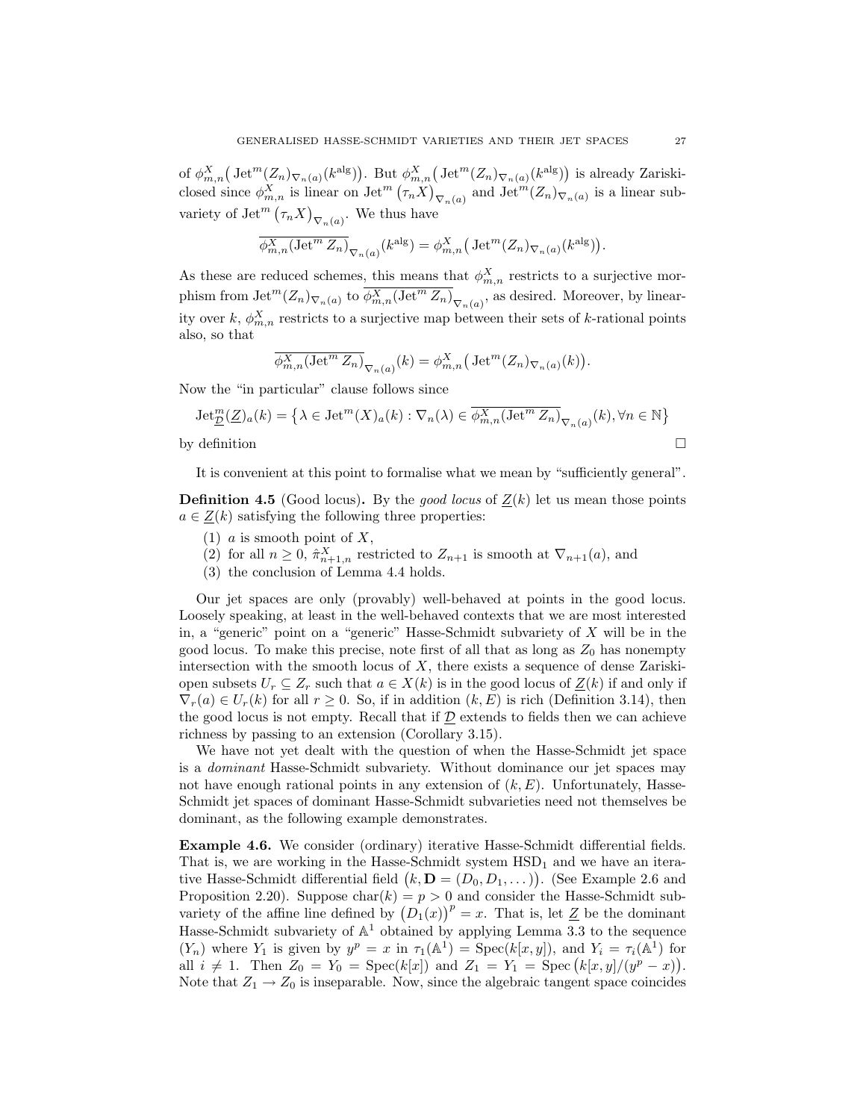of  $\phi_{m,n}^X(\mathrm{Jet}^m(Z_n)_{\nabla_n(a)}(k^{\mathrm{alg}}))$ . But  $\phi_{m,n}^X(\mathrm{Jet}^m(Z_n)_{\nabla_n(a)}(k^{\mathrm{alg}}))$  is already Zariskiclosed since  $\phi_{m,n}^X$  is linear on Jet<sup>m</sup>  $(\tau_n X)_{\nabla_n(a)}$  and Jet<sup>m</sup> $(Z_n)_{\nabla_n(a)}$  is a linear subvariety of  $\mathrm{Jet}^m(\tau_nX)_{\nabla_n(a)}$ . We thus have

$$
\overline{\phi_{m,n}^X(\operatorname{Jet}^m Z_n)}_{\nabla_n(a)}(k^{\operatorname{alg}}) = \phi_{m,n}^X\big(\operatorname{Jet}^m(Z_n)_{\nabla_n(a)}(k^{\operatorname{alg}})\big).
$$

As these are reduced schemes, this means that  $\phi_{m,n}^X$  restricts to a surjective morphism from  $\mathrm{Jet}^m(Z_n)_{\nabla_n(a)}$  to  $\overline{\phi_{m,n}^X(\mathrm{Jet}^m Z_n)}_{\nabla_n(a)}$ , as desired. Moreover, by linearity over k,  $\phi_{m,n}^X$  restricts to a surjective map between their sets of k-rational points also, so that

$$
\overline{\phi_{m,n}^X(\operatorname{Jet}^m Z_n)}_{\nabla_n(a)}(k) = \phi_{m,n}^X(\operatorname{Jet}^m(Z_n)_{\nabla_n(a)}(k)).
$$

Now the "in particular" clause follows since

$$
\operatorname{Jet}_{\underline{\mathcal{D}}}^m(\underline{Z})_a(k) = \left\{ \lambda \in \operatorname{Jet}^m(X)_a(k) : \nabla_n(\lambda) \in \overline{\phi_{m,n}^X(\operatorname{Jet}^m Z_n)}_{\nabla_n(a)}(k), \forall n \in \mathbb{N} \right\}
$$
  
by definition

It is convenient at this point to formalise what we mean by "sufficiently general".

**Definition 4.5** (Good locus). By the *good locus* of  $Z(k)$  let us mean those points  $a \in Z(k)$  satisfying the following three properties:

- (1)  $a$  is smooth point of  $X$ ,
- (2) for all  $n \geq 0$ ,  $\hat{\pi}_{n+1,n}^X$  restricted to  $Z_{n+1}$  is smooth at  $\nabla_{n+1}(a)$ , and
- (3) the conclusion of Lemma 4.4 holds.

Our jet spaces are only (provably) well-behaved at points in the good locus. Loosely speaking, at least in the well-behaved contexts that we are most interested in, a "generic" point on a "generic" Hasse-Schmidt subvariety of X will be in the good locus. To make this precise, note first of all that as long as  $Z_0$  has nonempty intersection with the smooth locus of  $X$ , there exists a sequence of dense Zariskiopen subsets  $U_r \subseteq Z_r$  such that  $a \in X(k)$  is in the good locus of  $Z(k)$  if and only if  $\nabla_r(a) \in U_r(k)$  for all  $r \geq 0$ . So, if in addition  $(k, E)$  is rich (Definition 3.14), then the good locus is not empty. Recall that if  $\mathcal D$  extends to fields then we can achieve richness by passing to an extension (Corollary 3.15).

We have not yet dealt with the question of when the Hasse-Schmidt jet space is a dominant Hasse-Schmidt subvariety. Without dominance our jet spaces may not have enough rational points in any extension of  $(k, E)$ . Unfortunately, Hasse-Schmidt jet spaces of dominant Hasse-Schmidt subvarieties need not themselves be dominant, as the following example demonstrates.

Example 4.6. We consider (ordinary) iterative Hasse-Schmidt differential fields. That is, we are working in the Hasse-Schmidt system  $HSD<sub>1</sub>$  and we have an iterative Hasse-Schmidt differential field  $(k, \mathbf{D} = (D_0, D_1, \dots))$ . (See Example 2.6 and Proposition 2.20). Suppose  $char(k) = p > 0$  and consider the Hasse-Schmidt subvariety of the affine line defined by  $(D_1(x))^p = x$ . That is, let Z be the dominant Hasse-Schmidt subvariety of  $\mathbb{A}^1$  obtained by applying Lemma 3.3 to the sequence  $(Y_n)$  where  $Y_1$  is given by  $y^p = x$  in  $\tau_1(\mathbb{A}^1) = \text{Spec}(k[x, y])$ , and  $Y_i = \tau_i(\mathbb{A}^1)$  for all  $i \neq 1$ . Then  $Z_0 = Y_0 = \text{Spec}(k[x])$  and  $Z_1 = Y_1 = \text{Spec}(k[x, y]/(y^p - x))$ . Note that  $Z_1 \rightarrow Z_0$  is inseparable. Now, since the algebraic tangent space coincides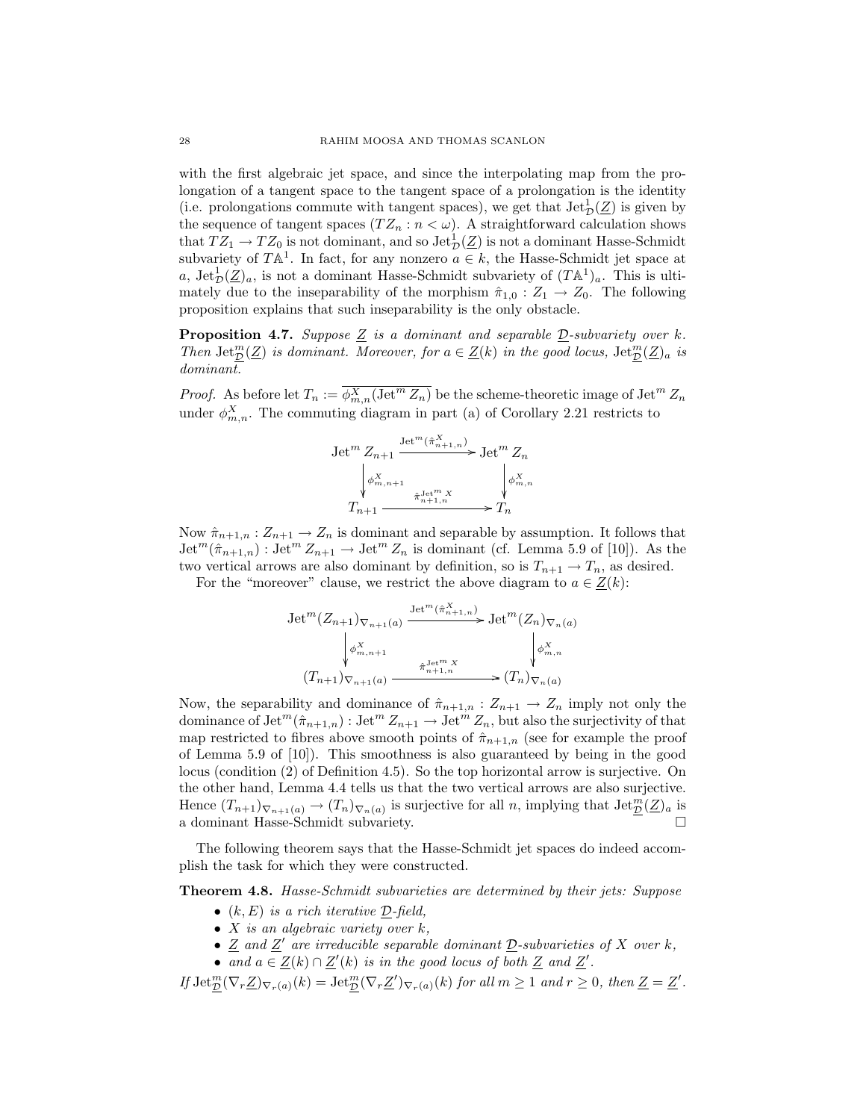with the first algebraic jet space, and since the interpolating map from the prolongation of a tangent space to the tangent space of a prolongation is the identity (i.e. prolongations commute with tangent spaces), we get that  $\mathrm{Jet}_{\mathcal{D}}(\underline{Z})$  is given by the sequence of tangent spaces  $(TZ_n : n < \omega)$ . A straightforward calculation shows that  $TZ_1 \rightarrow TZ_0$  is not dominant, and so  $\mathrm{Jet}_\mathcal{D}^1(\underline{Z})$  is not a dominant Hasse-Schmidt subvariety of  $TA^1$ . In fact, for any nonzero  $a \in k$ , the Hasse-Schmidt jet space at a,  $\text{Jet}_\mathcal{D}^1(\underline{Z})_a$ , is not a dominant Hasse-Schmidt subvariety of  $(T\mathbb{A}^1)_a$ . This is ultimately due to the inseparability of the morphism  $\hat{\pi}_{1,0} : Z_1 \to Z_0$ . The following proposition explains that such inseparability is the only obstacle.

**Proposition 4.7.** Suppose  $\underline{Z}$  is a dominant and separable  $\underline{D}$ -subvariety over k. Then  $\mathrm{Jet}_{\mathcal{D}}^m(\underline{Z})$  is dominant. Moreover, for  $a \in \underline{Z}(k)$  in the good locus,  $\mathrm{Jet}_{\mathcal{D}}^m(\underline{Z})_a$  is dominant.

*Proof.* As before let  $T_n := \overline{\phi_{m,n}^X(\text{Jet}^m Z_n)}$  be the scheme-theoretic image of  $\text{Jet}^m Z_n$ under  $\phi_{m,n}^X$ . The commuting diagram in part (a) of Corollary 2.21 restricts to

$$
\begin{aligned} \operatorname{Jet}^m Z_{n+1} &\xrightarrow{\operatorname{Jet}^m(\hat{\pi}_{n+1,n}^X)} \operatorname{Jet}^m Z_n\\ &\downarrow^{\phi^X_{m,n+1}} \qquad \qquad \downarrow^{\phi^X_{m,n+1}}\\ T_{n+1} &\xrightarrow{\hat{\pi}_{n+1,n}^{\operatorname{Jet}^mX}} T_n \end{aligned}
$$

Now  $\hat{\pi}_{n+1,n}: Z_{n+1} \to Z_n$  is dominant and separable by assumption. It follows that  $\mathrm{Jet}^m(\hat{\pi}_{n+1,n}) : \mathrm{Jet}^m Z_{n+1} \to \mathrm{Jet}^m Z_n$  is dominant (cf. Lemma 5.9 of [10]). As the two vertical arrows are also dominant by definition, so is  $T_{n+1} \to T_n$ , as desired.

For the "moreover" clause, we restrict the above diagram to  $a \in \underline{Z}(k)$ :

$$
\operatorname{Jet}^m(Z_{n+1})_{\nabla_{n+1}(a)} \xrightarrow{\operatorname{Jet}^m(\hat{\pi}_{n+1,n}^X)} \operatorname{Jet}^m(Z_n)_{\nabla_n(a)}
$$

$$
\downarrow^{\phi^X_{m,n+1}}_{\phi^{m,n+1}_{m+1,n}} \qquad \qquad \downarrow^{\phi^X_{m,n}}_{\phi^{m,n}_{m+1,n}}_{\phi^{m,n}_{m+1,n}} \qquad \qquad
$$

$$
(T_{n+1})_{\nabla_{n+1}(a)} \xrightarrow{\hat{\pi}_{n+1,n}^{1}} (T_n)_{\nabla_n(a)}
$$

Now, the separability and dominance of  $\hat{\pi}_{n+1,n} : Z_{n+1} \to Z_n$  imply not only the dominance of  $\mathrm{Jet}^m(\hat{\pi}_{n+1,n})$  :  $\mathrm{Jet}^m Z_{n+1} \to \mathrm{Jet}^m Z_n$ , but also the surjectivity of that map restricted to fibres above smooth points of  $\hat{\pi}_{n+1,n}$  (see for example the proof of Lemma 5.9 of [10]). This smoothness is also guaranteed by being in the good locus (condition (2) of Definition 4.5). So the top horizontal arrow is surjective. On the other hand, Lemma 4.4 tells us that the two vertical arrows are also surjective. Hence  $(T_{n+1})_{\nabla_{n+1}(a)} \to (T_n)_{\nabla_n(a)}$  is surjective for all n, implying that  $\text{Jet}_{\mathcal{D}}^m(\underline{Z})_a$  is a dominant Hasse-Schmidt subvariety.  $\hfill \square$ 

The following theorem says that the Hasse-Schmidt jet spaces do indeed accomplish the task for which they were constructed.

Theorem 4.8. Hasse-Schmidt subvarieties are determined by their jets: Suppose

- $(k, E)$  is a rich iterative D-field,
- $X$  is an algebraic variety over  $k$ ,
- $\underline{Z}$  and  $\underline{Z}'$  are irreducible separable dominant  $\underline{D}$ -subvarieties of X over k,
- and  $a \in \underline{Z}(k) \cap \underline{Z}'(k)$  is in the good locus of both  $\underline{Z}$  and  $\underline{Z}'$ .

If  $\mathrm{Jet}_{\mathcal{D}}^m(\nabla_r \underline{Z})_{\nabla_r(a)}(k) = \mathrm{Jet}_{\mathcal{D}}^m(\nabla_r \underline{Z}')_{\nabla_r(a)}(k)$  for all  $m \geq 1$  and  $r \geq 0$ , then  $\underline{Z} = \underline{Z}'$ .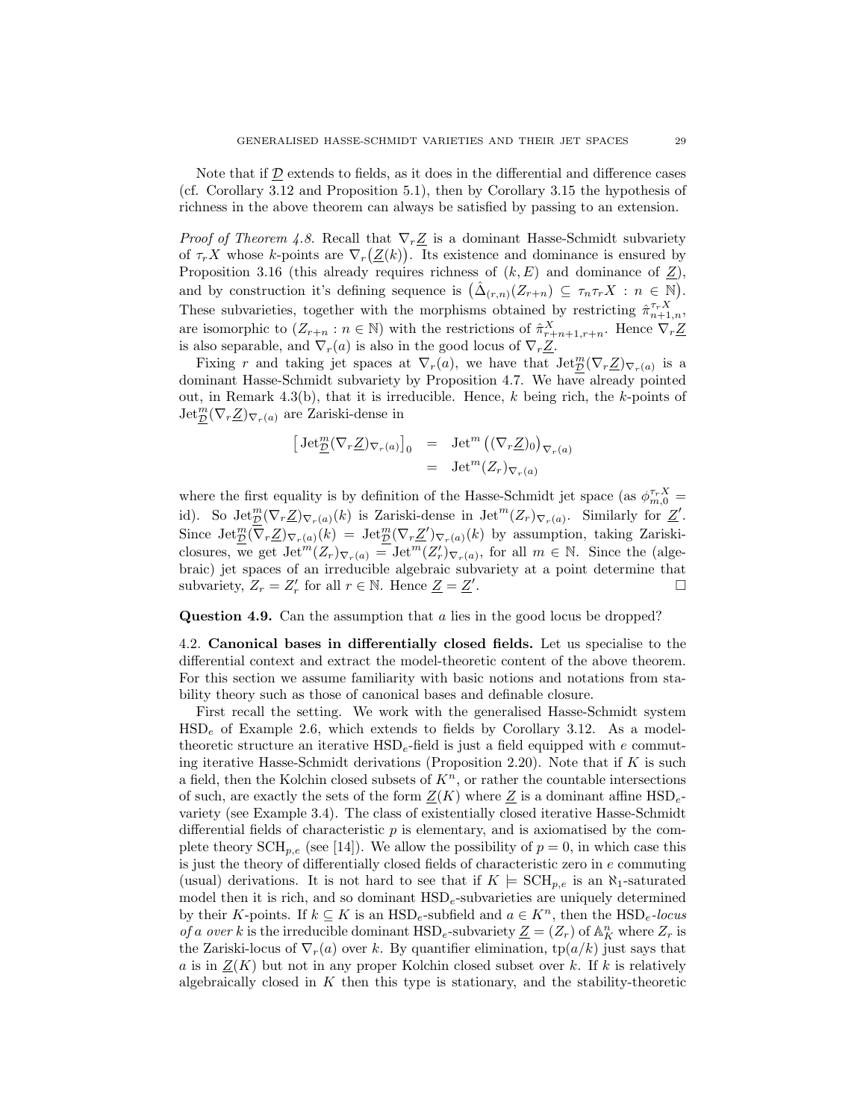Note that if  $\mathcal D$  extends to fields, as it does in the differential and difference cases (cf. Corollary 3.12 and Proposition 5.1), then by Corollary 3.15 the hypothesis of richness in the above theorem can always be satisfied by passing to an extension.

*Proof of Theorem 4.8.* Recall that  $\nabla_r \underline{Z}$  is a dominant Hasse-Schmidt subvariety of  $\tau_r X$  whose k-points are  $\nabla_r(\underline{Z}(k))$ . Its existence and dominance is ensured by Proposition 3.16 (this already requires richness of  $(k, E)$  and dominance of  $Z$ ), and by construction it's defining sequence is  $(\hat{\Delta}_{(r,n)}(Z_{r+n}) \subseteq \tau_n \tau_r X : n \in \mathbb{N}).$ These subvarieties, together with the morphisms obtained by restricting  $\hat{\pi}_{n+1,n}^{\tau_r X}$ , are isomorphic to  $(Z_{r+n}: n \in \mathbb{N})$  with the restrictions of  $\hat{\pi}_{r+n+1,r+n}^X$ . Hence  $\nabla_r \underline{Z}$ is also separable, and  $\nabla_r(a)$  is also in the good locus of  $\nabla_r \underline{Z}$ .

Fixing r and taking jet spaces at  $\nabla_r(a)$ , we have that  $\text{Jet}_{\mathcal{D}}^m(\nabla_r \underline{Z})_{\nabla_r(a)}$  is a dominant Hasse-Schmidt subvariety by Proposition 4.7. We have already pointed out, in Remark 4.3(b), that it is irreducible. Hence,  $k$  being rich, the  $k$ -points of  $\mathrm{Jet}_{\mathcal{D}}^m(\nabla_r \underline{Z})_{\nabla_r(a)}$  are Zariski-dense in

$$
\begin{array}{rcl} \left[ \,\text{Jet}_{\underline{\mathcal{D}}}^{m}(\nabla_{r}\underline{Z})_{\nabla_{r}(a)} \right]_{0} & = & \text{Jet}^{m} \left( (\nabla_{r}\underline{Z})_{0} \right)_{\nabla_{r}(a)} \\ & = & \text{Jet}^{m}(Z_{r})_{\nabla_{r}(a)} \end{array}
$$

where the first equality is by definition of the Hasse-Schmidt jet space (as  $\phi_{m,0}^{\tau_r X}$  = id). So  $\mathrm{Jet}_{\mathcal{D}}^m(\nabla_r \underline{Z})_{\nabla_r(a)}(k)$  is Zariski-dense in  $\mathrm{Jet}^m(Z_r)_{\nabla_r(a)}$ . Similarly for  $\underline{Z}'$ . Since  $\mathrm{Jet}_{\mathcal{D}}^m(\overline{\nabla}_r \underline{Z})_{\nabla_r(a)}(k) = \mathrm{Jet}_{\mathcal{D}}^m(\nabla_r \underline{Z}')_{\nabla_r(a)}(k)$  by assumption, taking Zariskiclosures, we get  $\text{Jet}^m(Z_r)_{\nabla_r(a)} = \text{Jet}^m(Z'_r)_{\nabla_r(a)}$ , for all  $m \in \mathbb{N}$ . Since the (algebraic) jet spaces of an irreducible algebraic subvariety at a point determine that subvariety,  $Z_r = Z'_r$  for all  $r \in \mathbb{N}$ . Hence  $\underline{Z} = \underline{Z}'$ .

Question 4.9. Can the assumption that a lies in the good locus be dropped?

4.2. Canonical bases in differentially closed fields. Let us specialise to the differential context and extract the model-theoretic content of the above theorem. For this section we assume familiarity with basic notions and notations from stability theory such as those of canonical bases and definable closure.

First recall the setting. We work with the generalised Hasse-Schmidt system  $HSD<sub>e</sub>$  of Example 2.6, which extends to fields by Corollary 3.12. As a modeltheoretic structure an iterative  $HSD<sub>e</sub>$ -field is just a field equipped with e commuting iterative Hasse-Schmidt derivations (Proposition 2.20). Note that if  $K$  is such a field, then the Kolchin closed subsets of  $K<sup>n</sup>$ , or rather the countable intersections of such, are exactly the sets of the form  $Z(K)$  where Z is a dominant affine HSD<sub>e</sub>variety (see Example 3.4). The class of existentially closed iterative Hasse-Schmidt differential fields of characteristic  $p$  is elementary, and is axiomatised by the complete theory  $\text{SCH}_{p,e}$  (see [14]). We allow the possibility of  $p = 0$ , in which case this is just the theory of differentially closed fields of characteristic zero in  $e$  commuting (usual) derivations. It is not hard to see that if  $K \models \text{SCH}_{p,e}$  is an  $\aleph_1$ -saturated model then it is rich, and so dominant  $\text{HSD}_e$ -subvarieties are uniquely determined by their K-points. If  $k \subseteq K$  is an  $HSD_e$ -subfield and  $a \in K^n$ , then the  $HSD_e$ -locus of a over k is the irreducible dominant  $\text{HSD}_e$ -subvariety  $\underline{Z} = (Z_r)$  of  $\mathbb{A}_K^n$  where  $Z_r$  is the Zariski-locus of  $\nabla_r(a)$  over k. By quantifier elimination,  $tp(a/k)$  just says that a is in  $Z(K)$  but not in any proper Kolchin closed subset over k. If k is relatively algebraically closed in  $K$  then this type is stationary, and the stability-theoretic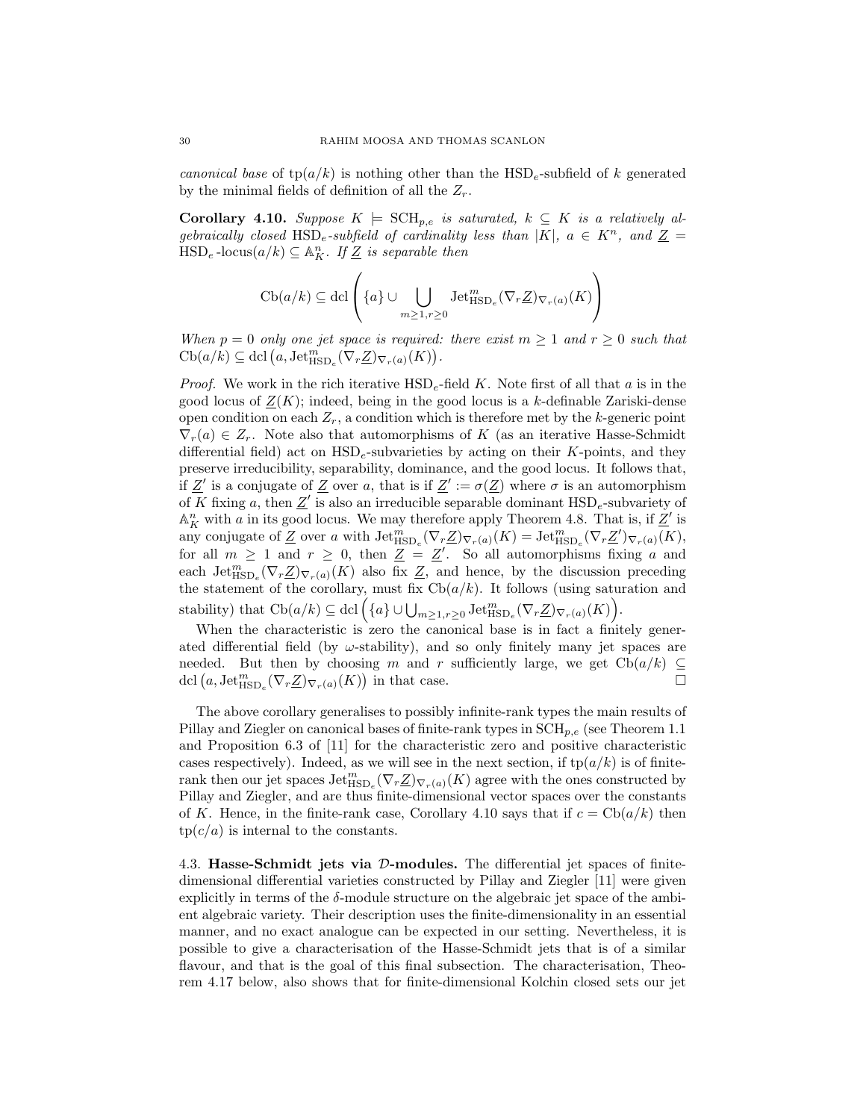canonical base of  $tp(a/k)$  is nothing other than the  $HSD_e$ -subfield of k generated by the minimal fields of definition of all the  $Z_r$ .

Corollary 4.10. Suppose  $K \models \text{SCH}_{p,e}$  is saturated,  $k \subseteq K$  is a relatively algebraically closed HSD<sub>e</sub>-subfield of cardinality less than |K|,  $a \in K^n$ , and  $\underline{Z} =$  $HSD_e$ -locus $(a/k) \subseteq \mathbb{A}_{K}^{n}$ . If  $\underline{Z}$  is separable then

$$
\mathrm{Cb}(a/k)\subseteq\mathrm{dcl}\left(\{a\}\cup\bigcup_{m\geq 1,r\geq 0}\mathrm{Jet}_{\mathrm{HSD}_e}^m(\nabla_r\underline{Z})_{\nabla_r(a)}(K)\right)
$$

When  $p = 0$  only one jet space is required: there exist  $m \ge 1$  and  $r \ge 0$  such that  $\mathrm{Cb}(a/k)\subseteq \mathrm{dcl}(a,\mathrm{Jet}_{\mathrm{HSD}_e}^m(\nabla_r \underline{Z})_{\nabla_r(a)}(K)).$ 

*Proof.* We work in the rich iterative  $HSD<sub>e</sub>$ -field K. Note first of all that a is in the good locus of  $Z(K)$ ; indeed, being in the good locus is a k-definable Zariski-dense open condition on each  $Z_r$ , a condition which is therefore met by the k-generic point  $\nabla_r(a) \in Z_r$ . Note also that automorphisms of K (as an iterative Hasse-Schmidt differential field) act on  $HSD_e$ -subvarieties by acting on their K-points, and they preserve irreducibility, separability, dominance, and the good locus. It follows that, if  $Z'$  is a conjugate of Z over a, that is if  $Z' := \sigma(Z)$  where  $\sigma$  is an automorphism of K fixing a, then  $\underline{Z}'$  is also an irreducible separable dominant  $\text{HSD}_e$ -subvariety of  $\mathbb{A}^n_K$  with a in its good locus. We may therefore apply Theorem 4.8. That is, if  $\underline{Z}'$  is any conjugate of  $\underline{Z}$  over a with  $\mathrm{Jet}_{\mathrm{HSD}_e}^m(\nabla_r \underline{Z})_{\nabla_r(a)}(K) = \mathrm{Jet}_{\mathrm{HSD}_e}^m(\nabla_r \underline{Z}')_{\nabla_r(a)}(K)$ , for all  $m \geq 1$  and  $r \geq 0$ , then  $Z = Z'$ . So all automorphisms fixing a and each  $\mathrm{Jet}^m_{\mathrm{HSD}_e}(\nabla_r \underline{Z})_{\nabla_r(a)}(K)$  also fix  $\underline{Z}$ , and hence, by the discussion preceding the statement of the corollary, must fix  $\text{Cb}(a/k)$ . It follows (using saturation and stability) that  $\mathrm{Cb}(a/k)\subseteq \mathrm{dcl}\left(\{a\}\cup\bigcup_{m\geq 1,r\geq 0}\mathrm{Jet}_{\mathrm{HSD}_e}^m(\nabla_r \underline{Z})_{\nabla_r(a)}(K)\right)$ .

When the characteristic is zero the canonical base is in fact a finitely generated differential field (by  $\omega$ -stability), and so only finitely many jet spaces are needed. But then by choosing m and r sufficiently large, we get  $\text{Cb}(a/k) \subseteq$ dcl  $(a, \text{Jet}_{\text{HSD}_e}^m(\nabla_r \underline{Z})_{\nabla_r(a)}(K))$  in that case.

The above corollary generalises to possibly infinite-rank types the main results of Pillay and Ziegler on canonical bases of finite-rank types in  $\text{SCH}_{p,e}$  (see Theorem 1.1) and Proposition 6.3 of [11] for the characteristic zero and positive characteristic cases respectively). Indeed, as we will see in the next section, if  $tp(a/k)$  is of finiterank then our jet spaces  $\mathrm{Jet}^m_{\mathrm{HSD}_e}(\nabla_r \underline{Z})_{\nabla_r(a)}(K)$  agree with the ones constructed by Pillay and Ziegler, and are thus finite-dimensional vector spaces over the constants of K. Hence, in the finite-rank case, Corollary 4.10 says that if  $c = \text{Cb}(a/k)$  then  $tp(c/a)$  is internal to the constants.

4.3. Hasse-Schmidt jets via D-modules. The differential jet spaces of finitedimensional differential varieties constructed by Pillay and Ziegler [11] were given explicitly in terms of the  $\delta$ -module structure on the algebraic jet space of the ambient algebraic variety. Their description uses the finite-dimensionality in an essential manner, and no exact analogue can be expected in our setting. Nevertheless, it is possible to give a characterisation of the Hasse-Schmidt jets that is of a similar flavour, and that is the goal of this final subsection. The characterisation, Theorem 4.17 below, also shows that for finite-dimensional Kolchin closed sets our jet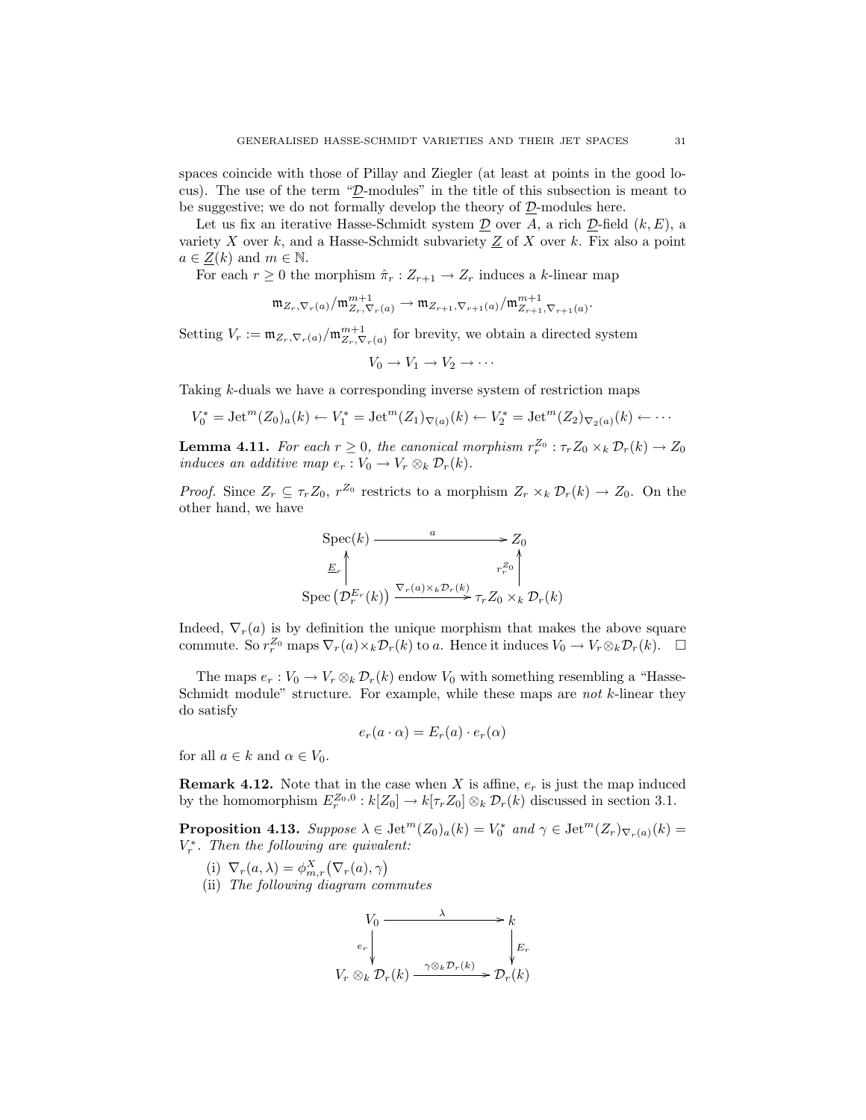spaces coincide with those of Pillay and Ziegler (at least at points in the good locus). The use of the term "D-modules" in the title of this subsection is meant to be suggestive; we do not formally develop the theory of  $D$ -modules here.

Let us fix an iterative Hasse-Schmidt system  $D$  over A, a rich  $D$ -field  $(k, E)$ , a variety  $X$  over  $k$ , and a Hasse-Schmidt subvariety  $Z$  of  $X$  over  $k$ . Fix also a point  $a \in \underline{Z}(k)$  and  $m \in \mathbb{N}$ .

For each  $r \geq 0$  the morphism  $\hat{\pi}_r : Z_{r+1} \to Z_r$  induces a k-linear map

$$
\mathfrak{m}_{Z_r,\nabla_r(a)}/\mathfrak{m}_{Z_r,\nabla_r(a)}^{m+1}\rightarrow \mathfrak{m}_{Z_{r+1},\nabla_{r+1}(a)}/\mathfrak{m}_{Z_{r+1},\nabla_{r+1}(a)}^{m+1}.
$$

Setting  $V_r := \mathfrak{m}_{Z_r, \nabla_r(a)}/\mathfrak{m}_{Z_r, \nabla_r(a)}^{m+1}$  for brevity, we obtain a directed system

$$
V_0 \to V_1 \to V_2 \to \cdots
$$

Taking k-duals we have a corresponding inverse system of restriction maps

$$
V_0^* = \text{Jet}^m(Z_0)_a(k) \leftarrow V_1^* = \text{Jet}^m(Z_1)_{\nabla(a)}(k) \leftarrow V_2^* = \text{Jet}^m(Z_2)_{\nabla_2(a)}(k) \leftarrow \cdots
$$

**Lemma 4.11.** For each  $r \ge 0$ , the canonical morphism  $r_r^{Z_0}$  :  $\tau_r Z_0 \times_k \mathcal{D}_r(k) \to Z_0$ induces an additive map  $e_r : V_0 \to V_r \otimes_k \mathcal{D}_r(k)$ .

*Proof.* Since  $Z_r \subseteq \tau_r Z_0$ ,  $r^{Z_0}$  restricts to a morphism  $Z_r \times_k \mathcal{D}_r(k) \to Z_0$ . On the other hand, we have

$$
\operatorname{Spec}(k) \longrightarrow Z_0
$$
  
\n
$$
\underline{E}_r \downarrow \qquad \qquad r_r^{\mathbb{Z}_0} \downarrow
$$
  
\n
$$
\operatorname{Spec}(\mathcal{D}_r^{E_r}(k)) \xrightarrow{\nabla_r(a) \times_k \mathcal{D}_r(k)} \tau_r Z_0 \times_k \mathcal{D}_r(k)
$$

Indeed,  $\nabla_r(a)$  is by definition the unique morphism that makes the above square commute. So  $r_r^{Z_0}$  maps  $\nabla_r(a) \times_k \mathcal{D}_r(k)$  to a. Hence it induces  $V_0 \to V_r \otimes_k \mathcal{D}_r(k)$ .  $\Box$ 

The maps  $e_r : V_0 \to V_r \otimes_k \mathcal{D}_r(k)$  endow  $V_0$  with something resembling a "Hasse-Schmidt module" structure. For example, while these maps are not  $k$ -linear they do satisfy

$$
e_r(a \cdot \alpha) = E_r(a) \cdot e_r(\alpha)
$$

for all  $a \in k$  and  $\alpha \in V_0$ .

**Remark 4.12.** Note that in the case when X is affine,  $e_r$  is just the map induced by the homomorphism  $E_r^{Z_0,0}: k[Z_0] \to k[\tau_r Z_0] \otimes_k \mathcal{D}_r(k)$  discussed in section 3.1.

**Proposition 4.13.** Suppose  $\lambda \in \mathrm{Jet}^m(Z_0)_a(k) = V_0^*$  and  $\gamma \in \mathrm{Jet}^m(Z_r)_{\nabla_r(a)}(k) =$  $V_r^*$ . Then the following are quivalent:

- (i)  $\nabla_r(a,\lambda) = \phi_{m,r}^X(\nabla_r(a),\gamma)$
- (ii) The following diagram commutes

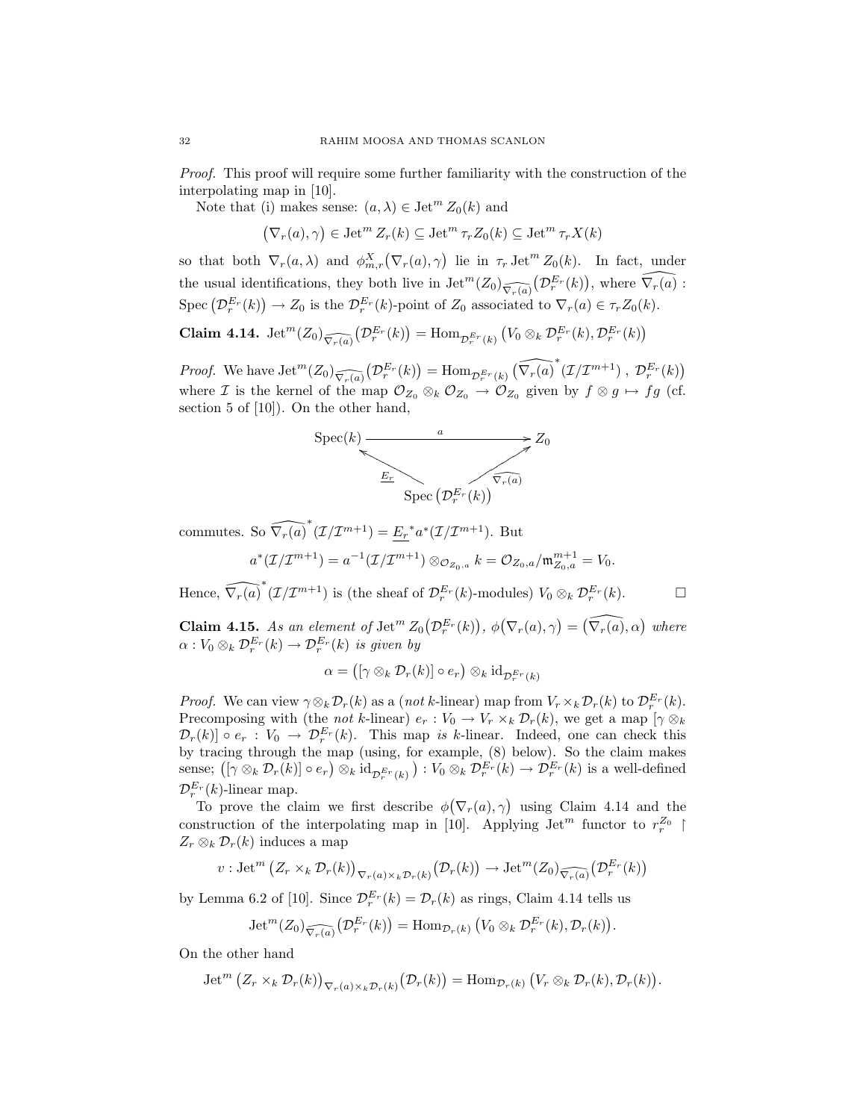Proof. This proof will require some further familiarity with the construction of the interpolating map in [10].

Note that (i) makes sense:  $(a, \lambda) \in \text{Jet}^m Z_0(k)$  and

 $(\nabla_r(a), \gamma) \in \text{Jet}^m Z_r(k) \subseteq \text{Jet}^m \tau_r Z_0(k) \subseteq \text{Jet}^m \tau_r X(k)$ 

so that both  $\nabla_r(a,\lambda)$  and  $\phi_{m,r}^X(\nabla_r(a),\gamma)$  lie in  $\tau_r$  Jet<sup>m</sup>  $Z_0(k)$ . In fact, under the usual identifications, they both live in  $\mathrm{Jet}^m(Z_0)_{\widehat{\nabla_r(a)}}(\mathcal{D}_r^{E_r}(k))$ , where  $\widehat{\nabla_r(a)}$ : Spec  $(\mathcal{D}_r^{E_r}(k)) \to Z_0$  is the  $\mathcal{D}_r^{E_r}(k)$ -point of  $Z_0$  associated to  $\nabla_r(a) \in \tau_r Z_0(k)$ .

Claim 4.14.  $\mathrm{Jet}^m(Z_0)_{\widehat{\nabla_r(a)}}(\mathcal{D}_r^{E_r}(k)) = \mathrm{Hom}_{\mathcal{D}_r^{E_r}(k)}(V_0 \otimes_k \mathcal{D}_r^{E_r}(k), \mathcal{D}_r^{E_r}(k))$ 

*Proof.* We have  $\mathrm{Jet}^m(Z_0)_{\widehat{\nabla_r(a)}}(D_r^{E_r}(k)) = \mathrm{Hom}_{\mathcal{D}_r^{E_r}(k)}(\widehat{\nabla_r(a)}^*(\mathcal{I}/\mathcal{I}^{m+1}), \mathcal{D}_r^{E_r}(k))$ where *I* is the kernel of the map  $\mathcal{O}_{Z_0} \otimes_k \mathcal{O}_{Z_0} \to \mathcal{O}_{Z_0}$  given by  $f \otimes g \mapsto fg$  (cf. section 5 of [10]). On the other hand,



commutes. So  $\widehat{\nabla_r(a)}^*(\mathcal{I}/\mathcal{I}^{m+1}) = \underline{E_r}^* a^*(\mathcal{I}/\mathcal{I}^{m+1})$ . But

$$
a^*(\mathcal{I}/\mathcal{I}^{m+1}) = a^{-1}(\mathcal{I}/\mathcal{I}^{m+1}) \otimes_{\mathcal{O}_{Z_0,a}} k = \mathcal{O}_{Z_0,a}/\mathfrak{m}_{Z_0,a}^{m+1} = V_0.
$$

Hence,  $\widehat{\nabla_r(a)}^*(\mathcal{I}/\mathcal{I}^{m+1})$  is (the sheaf of  $\mathcal{D}_r^{E_r}(k)$ -modules)  $V_0 \otimes_k \mathcal{D}_r^{E_r}(k)$ .

**Claim 4.15.** As an element of  $\mathrm{Jet}^m Z_0(\mathcal{D}_r^{E_r}(k))$ ,  $\phi(\nabla_r(a), \gamma) = (\widehat{\nabla_r(a)}, \alpha)$  where  $\alpha: V_0\otimes_k \mathcal{D}^{E_r}_r(k)\to \mathcal{D}^{E_r}_r(k)$  is given by

$$
\alpha = \big( [\gamma \otimes_k \mathcal{D}_r(k)] \circ e_r \big) \otimes_k \mathrm{id}_{\mathcal{D}_r^{E_r}(k)}
$$

*Proof.* We can view  $\gamma \otimes_k \mathcal{D}_r(k)$  as a (not k-linear) map from  $V_r \times_k \mathcal{D}_r(k)$  to  $\mathcal{D}_r^{E_r}(k)$ . Precomposing with (the *not k*-linear)  $e_r : V_0 \to V_r \times_k \mathcal{D}_r(k)$ , we get a map  $[\gamma \otimes_k]$  $\mathcal{D}_r(k)$   $\circ$   $e_r$  :  $V_0 \to \mathcal{D}_r^{E_r}(k)$ . This map is k-linear. Indeed, one can check this by tracing through the map (using, for example, (8) below). So the claim makes sense;  $([\gamma \otimes_k \mathcal{D}_r(k)] \circ e_r) \otimes_k id_{\mathcal{D}_r^{E_r}(k)}$ ) :  $V_0 \otimes_k \mathcal{D}_r^{E_r}(k) \to \mathcal{D}_r^{E_r}(k)$  is a well-defined  $\mathcal{D}_r^{E_r}(k)$ -linear map.

To prove the claim we first describe  $\phi(\nabla_r(a), \gamma)$  using Claim 4.14 and the construction of the interpolating map in [10]. Applying  $\text{Jet}^m$  functor to  $r_r^{Z_0}$  |  $Z_r \otimes_k \mathcal{D}_r(k)$  induces a map

$$
v: \operatorname{Jet}^m\big(Z_r \times_k \mathcal{D}_r(k)\big)_{\nabla_r(a) \times_k \mathcal{D}_r(k)} \big(\mathcal{D}_r(k)\big) \to \operatorname{Jet}^m(Z_0)_{\widehat{\nabla_r(a)}} \big(\mathcal{D}_r^{E_r}(k)\big)
$$

by Lemma 6.2 of [10]. Since  $\mathcal{D}_r^{E_r}(k) = \mathcal{D}_r(k)$  as rings, Claim 4.14 tells us

$$
\operatorname{Jet}^m(Z_0)_{\widehat{\nabla_r(a)}}\big(\mathcal{D}_r^{E_r}(k)\big)=\operatorname{Hom}_{\mathcal{D}_r(k)}\big(V_0\otimes_k\mathcal{D}_r^{E_r}(k),\mathcal{D}_r(k)\big).
$$

On the other hand

$$
\operatorname{Jet}^m\big(Z_r\times_k \mathcal{D}_r(k)\big)_{\nabla_r(a)\times_k \mathcal{D}_r(k)}\big(\mathcal{D}_r(k)\big)=\operatorname{Hom}_{\mathcal{D}_r(k)}\big(V_r\otimes_k \mathcal{D}_r(k),\mathcal{D}_r(k)\big).
$$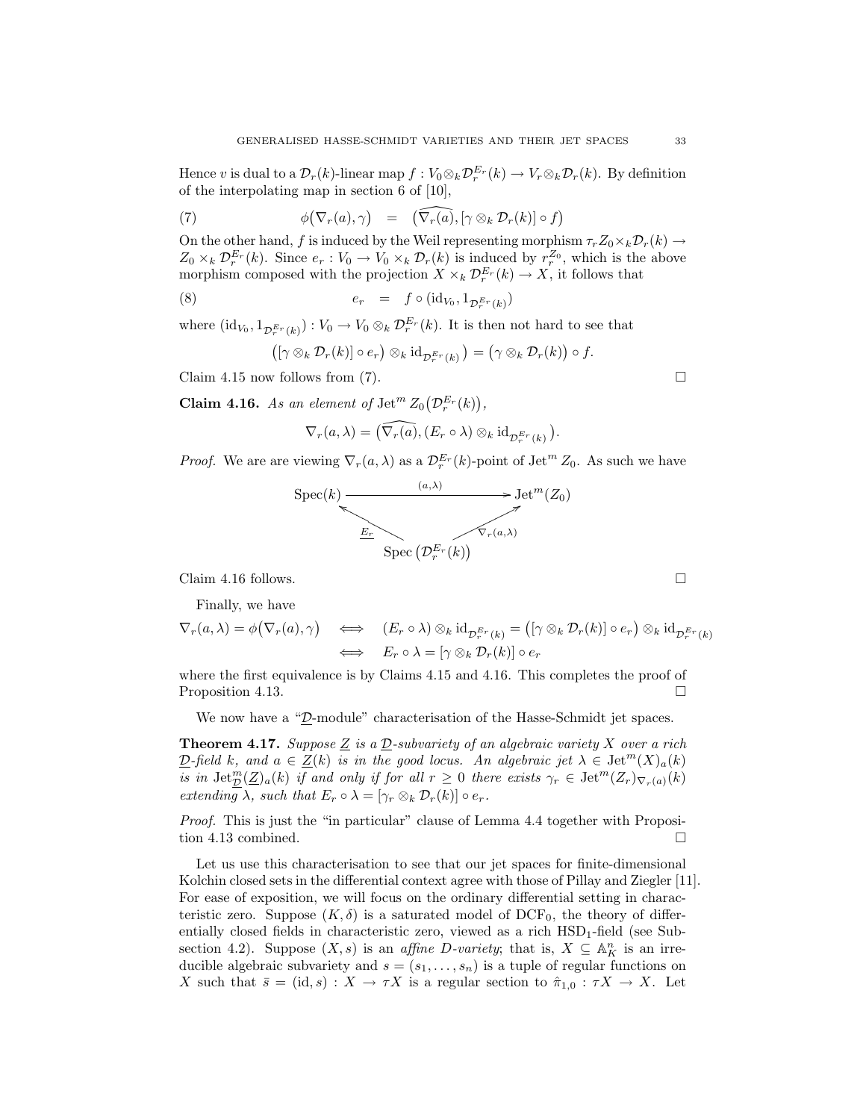Hence v is dual to a  $\mathcal{D}_r(k)$ -linear map  $f: V_0 \otimes_k \mathcal{D}_r^{E_r}(k) \to V_r \otimes_k \mathcal{D}_r(k)$ . By definition of the interpolating map in section 6 of [10],

(7) 
$$
\phi(\nabla_r(a),\gamma) = (\widehat{\nabla_r(a)},[\gamma \otimes_k \mathcal{D}_r(k)] \circ f)
$$

On the other hand, f is induced by the Weil representing morphism  $\tau_r Z_0 \times_k \mathcal{D}_r(k) \to$  $Z_0 \times_k \mathcal{D}_r^{E_r}(k)$ . Since  $e_r : V_0 \to V_0 \times_k \mathcal{D}_r(k)$  is induced by  $r_r^{Z_0}$ , which is the above morphism composed with the projection  $X \times_k \mathcal{D}_r^{E_r}(k) \to X$ , it follows that

(8) 
$$
e_r = f \circ (\mathrm{id}_{V_0}, 1_{\mathcal{D}_r^{E_r}(k)})
$$

where  $(\mathrm{id}_{V_0}, 1_{\mathcal{D}_r^{E_r}(k)}) : V_0 \to V_0 \otimes_k \mathcal{D}_r^{E_r}(k)$ . It is then not hard to see that

$$
([\gamma \otimes_k \mathcal{D}_r(k)] \circ e_r) \otimes_k \mathrm{id}_{\mathcal{D}_r^{E_r}(k)}) = (\gamma \otimes_k \mathcal{D}_r(k)) \circ f.
$$

Claim 4.15 now follows from (7).  $\square$ 

**Claim 4.16.** As an element of  $\operatorname{Jet}^m Z_0(\mathcal{D}_r^{E_r}(k)),$ 

$$
\nabla_r(a,\lambda) = \left(\widehat{\nabla_r(a)}, (E_r \circ \lambda) \otimes_k \mathrm{id}_{\mathcal{D}_r^{E_r}(k)}\right).
$$

*Proof.* We are are viewing  $\nabla_r(a,\lambda)$  as a  $\mathcal{D}_r^{E_r}(k)$ -point of Jet<sup>m</sup>  $Z_0$ . As such we have



Claim 4.16 follows.  $\Box$ 

Finally, we have

$$
\nabla_r(a,\lambda) = \phi(\nabla_r(a),\gamma) \quad \Longleftrightarrow \quad (E_r \circ \lambda) \otimes_k \mathrm{id}_{\mathcal{D}_r^{E_r}(k)} = ([\gamma \otimes_k \mathcal{D}_r(k)] \circ e_r) \otimes_k \mathrm{id}_{\mathcal{D}_r^{E_r}(k)}
$$
\n
$$
\iff \quad E_r \circ \lambda = [\gamma \otimes_k \mathcal{D}_r(k)] \circ e_r
$$

where the first equivalence is by Claims 4.15 and 4.16. This completes the proof of Proposition 4.13.

We now have a "D-module" characterisation of the Hasse-Schmidt jet spaces.

**Theorem 4.17.** Suppose  $\underline{Z}$  is a  $\underline{D}$ -subvariety of an algebraic variety X over a rich  $\underline{\mathcal{D}}$ -field k, and  $a \in \underline{Z}(k)$  is in the good locus. An algebraic jet  $\lambda \in \text{Jet}^m(X)_a(k)$ is in  $\mathrm{Jet}_{\mathcal{D}}^m(\mathcal{Z})_a(k)$  if and only if for all  $r\geq 0$  there exists  $\gamma_r \in \mathrm{Jet}^m(\mathcal{Z}_r)_{\nabla_r(a)}(k)$ extending  $\lambda$ , such that  $E_r \circ \lambda = [\gamma_r \otimes_k \mathcal{D}_r(k)] \circ e_r$ .

Proof. This is just the "in particular" clause of Lemma 4.4 together with Proposition 4.13 combined.

Let us use this characterisation to see that our jet spaces for finite-dimensional Kolchin closed sets in the differential context agree with those of Pillay and Ziegler [11]. For ease of exposition, we will focus on the ordinary differential setting in characteristic zero. Suppose  $(K, \delta)$  is a saturated model of DCF<sub>0</sub>, the theory of differentially closed fields in characteristic zero, viewed as a rich  $\text{HSD}_1$ -field (see Subsection 4.2). Suppose  $(X, s)$  is an *affine D-variety*; that is,  $X \subseteq \mathbb{A}_{K}^{n}$  is an irreducible algebraic subvariety and  $s = (s_1, \ldots, s_n)$  is a tuple of regular functions on X such that  $\bar{s} = (\mathrm{id}, s) : X \to \tau X$  is a regular section to  $\hat{\pi}_{1,0} : \tau X \to X$ . Let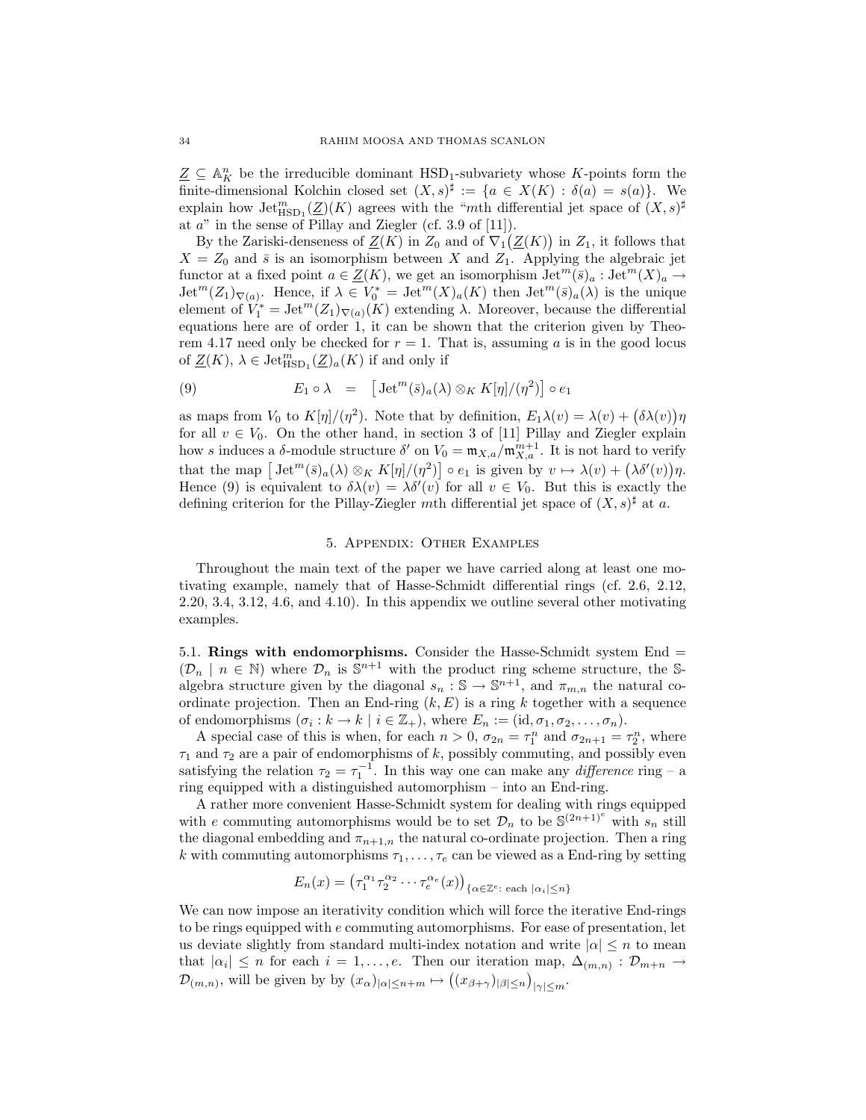$\underline{Z} \subseteq \mathbb{A}^n$  be the irreducible dominant  $\text{HSD}_1$ -subvariety whose K-points form the finite-dimensional Kolchin closed set  $(X, s)^{\sharp} := \{a \in X(K) : \delta(a) = s(a)\}.$  We explain how  $\mathrm{Jet}_{\mathrm{HSD}_1}^m(\underline{Z})(K)$  agrees with the "mth differential jet space of  $(X, s)^\sharp$ at  $a^{\prime\prime}$  in the sense of Pillay and Ziegler (cf. 3.9 of [11]).

By the Zariski-denseness of  $\underline{Z}(K)$  in  $Z_0$  and of  $\nabla_1(\underline{Z}(K))$  in  $Z_1$ , it follows that  $X = Z_0$  and  $\bar{s}$  is an isomorphism between X and  $Z_1$ . Applying the algebraic jet functor at a fixed point  $a \in \underline{Z}(K)$ , we get an isomorphism  $\mathrm{Jet}^m(\bar{s})_a : \mathrm{Jet}^m(X)_a \to$  $\mathrm{Jet}^m(Z_1)_{\nabla(a)}$ . Hence, if  $\lambda \in V_0^* = \mathrm{Jet}^m(X)_a(K)$  then  $\mathrm{Jet}^m(\overline{s})_a(\lambda)$  is the unique element of  $V_1^* = \text{Jet}^m(Z_1)_{\nabla(a)}(K)$  extending  $\lambda$ . Moreover, because the differential equations here are of order 1, it can be shown that the criterion given by Theorem 4.17 need only be checked for  $r = 1$ . That is, assuming a is in the good locus of  $\underline{Z}(K)$ ,  $\lambda \in \text{Jet}_{\text{HSD}_1}^m(\underline{Z})_a(K)$  if and only if

(9) 
$$
E_1 \circ \lambda = \left[ \text{Jet}^m(\bar{s})_a(\lambda) \otimes_K K[\eta]/(\eta^2) \right] \circ e_1
$$

as maps from  $V_0$  to  $K[\eta]/(\eta^2)$ . Note that by definition,  $E_1\lambda(v) = \lambda(v) + (\delta \lambda(v))\eta$ for all  $v \in V_0$ . On the other hand, in section 3 of [11] Pillay and Ziegler explain how s induces a  $\delta$ -module structure  $\delta'$  on  $V_0 = \mathfrak{m}_{X,a}/\mathfrak{m}_{X,a}^{m+1}$ . It is not hard to verify that the map  $\left[\mathrm{Jet}^m(\bar{s})_a(\lambda)\otimes_K K[\eta]/(\eta^2)\right] \circ e_1$  is given by  $v \mapsto \lambda(v) + (\lambda \delta'(v))\eta$ . Hence (9) is equivalent to  $\delta \lambda(v) = \lambda \delta'(v)$  for all  $v \in V_0$ . But this is exactly the defining criterion for the Pillay-Ziegler mth differential jet space of  $(X, s)^\sharp$  at a.

## 5. Appendix: Other Examples

Throughout the main text of the paper we have carried along at least one motivating example, namely that of Hasse-Schmidt differential rings (cf. 2.6, 2.12, 2.20, 3.4, 3.12, 4.6, and 4.10). In this appendix we outline several other motivating examples.

5.1. Rings with endomorphisms. Consider the Hasse-Schmidt system End =  $(\mathcal{D}_n \mid n \in \mathbb{N})$  where  $\mathcal{D}_n$  is  $\mathbb{S}^{n+1}$  with the product ring scheme structure, the Salgebra structure given by the diagonal  $s_n : \mathbb{S} \to \mathbb{S}^{n+1}$ , and  $\pi_{m,n}$  the natural coordinate projection. Then an End-ring  $(k, E)$  is a ring k together with a sequence of endomorphisms  $(\sigma_i : k \to k \mid i \in \mathbb{Z}_+)$ , where  $E_n := (\text{id}, \sigma_1, \sigma_2, \dots, \sigma_n)$ .

A special case of this is when, for each  $n > 0$ ,  $\sigma_{2n} = \tau_1^n$  and  $\sigma_{2n+1} = \tau_2^n$ , where  $\tau_1$  and  $\tau_2$  are a pair of endomorphisms of  $k,$  possibly commuting, and possibly even satisfying the relation  $\tau_2 = \tau_1^{-1}$ . In this way one can make any *difference* ring – a ring equipped with a distinguished automorphism – into an End-ring.

A rather more convenient Hasse-Schmidt system for dealing with rings equipped with e commuting automorphisms would be to set  $\mathcal{D}_n$  to be  $\mathbb{S}^{(2n+1)^e}$  with  $s_n$  still the diagonal embedding and  $\pi_{n+1,n}$  the natural co-ordinate projection. Then a ring k with commuting automorphisms  $\tau_1, \ldots, \tau_e$  can be viewed as a End-ring by setting

$$
E_n(x) = \left(\tau_1^{\alpha_1}\tau_2^{\alpha_2}\cdots\tau_e^{\alpha_e}(x)\right)_{\{\alpha \in \mathbb{Z}^e \colon \text{each } |\alpha_i| \leq n\}}
$$

We can now impose an iterativity condition which will force the iterative End-rings to be rings equipped with  $e$  commuting automorphisms. For ease of presentation, let us deviate slightly from standard multi-index notation and write  $|\alpha| \leq n$  to mean that  $|\alpha_i| \leq n$  for each  $i = 1, \ldots, e$ . Then our iteration map,  $\Delta_{(m,n)} : \mathcal{D}_{m+n} \to$  $\mathcal{D}_{(m,n)}$ , will be given by by  $(x_{\alpha})_{|\alpha| \leq n+m} \mapsto ((x_{\beta+\gamma})_{|\beta| \leq n})_{|\gamma| \leq m}$ .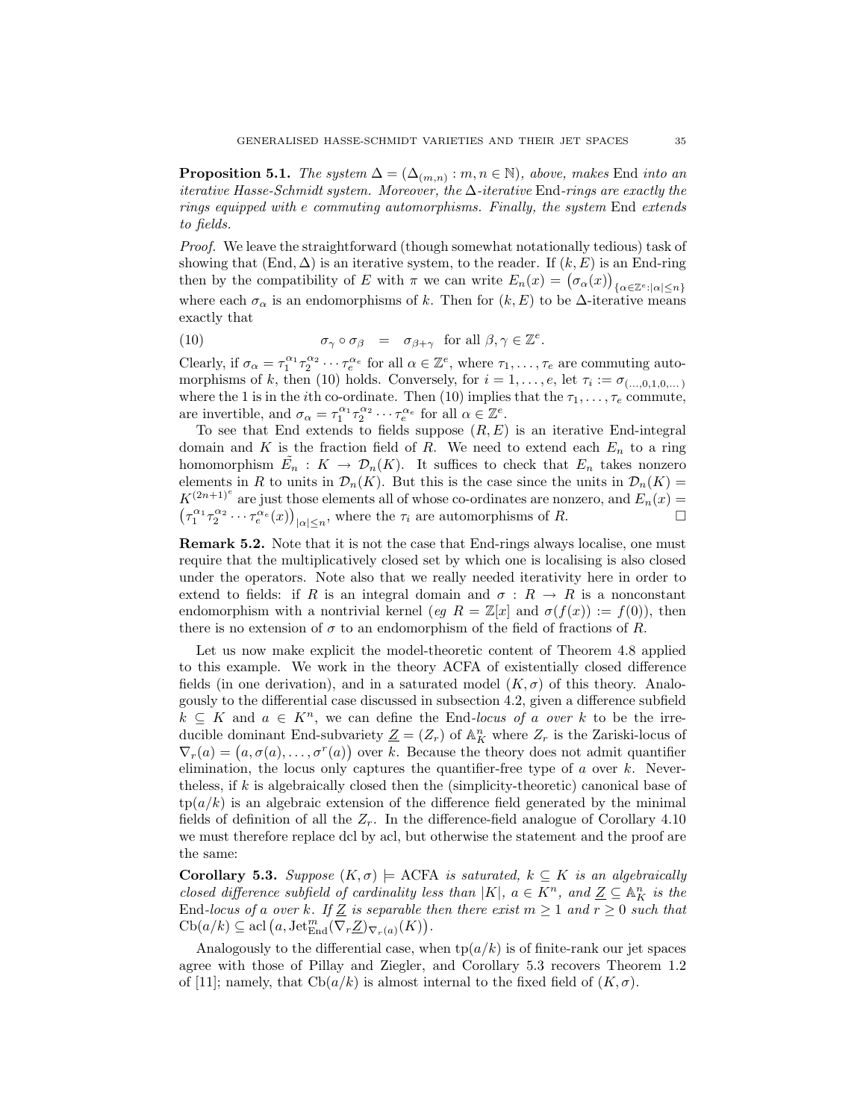**Proposition 5.1.** The system  $\Delta = (\Delta_{(m,n)} : m, n \in \mathbb{N})$ , above, makes End into an iterative Hasse-Schmidt system. Moreover, the  $\Delta$ -iterative End-rings are exactly the rings equipped with e commuting automorphisms. Finally, the system End extends to fields.

Proof. We leave the straightforward (though somewhat notationally tedious) task of showing that  $(End, \Delta)$  is an iterative system, to the reader. If  $(k, E)$  is an End-ring then by the compatibility of E with  $\pi$  we can write  $E_n(x) = (\sigma_\alpha(x))_{\{\alpha \in \mathbb{Z}^e : |\alpha| \leq n\}}$ where each  $\sigma_{\alpha}$  is an endomorphisms of k. Then for  $(k, E)$  to be  $\Delta$ -iterative means exactly that

(10) 
$$
\sigma_{\gamma} \circ \sigma_{\beta} = \sigma_{\beta+\gamma} \text{ for all } \beta, \gamma \in \mathbb{Z}^e.
$$

Clearly, if  $\sigma_{\alpha} = \tau_1^{\alpha_1} \tau_2^{\alpha_2} \cdots \tau_e^{\alpha_e}$  for all  $\alpha \in \mathbb{Z}^e$ , where  $\tau_1, \ldots, \tau_e$  are commuting automorphisms of k, then (10) holds. Conversely, for  $i = 1, \ldots, e$ , let  $\tau_i := \sigma_{(\ldots,0,1,0,\ldots)}$ where the 1 is in the *i*th co-ordinate. Then (10) implies that the  $\tau_1, \ldots, \tau_e$  commute, are invertible, and  $\sigma_{\alpha} = \tau_1^{\alpha_1} \tau_2^{\alpha_2} \cdots \tau_e^{\alpha_e}$  for all  $\alpha \in \mathbb{Z}^e$ .

To see that End extends to fields suppose  $(R, E)$  is an iterative End-integral domain and K is the fraction field of R. We need to extend each  $E_n$  to a ring homomorphism  $\tilde{E_n} : K \to \mathcal{D}_n(K)$ . It suffices to check that  $E_n$  takes nonzero elements in R to units in  $\mathcal{D}_n(K)$ . But this is the case since the units in  $\mathcal{D}_n(K)$  =  $K^{(2n+1)^e}$  are just those elements all of whose co-ordinates are nonzero, and  $E_n(x)$  $(\tau_1^{\alpha_1}\tau_2^{\alpha_2}\cdots\tau_e^{\alpha_e}(x))_{|\alpha|\leq n}$ , where the  $\tau_i$  are automorphisms of R.

Remark 5.2. Note that it is not the case that End-rings always localise, one must require that the multiplicatively closed set by which one is localising is also closed under the operators. Note also that we really needed iterativity here in order to extend to fields: if R is an integral domain and  $\sigma: R \to R$  is a nonconstant endomorphism with a nontrivial kernel (eq  $R = \mathbb{Z}[x]$  and  $\sigma(f(x)) := f(0)$ ), then there is no extension of  $\sigma$  to an endomorphism of the field of fractions of R.

Let us now make explicit the model-theoretic content of Theorem 4.8 applied to this example. We work in the theory ACFA of existentially closed difference fields (in one derivation), and in a saturated model  $(K, \sigma)$  of this theory. Analogously to the differential case discussed in subsection 4.2, given a difference subfield  $k \subseteq K$  and  $a \in K^n$ , we can define the End-locus of a over k to be the irreducible dominant End-subvariety  $\underline{Z} = (Z_r)$  of  $\mathbb{A}^n_K$  where  $Z_r$  is the Zariski-locus of  $\nabla_r(a) = (a, \sigma(a), \ldots, \sigma^r(a))$  over k. Because the theory does not admit quantifier elimination, the locus only captures the quantifier-free type of  $a$  over  $k$ . Nevertheless, if k is algebraically closed then the (simplicity-theoretic) canonical base of  $tp(a/k)$  is an algebraic extension of the difference field generated by the minimal fields of definition of all the  $Z_r$ . In the difference-field analogue of Corollary 4.10 we must therefore replace dcl by acl, but otherwise the statement and the proof are the same:

**Corollary 5.3.** Suppose  $(K, \sigma)$   $\models$  ACFA is saturated,  $k \subseteq K$  is an algebraically closed difference subfield of cardinality less than |K|,  $a \in K^n$ , and  $\underline{Z} \subseteq \mathbb{A}_K^n$  is the End-locus of a over k. If  $\underline{Z}$  is separable then there exist  $m \geq 1$  and  $r \geq 0$  such that  $\mathrm{Cb}(a/k)\subseteq \mathrm{acl}\left(a,\mathrm{Jet}_{\mathrm{End}}^m(\nabla_r \underline{Z})_{\nabla_r(a)}(K)\right).$ 

Analogously to the differential case, when  $tp(a/k)$  is of finite-rank our jet spaces agree with those of Pillay and Ziegler, and Corollary 5.3 recovers Theorem 1.2 of [11]; namely, that  $\text{Cb}(a/k)$  is almost internal to the fixed field of  $(K, \sigma)$ .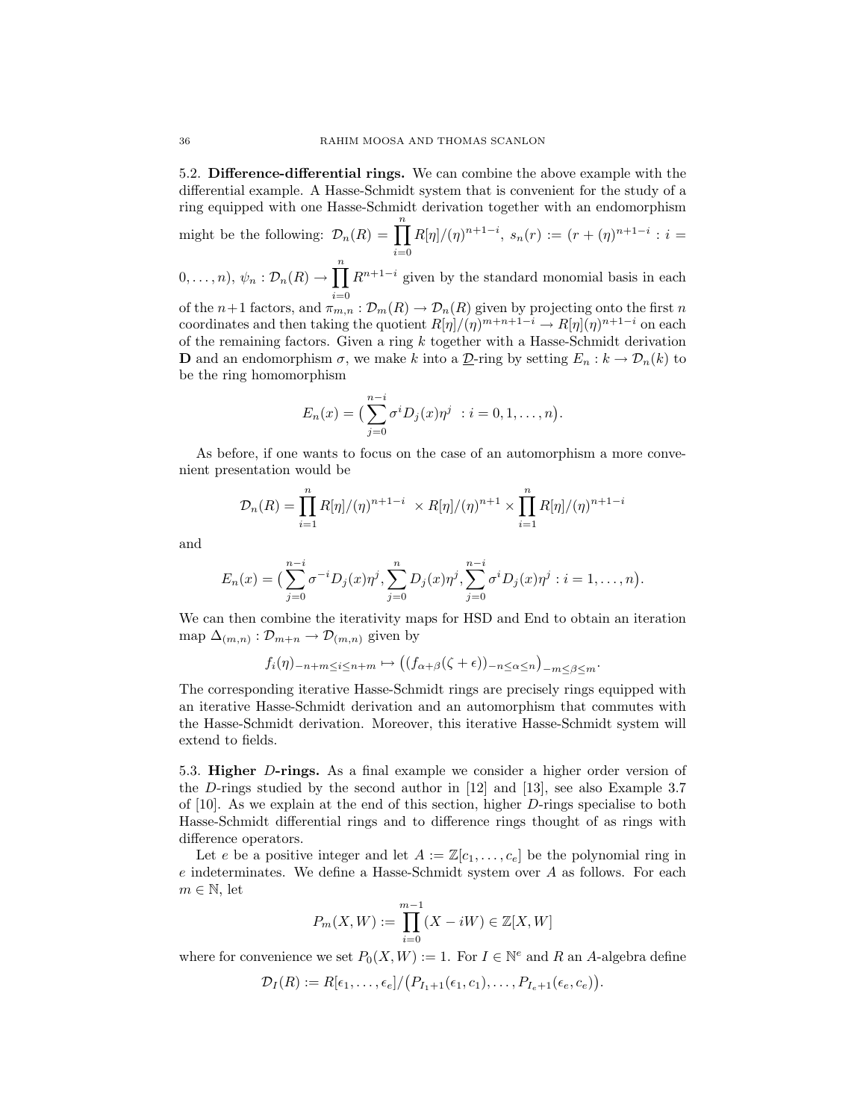5.2. Difference-differential rings. We can combine the above example with the differential example. A Hasse-Schmidt system that is convenient for the study of a ring equipped with one Hasse-Schmidt derivation together with an endomorphism

might be the following:  $\mathcal{D}_n(R) = \prod^n$  $i=0$  $R[\eta]/(\eta)^{n+1-i}, s_n(r) := (r+(\eta)^{n+1-i} : i =$  $(0, \ldots, n), \psi_n : \mathcal{D}_n(R) \to \prod^n R^{n+1-i}$  given by the standard monomial basis in each of the  $n+1$  factors, and  $\pi_{m,n} : \mathcal{D}_m(R) \to \mathcal{D}_n(R)$  given by projecting onto the first n coordinates and then taking the quotient  $R[\eta]/(\eta)^{m+n+1-i} \to R[\eta](\eta)^{n+1-i}$  on each of the remaining factors. Given a ring  $k$  together with a Hasse-Schmidt derivation **D** and an endomorphism  $\sigma$ , we make k into a D-ring by setting  $E_n : k \to \mathcal{D}_n(k)$  to be the ring homomorphism

$$
E_n(x) = \left(\sum_{j=0}^{n-i} \sigma^i D_j(x) \eta^j : i = 0, 1, \dots, n\right).
$$

As before, if one wants to focus on the case of an automorphism a more convenient presentation would be

$$
\mathcal{D}_n(R) = \prod_{i=1}^n R[\eta]/(\eta)^{n+1-i} \times R[\eta]/(\eta)^{n+1} \times \prod_{i=1}^n R[\eta]/(\eta)^{n+1-i}
$$

and

$$
E_n(x) = \left(\sum_{j=0}^{n-i} \sigma^{-i} D_j(x) \eta^j, \sum_{j=0}^n D_j(x) \eta^j, \sum_{j=0}^{n-i} \sigma^i D_j(x) \eta^j : i = 1, ..., n\right).
$$

We can then combine the iterativity maps for HSD and End to obtain an iteration map  $\Delta_{(m,n)} : \mathcal{D}_{m+n} \to \mathcal{D}_{(m,n)}$  given by

$$
f_i(\eta)_{-n+m \leq i \leq n+m} \mapsto ((f_{\alpha+\beta}(\zeta+\epsilon))_{-n \leq \alpha \leq n})_{-m \leq \beta \leq m}
$$

.

The corresponding iterative Hasse-Schmidt rings are precisely rings equipped with an iterative Hasse-Schmidt derivation and an automorphism that commutes with the Hasse-Schmidt derivation. Moreover, this iterative Hasse-Schmidt system will extend to fields.

5.3. Higher D-rings. As a final example we consider a higher order version of the D-rings studied by the second author in [12] and [13], see also Example 3.7 of [10]. As we explain at the end of this section, higher D-rings specialise to both Hasse-Schmidt differential rings and to difference rings thought of as rings with difference operators.

Let e be a positive integer and let  $A := \mathbb{Z}[c_1, \ldots, c_e]$  be the polynomial ring in e indeterminates. We define a Hasse-Schmidt system over A as follows. For each  $m \in \mathbb{N}$ , let

$$
P_m(X, W) := \prod_{i=0}^{m-1} (X - iW) \in \mathbb{Z}[X, W]
$$

where for convenience we set  $P_0(X, W) := 1$ . For  $I \in \mathbb{N}^e$  and R an A-algebra define

$$
\mathcal{D}_I(R) := R[\epsilon_1,\ldots,\epsilon_e]/(P_{I_1+1}(\epsilon_1,c_1),\ldots,P_{I_e+1}(\epsilon_e,c_e)).
$$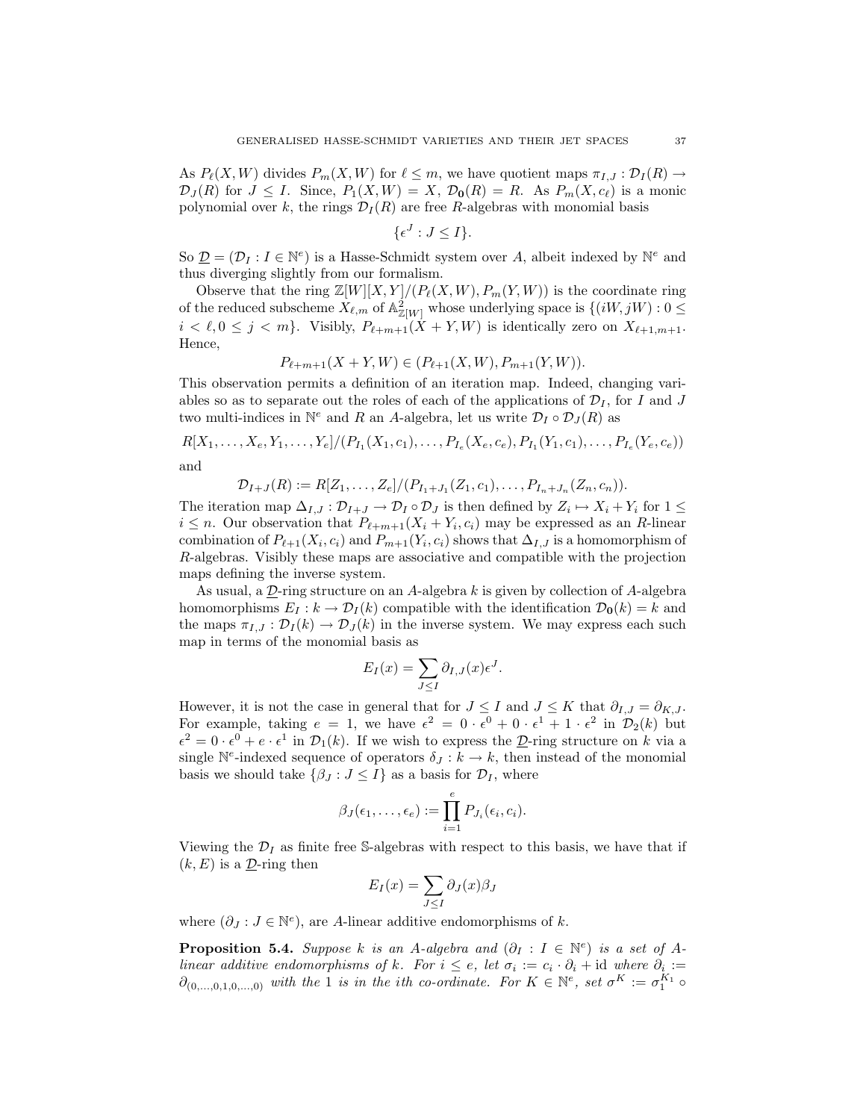As  $P_{\ell}(X, W)$  divides  $P_m(X, W)$  for  $\ell \leq m$ , we have quotient maps  $\pi_{I,J} : \mathcal{D}_I (R) \to$  $\mathcal{D}_J(R)$  for  $J \leq I$ . Since,  $P_1(X, W) = X$ ,  $\mathcal{D}_0(R) = R$ . As  $P_m(X, c_\ell)$  is a monic polynomial over k, the rings  $\mathcal{D}_I(R)$  are free R-algebras with monomial basis

$$
\{\epsilon^J : J \le I\}.
$$

So  $\underline{\mathcal{D}} = (\mathcal{D}_I : I \in \mathbb{N}^e)$  is a Hasse-Schmidt system over A, albeit indexed by  $\mathbb{N}^e$  and thus diverging slightly from our formalism.

Observe that the ring  $\mathbb{Z}[W][X, Y]/(P_{\ell}(X, W), P_m(Y, W))$  is the coordinate ring of the reduced subscheme  $X_{\ell,m}$  of  $\mathbb{A}^2_{\mathbb{Z}[W]}$  whose underlying space is  $\{(iW, jW) : 0 \leq$  $i < \ell, 0 \leq j < m$ . Visibly,  $P_{\ell+m+1}(X + Y, W)$  is identically zero on  $X_{\ell+1,m+1}$ . Hence,

$$
P_{\ell+m+1}(X+Y,W) \in (P_{\ell+1}(X,W), P_{m+1}(Y,W)).
$$

This observation permits a definition of an iteration map. Indeed, changing variables so as to separate out the roles of each of the applications of  $\mathcal{D}_I$ , for I and J two multi-indices in  $\mathbb{N}^e$  and R an A-algebra, let us write  $\mathcal{D}_I \circ \mathcal{D}_J(R)$  as

$$
R[X_1, \ldots, X_e, Y_1, \ldots, Y_e]/(P_{I_1}(X_1, c_1), \ldots, P_{I_e}(X_e, c_e), P_{I_1}(Y_1, c_1), \ldots, P_{I_e}(Y_e, c_e))
$$
  
and

and

$$
\mathcal{D}_{I+J}(R) := R[Z_1,\ldots,Z_e]/(P_{I_1+J_1}(Z_1,c_1),\ldots,P_{I_n+J_n}(Z_n,c_n)).
$$

The iteration map  $\Delta_{I,J}: \mathcal{D}_{I+J} \to \mathcal{D}_I \circ \mathcal{D}_J$  is then defined by  $Z_i \mapsto X_i + Y_i$  for  $1 \leq$  $i \leq n$ . Our observation that  $P_{\ell+m+1}(X_i + Y_i, c_i)$  may be expressed as an R-linear combination of  $P_{\ell+1}(X_i, c_i)$  and  $P_{m+1}(Y_i, c_i)$  shows that  $\Delta_{I,J}$  is a homomorphism of R-algebras. Visibly these maps are associative and compatible with the projection maps defining the inverse system.

As usual, a  $D$ -ring structure on an A-algebra k is given by collection of A-algebra homomorphisms  $E_I : k \to \mathcal{D}_I(k)$  compatible with the identification  $\mathcal{D}_0(k) = k$  and the maps  $\pi_{I,J} : \mathcal{D}_I(k) \to \mathcal{D}_J(k)$  in the inverse system. We may express each such map in terms of the monomial basis as

$$
E_I(x) = \sum_{J \leq I} \partial_{I,J}(x) \epsilon^J.
$$

However, it is not the case in general that for  $J \leq I$  and  $J \leq K$  that  $\partial_{I,J} = \partial_{K,J}$ . For example, taking  $e = 1$ , we have  $\epsilon^2 = 0 \cdot \epsilon^0 + 0 \cdot \epsilon^1 + 1 \cdot \epsilon^2$  in  $\mathcal{D}_2(k)$  but  $\epsilon^2 = 0 \cdot \epsilon^0 + e \cdot \epsilon^1$  in  $\mathcal{D}_1(k)$ . If we wish to express the  $\underline{\mathcal{D}}$ -ring structure on k via a single  $\mathbb{N}^e$ -indexed sequence of operators  $\delta_J : k \to k$ , then instead of the monomial basis we should take  $\{\beta_j : J \leq I\}$  as a basis for  $\mathcal{D}_I$ , where

$$
\beta_J(\epsilon_1,\ldots,\epsilon_e) := \prod_{i=1}^e P_{J_i}(\epsilon_i,c_i).
$$

Viewing the  $\mathcal{D}_I$  as finite free S-algebras with respect to this basis, we have that if  $(k, E)$  is a  $\underline{\mathcal{D}}$ -ring then

$$
E_I(x) = \sum_{J \leq I} \partial_J(x) \beta_J
$$

where  $(\partial_J : J \in \mathbb{N}^e)$ , are A-linear additive endomorphisms of k.

**Proposition 5.4.** Suppose k is an A-algebra and  $(\partial_I : I \in \mathbb{N}^e)$  is a set of Alinear additive endomorphisms of k. For  $i \leq e$ , let  $\sigma_i := c_i \cdot \partial_i + id$  where  $\partial_i :=$  $\partial_{(0,\ldots,0,1,0,\ldots,0)}$  with the 1 is in the ith co-ordinate. For  $K \in \mathbb{N}^e$ , set  $\sigma^K := \sigma_1^{K_1} \circ$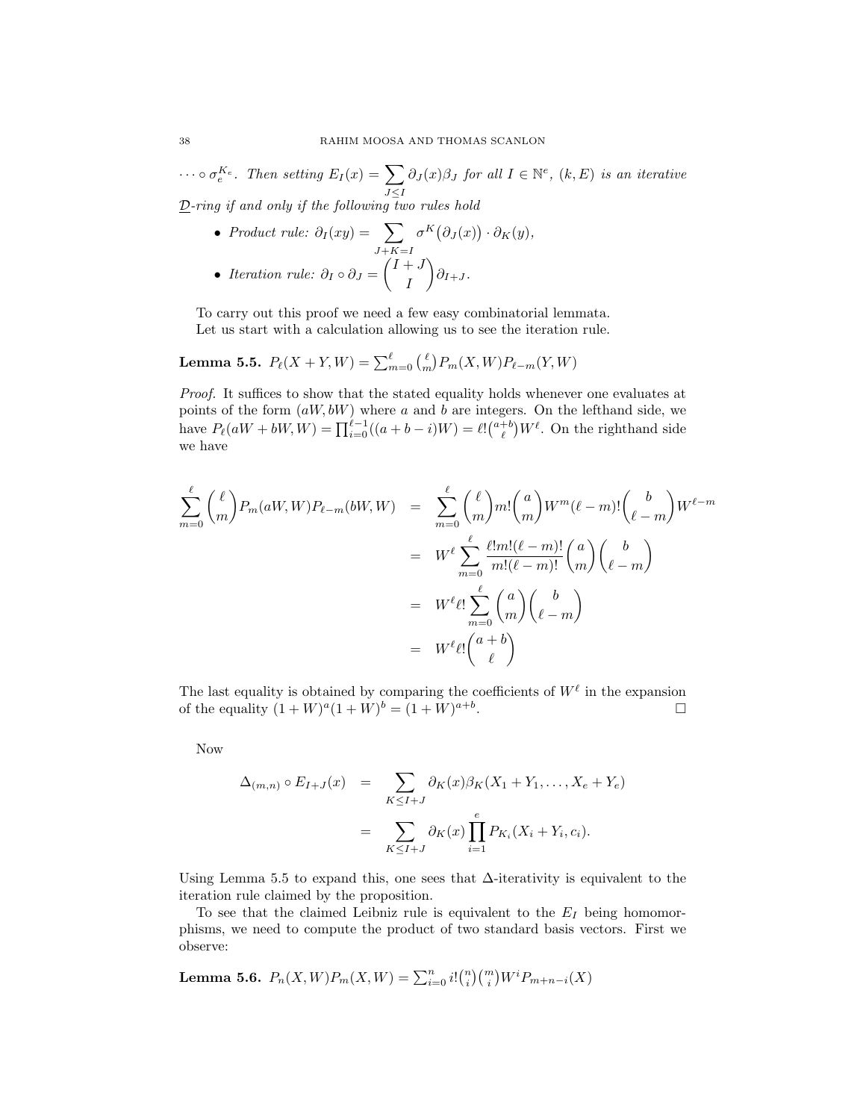$\cdots \circ \sigma_e^{K_e}$ . Then setting  $E_I(x) = \sum$  $J \leq I$  $\partial_J(x)\beta_J$  for all  $I \in \mathbb{N}^e$ ,  $(k, E)$  is an iterative  $\underline{\mathcal{D}}\text{-ring if and only if the following two rules hold}$ 

\n- Product rule: 
$$
\partial_I(xy) = \sum_{J+K=I} \sigma^K(\partial_J(x)) \cdot \partial_K(y)
$$
,
\n- Iteration rule:  $\partial_I \circ \partial_J = \begin{pmatrix} I+J \\ I \end{pmatrix} \partial_{I+J}$ .
\n

To carry out this proof we need a few easy combinatorial lemmata. Let us start with a calculation allowing us to see the iteration rule.

# Lemma 5.5.  $P_{\ell}(X + Y, W) = \sum_{m=0}^{\ell} { \binom{\ell}{m} P_m(X, W) P_{\ell-m}(Y, W) }$

Proof. It suffices to show that the stated equality holds whenever one evaluates at points of the form  $(aW, bW)$  where a and b are integers. On the lefthand side, we have  $P_{\ell}(aW + bW, W) = \prod_{i=0}^{\ell-1} ((a+b-i)W) = \ell! {\binom{a+b}{\ell}} W^{\ell}$ . On the righthand side we have

$$
\sum_{m=0}^{\ell} {\ell \choose m} P_m(aW, W) P_{\ell-m}(bW, W) = \sum_{m=0}^{\ell} {\ell \choose m} m! {a \choose m} W^m (\ell - m)! {b \choose \ell - m} W^{\ell - m}
$$

$$
= W^{\ell} \sum_{m=0}^{\ell} \frac{\ell! m! (\ell - m)!}{m! (\ell - m)!} {a \choose m} {b \choose \ell - m}
$$

$$
= W^{\ell} \ell! \sum_{m=0}^{\ell} {a \choose m} {b \choose \ell - m}
$$

$$
= W^{\ell} \ell! {a + b \choose \ell}
$$

The last equality is obtained by comparing the coefficients of  $W^{\ell}$  in the expansion of the equality  $(1+W)^{a}(1+W)^{b} = (1+W)^{a+b}$ .

Now

$$
\Delta_{(m,n)} \circ E_{I+J}(x) = \sum_{K \leq I+J} \partial_K(x) \beta_K(X_1 + Y_1, \dots, X_e + Y_e)
$$

$$
= \sum_{K \leq I+J} \partial_K(x) \prod_{i=1}^e P_{K_i}(X_i + Y_i, c_i).
$$

Using Lemma 5.5 to expand this, one sees that  $\Delta$ -iterativity is equivalent to the iteration rule claimed by the proposition.

To see that the claimed Leibniz rule is equivalent to the  $E_I$  being homomorphisms, we need to compute the product of two standard basis vectors. First we observe:

**Lemma 5.6.** 
$$
P_n(X, W)P_m(X, W) = \sum_{i=0}^n i! {n \choose i} {m \choose i} W^i P_{m+n-i}(X)
$$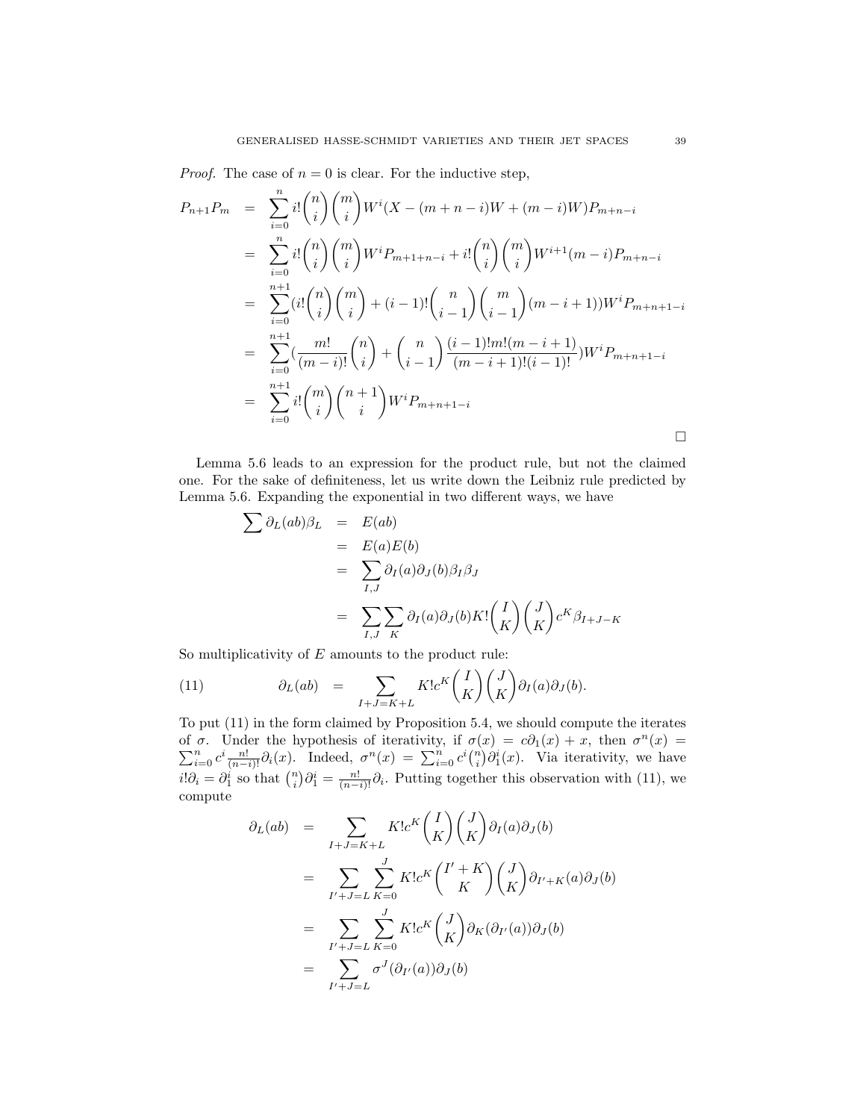*Proof.* The case of  $n = 0$  is clear. For the inductive step,

$$
P_{n+1}P_m = \sum_{i=0}^n i! {n \choose i} {m \choose i} W^i (X - (m+n-i)W + (m-i)W) P_{m+n-i}
$$
  
\n
$$
= \sum_{i=0}^n i! {n \choose i} {m \choose i} W^i P_{m+1+n-i} + i! {n \choose i} {m \choose i} W^{i+1} (m-i) P_{m+n-i}
$$
  
\n
$$
= \sum_{i=0}^{n+1} (i! {n \choose i} {m \choose i} + (i-1)! {n \choose i-1} {m \choose i-1} (m-i+1)) W^i P_{m+n+1-i}
$$
  
\n
$$
= \sum_{i=0}^{n+1} \left( \frac{m!}{(m-i)!} {n \choose i} + {n \choose i-1} \frac{(i-1)!m!(m-i+1)}{(m-i+1)!(i-1)!} W^i P_{m+n+1-i}
$$
  
\n
$$
= \sum_{i=0}^{n+1} i! {m \choose i} {n+1 \choose i} W^i P_{m+n+1-i}
$$

Lemma 5.6 leads to an expression for the product rule, but not the claimed one. For the sake of definiteness, let us write down the Leibniz rule predicted by Lemma 5.6. Expanding the exponential in two different ways, we have

$$
\sum \partial_L(ab)\beta_L = E(ab)
$$
  
=  $E(a)E(b)$   
=  $\sum_{I,J} \partial_I(a)\partial_J(b)\beta_I\beta_J$   
=  $\sum_{I,J} \sum_K \partial_I(a)\partial_J(b)K! \left(\begin{matrix} I \\ K \end{matrix}\right) \left(\begin{matrix} J \\ K \end{matrix}\right) c^K \beta_{I+J-K}$ 

So multiplicativity of  $E$  amounts to the product rule:

(11) 
$$
\partial_L(ab) = \sum_{I+J=K+L} K! c^K \binom{I}{K} \binom{J}{K} \partial_I(a) \partial_J(b).
$$

To put (11) in the form claimed by Proposition 5.4, we should compute the iterates of  $\sigma$ . Under the hypothesis of iterativity, if  $\sigma(x) = c\partial(x) + x$ , then  $\sigma^n$ P *σ*. Under the hypothesis of iterativity, if  $σ(x) = c∂_1(x) + x$ , then  $σ<sup>n</sup>(x) =$ <br>  $\sum_{i=0}^{n} c^i \frac{n!}{(n-i)!} ∂_i(x)$ . Indeed,  $σ<sup>n</sup>(x) = ∑_{i=0}^{n} c^i {n \choose i} ∂_i^i(x)$ . Via iterativity, we have  $i!\partial_i = \partial_1^i$  so that  $\binom{n}{i}\partial_1^i = \frac{n!}{(n-i)!}\partial_i$ . Putting together this observation with (11), we compute

$$
\partial_L(ab) = \sum_{I+J=K+L} K!c^K \binom{I}{K} \binom{J}{K} \partial_I(a) \partial_J(b)
$$
  

$$
= \sum_{I'+J=L} \sum_{K=0}^J K!c^K \binom{I'+K}{K} \binom{J}{K} \partial_{I'+K}(a) \partial_J(b)
$$
  

$$
= \sum_{I'+J=L} \sum_{K=0}^J K!c^K \binom{J}{K} \partial_K(\partial_{I'}(a)) \partial_J(b)
$$
  

$$
= \sum_{I'+J=L}^J \sigma^J(\partial_{I'}(a)) \partial_J(b)
$$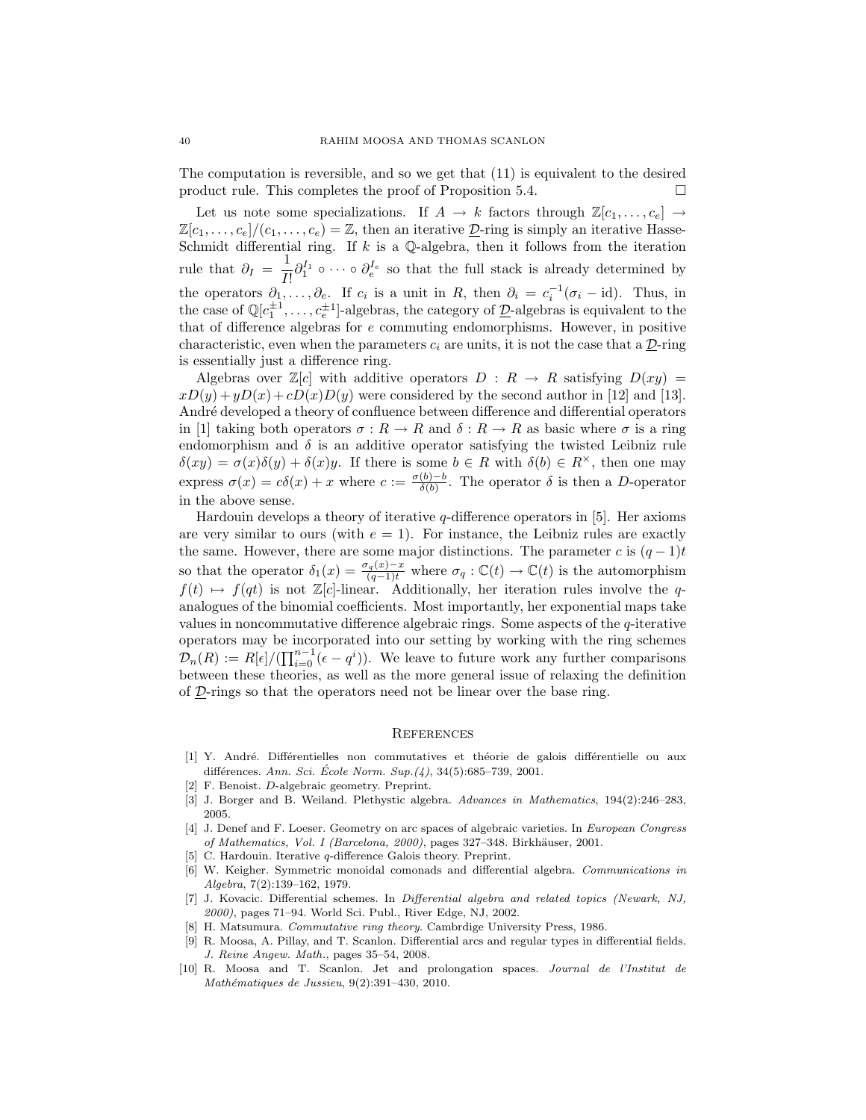The computation is reversible, and so we get that (11) is equivalent to the desired product rule. This completes the proof of Proposition 5.4.  $\Box$ 

Let us note some specializations. If  $A \to k$  factors through  $\mathbb{Z}[c_1, \ldots, c_e] \to$  $\mathbb{Z}[c_1,\ldots,c_e]/(c_1,\ldots,c_e) = \mathbb{Z}$ , then an iterative  $\mathcal{D}$ -ring is simply an iterative Hasse-Schmidt differential ring. If  $k$  is a  $\mathbb Q$ -algebra, then it follows from the iteration rule that  $\partial_I = \frac{1}{I}$  $\frac{1}{I!} \partial_1^{I_1} \circ \cdots \circ \partial_e^{I_e}$  so that the full stack is already determined by the operators  $\partial_1, \ldots, \partial_e$ . If  $c_i$  is a unit in R, then  $\partial_i = c_i^{-1}(\sigma_i - id)$ . Thus, in the case of  $\mathbb{Q}[c_1^{\pm 1}, \ldots, c_e^{\pm 1}]$ -algebras, the category of  $\underline{\mathcal{D}}$ -algebras is equivalent to the that of difference algebras for e commuting endomorphisms. However, in positive characteristic, even when the parameters  $c_i$  are units, it is not the case that a  $\mathcal{D}\text{-ring}$ is essentially just a difference ring.

Algebras over  $\mathbb{Z}[c]$  with additive operators  $D : R \to R$  satisfying  $D(xy) =$  $xD(y) + yD(x) + cD(x)D(y)$  were considered by the second author in [12] and [13]. André developed a theory of confluence between difference and differential operators in [1] taking both operators  $\sigma: R \to R$  and  $\delta: R \to R$  as basic where  $\sigma$  is a ring endomorphism and  $\delta$  is an additive operator satisfying the twisted Leibniz rule  $\delta(xy) = \sigma(x)\delta(y) + \delta(x)y$ . If there is some  $b \in R$  with  $\delta(b) \in R^{\times}$ , then one may express  $\sigma(x) = c\delta(x) + x$  where  $c := \frac{\sigma(b)-b}{\delta(b)}$  $\frac{(\delta)-b}{\delta(b)}$ . The operator  $\delta$  is then a D-operator in the above sense.

Hardouin develops a theory of iterative  $q$ -difference operators in [5]. Her axioms are very similar to ours (with  $e = 1$ ). For instance, the Leibniz rules are exactly the same. However, there are some major distinctions. The parameter c is  $(q-1)t$ so that the operator  $\delta_1(x) = \frac{\sigma_q(x)-x}{(q-1)t}$  where  $\sigma_q : \mathbb{C}(t) \to \mathbb{C}(t)$  is the automorphism  $f(t) \mapsto f(qt)$  is not Z[c]-linear. Additionally, her iteration rules involve the qanalogues of the binomial coefficients. Most importantly, her exponential maps take values in noncommutative difference algebraic rings. Some aspects of the q-iterative operators may be incorporated into our setting by working with the ring schemes  $\mathcal{D}_n(R) := R[\epsilon]/(\prod_{i=0}^{n-1}(\epsilon - q^i)).$  We leave to future work any further comparisons between these theories, as well as the more general issue of relaxing the definition of  $D$ -rings so that the operators need not be linear over the base ring.

#### **REFERENCES**

- [1] Y. André. Différentielles non commutatives et théorie de galois différentielle ou aux différences. Ann. Sci. École Norm. Sup. $(4)$ , 34(5):685–739, 2001.
- [2] F. Benoist. D-algebraic geometry. Preprint.
- [3] J. Borger and B. Weiland. Plethystic algebra. Advances in Mathematics, 194(2):246–283, 2005.
- [4] J. Denef and F. Loeser. Geometry on arc spaces of algebraic varieties. In European Congress of Mathematics, Vol. I (Barcelona, 2000), pages 327–348. Birkhäuser, 2001.
- [5] C. Hardouin. Iterative q-difference Galois theory. Preprint.
- [6] W. Keigher. Symmetric monoidal comonads and differential algebra. Communications in Algebra, 7(2):139–162, 1979.
- [7] J. Kovacic. Differential schemes. In Differential algebra and related topics (Newark, NJ, 2000), pages 71–94. World Sci. Publ., River Edge, NJ, 2002.
- [8] H. Matsumura. Commutative ring theory. Cambrdige University Press, 1986.
- [9] R. Moosa, A. Pillay, and T. Scanlon. Differential arcs and regular types in differential fields. J. Reine Angew. Math., pages 35–54, 2008.
- [10] R. Moosa and T. Scanlon. Jet and prolongation spaces. Journal de l'Institut de  $Mathématiques de Jussieu, 9(2):391-430, 2010.$